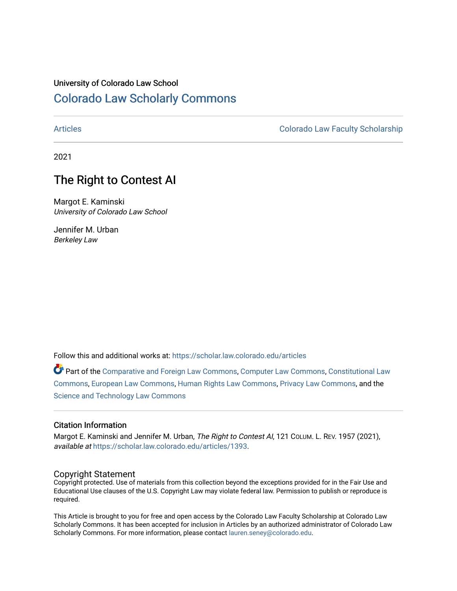## University of Colorado Law School [Colorado Law Scholarly Commons](https://scholar.law.colorado.edu/)

[Articles](https://scholar.law.colorado.edu/articles) [Colorado Law Faculty Scholarship](https://scholar.law.colorado.edu/colorado-law-faculty-scholarship) 

2021

# The Right to Contest AI

Margot E. Kaminski University of Colorado Law School

Jennifer M. Urban Berkeley Law

Follow this and additional works at: [https://scholar.law.colorado.edu/articles](https://scholar.law.colorado.edu/articles?utm_source=scholar.law.colorado.edu%2Farticles%2F1393&utm_medium=PDF&utm_campaign=PDFCoverPages) 

Part of the [Comparative and Foreign Law Commons,](http://network.bepress.com/hgg/discipline/836?utm_source=scholar.law.colorado.edu%2Farticles%2F1393&utm_medium=PDF&utm_campaign=PDFCoverPages) [Computer Law Commons,](http://network.bepress.com/hgg/discipline/837?utm_source=scholar.law.colorado.edu%2Farticles%2F1393&utm_medium=PDF&utm_campaign=PDFCoverPages) [Constitutional Law](http://network.bepress.com/hgg/discipline/589?utm_source=scholar.law.colorado.edu%2Farticles%2F1393&utm_medium=PDF&utm_campaign=PDFCoverPages) [Commons](http://network.bepress.com/hgg/discipline/589?utm_source=scholar.law.colorado.edu%2Farticles%2F1393&utm_medium=PDF&utm_campaign=PDFCoverPages), [European Law Commons,](http://network.bepress.com/hgg/discipline/1084?utm_source=scholar.law.colorado.edu%2Farticles%2F1393&utm_medium=PDF&utm_campaign=PDFCoverPages) [Human Rights Law Commons,](http://network.bepress.com/hgg/discipline/847?utm_source=scholar.law.colorado.edu%2Farticles%2F1393&utm_medium=PDF&utm_campaign=PDFCoverPages) [Privacy Law Commons,](http://network.bepress.com/hgg/discipline/1234?utm_source=scholar.law.colorado.edu%2Farticles%2F1393&utm_medium=PDF&utm_campaign=PDFCoverPages) and the [Science and Technology Law Commons](http://network.bepress.com/hgg/discipline/875?utm_source=scholar.law.colorado.edu%2Farticles%2F1393&utm_medium=PDF&utm_campaign=PDFCoverPages)

### Citation Information

Margot E. Kaminski and Jennifer M. Urban, The Right to Contest AI, 121 COLUM. L. REV. 1957 (2021), available at [https://scholar.law.colorado.edu/articles/1393](https://scholar.law.colorado.edu/articles/1393?utm_source=scholar.law.colorado.edu%2Farticles%2F1393&utm_medium=PDF&utm_campaign=PDFCoverPages).

### Copyright Statement

Copyright protected. Use of materials from this collection beyond the exceptions provided for in the Fair Use and Educational Use clauses of the U.S. Copyright Law may violate federal law. Permission to publish or reproduce is required.

This Article is brought to you for free and open access by the Colorado Law Faculty Scholarship at Colorado Law Scholarly Commons. It has been accepted for inclusion in Articles by an authorized administrator of Colorado Law Scholarly Commons. For more information, please contact [lauren.seney@colorado.edu.](mailto:lauren.seney@colorado.edu)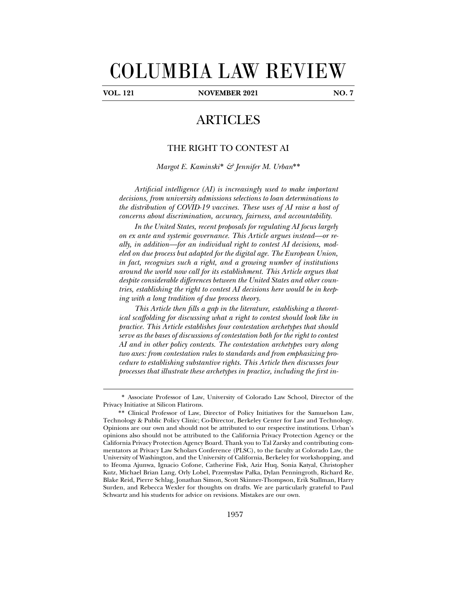# COLUMBIA LAW REVIEW

 $\overline{a}$ 

**VOL. 121 NOVEMBER 2021 NO. 7** 

# ARTICLES

## THE RIGHT TO CONTEST AI

*Margot E. Kaminski*\* *& Jennifer M. Urban*\*\*

*Artificial intelligence (AI) is increasingly used to make important*  decisions, from university admissions selections to loan determinations to *the distribution of COVID-19 vaccines. These uses of AI raise a host of concerns about discrimination, accuracy, fairness, and accountability.* 

*In the United States, recent proposals for regulating AI focus largely on ex ante and systemic governance. This Article argues instead—or really, in addition—for an individual right to contest AI decisions, modeled on due process but adapted for the digital age. The European Union, in fact, recognizes such a right, and a growing number of institutions around the world now call for its establishment. This Article argues that despite considerable differences between the United States and other countries, establishing the right to contest AI decisions here would be in keeping with a long tradition of due process theory.* 

*This Article then fills a gap in the literature, establishing a theoretical scaffolding for discussing what a right to contest should look like in practice. This Article establishes four contestation archetypes that should serve as the bases of discussions of contestation both for the right to contest AI and in other policy contexts. The contestation archetypes vary along two axes: from contestation rules to standards and from emphasizing procedure to establishing substantive rights. This Article then discusses four processes that illustrate these archetypes in practice, including the first in-*

<sup>\*</sup> Associate Professor of Law, University of Colorado Law School, Director of the Privacy Initiative at Silicon Flatirons.

<sup>\*\*</sup> Clinical Professor of Law, Director of Policy Initiatives for the Samuelson Law, Technology & Public Policy Clinic; Co-Director, Berkeley Center for Law and Technology. Opinions are our own and should not be attributed to our respective institutions. Urban's opinions also should not be attributed to the California Privacy Protection Agency or the California Privacy Protection Agency Board. Thank you to Tal Zarsky and contributing commentators at Privacy Law Scholars Conference (PLSC), to the faculty at Colorado Law, the University of Washington, and the University of California, Berkeley for workshopping, and to Ifeoma Ajunwa, Ignacio Cofone, Catherine Fisk, Aziz Huq, Sonia Katyal, Christopher Kutz, Michael Brian Lang, Orly Lobel, Przemysław Pałka, Dylan Penningroth, Richard Re, Blake Reid, Pierre Schlag, Jonathan Simon, Scott Skinner-Thompson, Erik Stallman, Harry Surden, and Rebecca Wexler for thoughts on drafts. We are particularly grateful to Paul Schwartz and his students for advice on revisions. Mistakes are our own.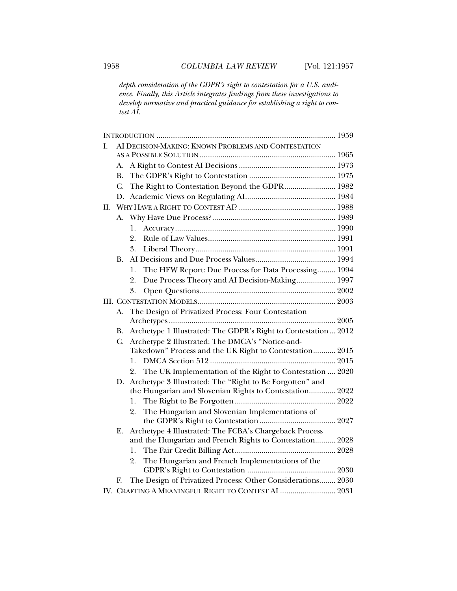*depth consideration of the GDPR's right to contestation for a U.S. audience. Finally, this Article integrates findings from these investigations to develop normative and practical guidance for establishing a right to contest AI.* 

| I. | AI DECISION-MAKING: KNOWN PROBLEMS AND CONTESTATION |                                                                                                                    |  |  |
|----|-----------------------------------------------------|--------------------------------------------------------------------------------------------------------------------|--|--|
|    |                                                     |                                                                                                                    |  |  |
|    | А.                                                  |                                                                                                                    |  |  |
|    | В.                                                  |                                                                                                                    |  |  |
|    | C.                                                  | The Right to Contestation Beyond the GDPR 1982                                                                     |  |  |
|    | D.                                                  |                                                                                                                    |  |  |
| H. |                                                     |                                                                                                                    |  |  |
|    | А.                                                  |                                                                                                                    |  |  |
|    |                                                     | 1.                                                                                                                 |  |  |
|    |                                                     | 2.                                                                                                                 |  |  |
|    |                                                     | 3.                                                                                                                 |  |  |
|    | B.                                                  |                                                                                                                    |  |  |
|    |                                                     | The HEW Report: Due Process for Data Processing 1994<br>1.                                                         |  |  |
|    |                                                     | Due Process Theory and AI Decision-Making 1997<br>2.                                                               |  |  |
|    |                                                     | 3.                                                                                                                 |  |  |
|    |                                                     |                                                                                                                    |  |  |
|    | А.                                                  | The Design of Privatized Process: Four Contestation                                                                |  |  |
|    |                                                     |                                                                                                                    |  |  |
|    | В.                                                  | Archetype 1 Illustrated: The GDPR's Right to Contestation 2012                                                     |  |  |
|    | C.                                                  | Archetype 2 Illustrated: The DMCA's "Notice-and-                                                                   |  |  |
|    |                                                     | Takedown" Process and the UK Right to Contestation 2015                                                            |  |  |
|    |                                                     | 1.                                                                                                                 |  |  |
|    |                                                     | The UK Implementation of the Right to Contestation  2020<br>2.                                                     |  |  |
|    | D.                                                  | Archetype 3 Illustrated: The "Right to Be Forgotten" and                                                           |  |  |
|    |                                                     | the Hungarian and Slovenian Rights to Contestation 2022                                                            |  |  |
|    |                                                     | 1.                                                                                                                 |  |  |
|    |                                                     | The Hungarian and Slovenian Implementations of<br>2.                                                               |  |  |
|    |                                                     |                                                                                                                    |  |  |
|    | Е.                                                  | Archetype 4 Illustrated: The FCBA's Chargeback Process<br>and the Hungarian and French Rights to Contestation 2028 |  |  |
|    |                                                     | 1.                                                                                                                 |  |  |
|    |                                                     | The Hungarian and French Implementations of the<br>2.                                                              |  |  |
|    |                                                     |                                                                                                                    |  |  |
|    | F.                                                  | The Design of Privatized Process: Other Considerations 2030                                                        |  |  |
|    |                                                     | IV. CRAFTING A MEANINGFUL RIGHT TO CONTEST AI  2031                                                                |  |  |
|    |                                                     |                                                                                                                    |  |  |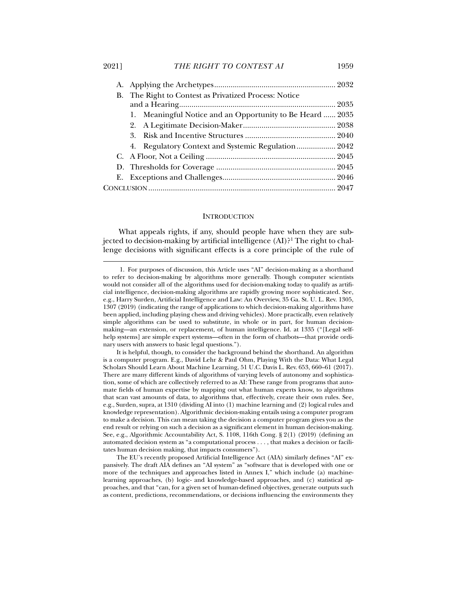| B. The Right to Contest as Privatized Process: Notice     |  |
|-----------------------------------------------------------|--|
|                                                           |  |
| 1. Meaningful Notice and an Opportunity to Be Heard  2035 |  |
|                                                           |  |
|                                                           |  |
| 4. Regulatory Context and Systemic Regulation 2042        |  |
|                                                           |  |
|                                                           |  |
|                                                           |  |
|                                                           |  |
|                                                           |  |

#### **INTRODUCTION**

What appeals rights, if any, should people have when they are subjected to decision-making by artificial intelligence (AI)?<sup>1</sup> The right to challenge decisions with significant effects is a core principle of the rule of

 <sup>1.</sup> For purposes of discussion, this Article uses "AI" decision-making as a shorthand to refer to decision-making by algorithms more generally. Though computer scientists would not consider all of the algorithms used for decision-making today to qualify as artificial intelligence, decision-making algorithms are rapidly growing more sophisticated. See, e.g., Harry Surden, Artificial Intelligence and Law: An Overview, 35 Ga. St. U. L. Rev. 1305, 1307 (2019) (indicating the range of applications to which decision-making algorithms have been applied, including playing chess and driving vehicles). More practically, even relatively simple algorithms can be used to substitute, in whole or in part, for human decisionmaking—an extension, or replacement, of human intelligence. Id. at 1335 ("[Legal selfhelp systems] are simple expert systems—often in the form of chatbots—that provide ordinary users with answers to basic legal questions.").

It is helpful, though, to consider the background behind the shorthand. An algorithm is a computer program. E.g., David Lehr & Paul Ohm, Playing With the Data: What Legal Scholars Should Learn About Machine Learning, 51 U.C. Davis L. Rev. 653, 660–61 (2017). There are many different kinds of algorithms of varying levels of autonomy and sophistication, some of which are collectively referred to as AI: These range from programs that automate fields of human expertise by mapping out what human experts know, to algorithms that scan vast amounts of data, to algorithms that, effectively, create their own rules. See, e.g., Surden, supra, at 1310 (dividing AI into (1) machine learning and (2) logical rules and knowledge representation). Algorithmic decision-making entails using a computer program to make a decision. This can mean taking the decision a computer program gives you as the end result or relying on such a decision as a significant element in human decision-making. See, e.g., Algorithmic Accountability Act, S. 1108, 116th Cong. § 2(1) (2019) (defining an automated decision system as "a computational process . . . , that makes a decision or facilitates human decision making, that impacts consumers").

The EU's recently proposed Artificial Intelligence Act (AIA) similarly defines "AI" expansively. The draft AIA defines an "AI system" as "software that is developed with one or more of the techniques and approaches listed in Annex I," which include (a) machinelearning approaches, (b) logic- and knowledge-based approaches, and (c) statistical approaches, and that "can, for a given set of human-defined objectives, generate outputs such as content, predictions, recommendations, or decisions influencing the environments they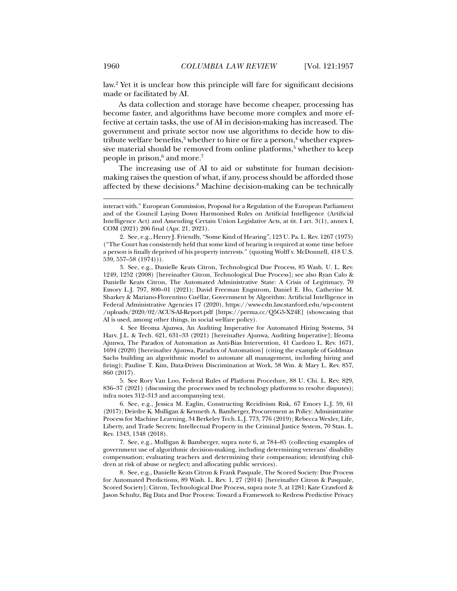law.2 Yet it is unclear how this principle will fare for significant decisions made or facilitated by AI.

As data collection and storage have become cheaper, processing has become faster, and algorithms have become more complex and more effective at certain tasks, the use of AI in decision-making has increased. The government and private sector now use algorithms to decide how to distribute welfare benefits, $^3$  whether to hire or fire a person, $^4$  whether expressive material should be removed from online platforms,<sup>5</sup> whether to keep people in prison, $^6$  and more. $^7$ 

The increasing use of AI to aid or substitute for human decisionmaking raises the question of what, if any, process should be afforded those affected by these decisions.8 Machine decision-making can be technically

 3. See, e.g., Danielle Keats Citron, Technological Due Process, 85 Wash. U. L. Rev. 1249, 1252 (2008) [hereinafter Citron, Technological Due Process]; see also Ryan Calo & Danielle Keats Citron, The Automated Administrative State: A Crisis of Legitimacy, 70 Emory L.J. 797, 800–01 (2021); David Freeman Engstrom, Daniel E. Ho, Catherine M. Sharkey & Mariano-Florentino Cuéllar, Government by Algorithm: Artificial Intelligence in Federal Administrative Agencies 17 (2020), https://www-cdn.law.stanford.edu/wp-content /uploads/2020/02/ACUS-AI-Report.pdf [https://perma.cc/Q5G5-X24E] (showcasing that AI is used, among other things, in social welfare policy).

 4. See Ifeoma Ajunwa, An Auditing Imperative for Automated Hiring Systems, 34 Harv. J.L. & Tech. 621, 631–33 (2021) [hereinafter Ajunwa, Auditing Imperative]; Ifeoma Ajunwa, The Paradox of Automation as Anti-Bias Intervention, 41 Cardozo L. Rev. 1671, 1694 (2020) [hereinafter Ajunwa, Paradox of Automation] (citing the example of Goldman Sachs building an algorithmic model to automate all management, including hiring and firing); Pauline T. Kim, Data-Driven Discrimination at Work, 58 Wm. & Mary L. Rev. 857, 860 (2017).

 5. See Rory Van Loo, Federal Rules of Platform Procedure, 88 U. Chi. L. Rev. 829, 836–37 (2021) (discussing the processes used by technology platforms to resolve disputes); infra notes 312–313 and accompanying text.

 6. See, e.g., Jessica M. Eaglin, Constructing Recidivism Risk, 67 Emory L.J. 59, 61 (2017); Deirdre K. Mulligan & Kenneth A. Bamberger, Procurement as Policy: Administrative Process for Machine Learning, 34 Berkeley Tech. L.J. 773, 776 (2019); Rebecca Wexler, Life, Liberty, and Trade Secrets: Intellectual Property in the Criminal Justice System, 70 Stan. L. Rev. 1343, 1348 (2018).

 7. See, e.g., Mulligan & Bamberger, supra note 6, at 784–85 (collecting examples of government use of algorithmic decision-making, including determining veterans' disability compensation; evaluating teachers and determining their compensation; identifying children at risk of abuse or neglect; and allocating public services).

 8. See, e.g., Danielle Keats Citron & Frank Pasquale, The Scored Society: Due Process for Automated Predictions, 89 Wash. L. Rev. 1, 27 (2014) [hereinafter Citron & Pasquale, Scored Society]; Citron, Technological Due Process, supra note 3, at 1281; Kate Crawford & Jason Schultz, Big Data and Due Process: Toward a Framework to Redress Predictive Privacy

interact with." European Commission, Proposal for a Regulation of the European Parliament and of the Council Laying Down Harmonised Rules on Artificial Intelligence (Artificial Intelligence Act) and Amending Certain Union Legislative Acts, at tit. I art. 3(1), annex I, COM (2021) 206 final (Apr. 21, 2021).

 <sup>2.</sup> See, e.g., Henry J. Friendly, "Some Kind of Hearing", 123 U. Pa. L. Rev. 1267 (1975) ("The Court has consistently held that some kind of hearing is required at some time before a person is finally deprived of his property interests." (quoting Wolff v. McDonnell, 418 U.S. 539, 557–58 (1974))).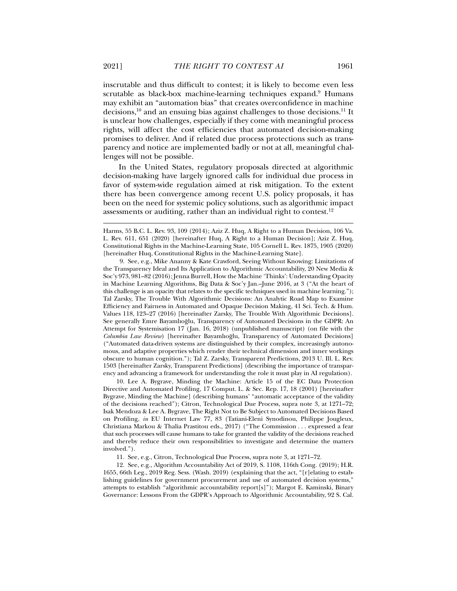inscrutable and thus difficult to contest; it is likely to become even less scrutable as black-box machine-learning techniques expand.<sup>9</sup> Humans may exhibit an "automation bias" that creates overconfidence in machine decisions,<sup>10</sup> and an ensuing bias against challenges to those decisions.<sup>11</sup> It is unclear how challenges, especially if they come with meaningful process rights, will affect the cost efficiencies that automated decision-making promises to deliver. And if related due process protections such as transparency and notice are implemented badly or not at all, meaningful challenges will not be possible.

In the United States, regulatory proposals directed at algorithmic decision-making have largely ignored calls for individual due process in favor of system-wide regulation aimed at risk mitigation. To the extent there has been convergence among recent U.S. policy proposals, it has been on the need for systemic policy solutions, such as algorithmic impact assessments or auditing, rather than an individual right to contest. $12$ 

 9. See, e.g., Mike Ananny & Kate Crawford, Seeing Without Knowing: Limitations of the Transparency Ideal and Its Application to Algorithmic Accountability, 20 New Media & Soc'y 973, 981–82 (2016);Jenna Burrell, How the Machine 'Thinks': Understanding Opacity in Machine Learning Algorithms, Big Data & Soc'y Jan.–June 2016, at 3 ("At the heart of this challenge is an opacity that relates to the specific techniques used in machine learning."); Tal Zarsky, The Trouble With Algorithmic Decisions: An Analytic Road Map to Examine Efficiency and Fairness in Automated and Opaque Decision Making, 41 Sci. Tech. & Hum. Values 118, 123–27 (2016) [hereinafter Zarsky, The Trouble With Algorithmic Decisions]. See generally Emre Bayamlıoğlu, Transparency of Automated Decisions in the GDPR: An Attempt for Systemisation 17 (Jan. 16, 2018) (unpublished manuscript) (on file with the *Columbia Law Review*) [hereinafter Bayamlıoğlu, Transparency of Automated Decisions] ("Automated data-driven systems are distinguished by their complex, increasingly autonomous, and adaptive properties which render their technical dimension and inner workings obscure to human cognition."); Tal Z. Zarsky, Transparent Predictions, 2013 U. Ill. L. Rev. 1503 [hereinafter Zarsky, Transparent Predictions] (describing the importance of transparency and advancing a framework for understanding the role it must play in AI regulation).

 10. Lee A. Bygrave, Minding the Machine: Article 15 of the EC Data Protection Directive and Automated Profiling, 17 Comput. L. & Sec. Rep. 17, 18 (2001) [hereinafter Bygrave, Minding the Machine] (describing humans' "automatic acceptance of the validity of the decisions reached"); Citron, Technological Due Process, supra note 3, at 1271–72; Isak Mendoza & Lee A. Bygrave, The Right Not to Be Subject to Automated Decisions Based on Profiling, *in* EU Internet Law 77, 83 (Tatiani-Eleni Synodinou, Philippe Jougleux, Christiana Markou & Thalia Prastitou eds., 2017) ("The Commission . . . expressed a fear that such processes will cause humans to take for granted the validity of the decisions reached and thereby reduce their own responsibilities to investigate and determine the matters involved.").

11. See, e.g., Citron, Technological Due Process, supra note 3, at 1271–72.

 12. See, e.g., Algorithm Accountability Act of 2019, S. 1108, 116th Cong. (2019); H.R. 1655, 66th Leg., 2019 Reg. Sess. (Wash. 2019) (explaining that the act, "[r]elating to establishing guidelines for government procurement and use of automated decision systems," attempts to establish "algorithmic accountability report[s]"); Margot E. Kaminski, Binary Governance: Lessons From the GDPR's Approach to Algorithmic Accountability, 92 S. Cal.

Harms, 55 B.C. L. Rev. 93, 109 (2014); Aziz Z. Huq, A Right to a Human Decision, 106 Va. L. Rev. 611, 651 (2020) [hereinafter Huq, A Right to a Human Decision]; Aziz Z. Huq, Constitutional Rights in the Machine-Learning State, 105 Cornell L. Rev. 1875, 1905 (2020) [hereinafter Huq, Constitutional Rights in the Machine-Learning State].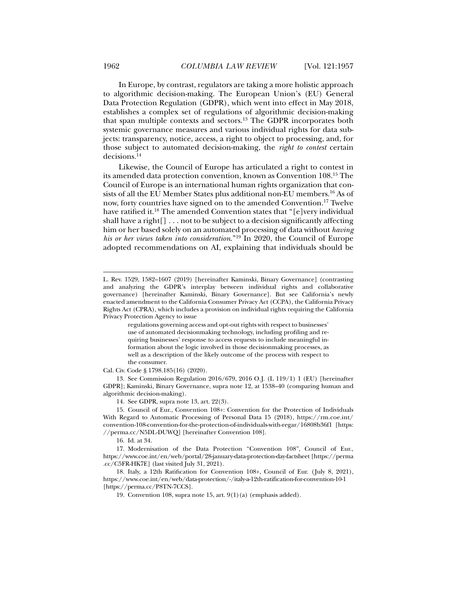In Europe, by contrast, regulators are taking a more holistic approach to algorithmic decision-making. The European Union's (EU) General Data Protection Regulation (GDPR), which went into effect in May 2018, establishes a complex set of regulations of algorithmic decision-making that span multiple contexts and sectors.13 The GDPR incorporates both systemic governance measures and various individual rights for data subjects: transparency, notice, access, a right to object to processing, and, for those subject to automated decision-making, the *right to contest* certain decisions.14

Likewise, the Council of Europe has articulated a right to contest in its amended data protection convention, known as Convention 108.15 The Council of Europe is an international human rights organization that consists of all the EU Member States plus additional non-EU members.16 As of now, forty countries have signed on to the amended Convention.17 Twelve have ratified it.<sup>18</sup> The amended Convention states that "[e]very individual shall have a right[] . . . not to be subject to a decision significantly affecting him or her based solely on an automated processing of data without *having his or her views taken into consideration*."19 In 2020, the Council of Europe adopted recommendations on AI, explaining that individuals should be

regulations governing access and opt‐out rights with respect to businesses' use of automated decisionmaking technology, including profiling and requiring businesses' response to access requests to include meaningful information about the logic involved in those decisionmaking processes, as well as a description of the likely outcome of the process with respect to the consumer.

Cal. Civ. Code § 1798.185(16) (2020).

 13. See Commission Regulation 2016/679, 2016 O.J. (L 119/1) 1 (EU) [hereinafter GDPR]; Kaminski, Binary Governance, supra note 12, at 1538–40 (comparing human and algorithmic decision-making).

14. See GDPR, supra note 13, art. 22(3).

 15. Council of Eur., Convention 108+: Convention for the Protection of Individuals With Regard to Automatic Processing of Personal Data 15 (2018), https://rm.coe.int/ convention-108-convention-for-the-protection-of-individuals-with-regar/16808b36f1 [https: //perma.cc/N5DL-DUWQ] [hereinafter Convention 108].

16. Id. at 34.

 17. Modernisation of the Data Protection "Convention 108", Council of Eur., https://www.coe.int/en/web/portal/28-january-data-protection-day-factsheet [https://perma .cc/C5FR-HK7E] (last visited July 31, 2021).

 18. Italy, a 12th Ratification for Convention 108+, Council of Eur. (July 8, 2021), https://www.coe.int/en/web/data-protection/-/italy-a-12th-ratification-for-convention-10-1 [https://perma.cc/P8TN-7CCS].

19. Convention 108, supra note 15, art. 9(1)(a) (emphasis added).

L. Rev. 1529, 1582–1607 (2019) [hereinafter Kaminski, Binary Governance] (contrasting and analyzing the GDPR's interplay between individual rights and collaborative governance) [hereinafter Kaminski, Binary Governance]. But see California's newly enacted amendment to the California Consumer Privacy Act (CCPA), the California Privacy Rights Act (CPRA), which includes a provision on individual rights requiring the California Privacy Protection Agency to issue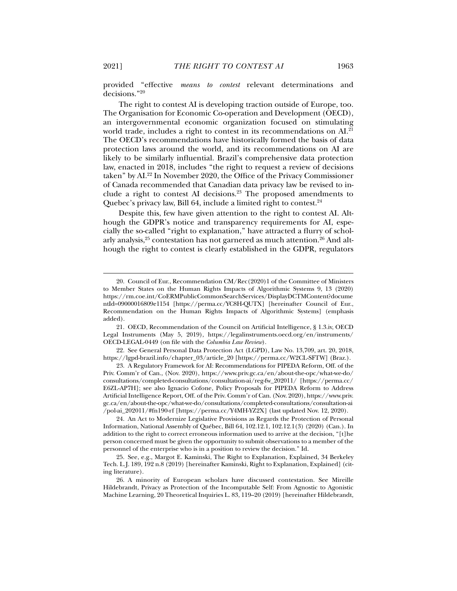provided "effective *means to contest* relevant determinations and decisions."20

The right to contest AI is developing traction outside of Europe, too. The Organisation for Economic Co-operation and Development (OECD), an intergovernmental economic organization focused on stimulating world trade, includes a right to contest in its recommendations on AI.<sup>21</sup> The OECD's recommendations have historically formed the basis of data protection laws around the world, and its recommendations on AI are likely to be similarly influential. Brazil's comprehensive data protection law, enacted in 2018, includes "the right to request a review of decisions taken" by AI.22 In November 2020, the Office of the Privacy Commissioner of Canada recommended that Canadian data privacy law be revised to include a right to contest AI decisions.<sup>23</sup> The proposed amendments to Quebec's privacy law, Bill 64, include a limited right to contest. $24$ 

Despite this, few have given attention to the right to contest AI. Although the GDPR's notice and transparency requirements for AI, especially the so-called "right to explanation," have attracted a flurry of scholarly analysis, $^{25}$  contestation has not garnered as much attention.  $^{26}$  And although the right to contest is clearly established in the GDPR, regulators

 <sup>20.</sup> Council of Eur., Recommendation CM/Rec(2020)1 of the Committee of Ministers to Member States on the Human Rights Impacts of Algorithmic Systems 9, 13 (2020) https://rm.coe.int/CoERMPublicCommonSearchServices/DisplayDCTMContent?docume ntId=09000016809e1154 [https://perma.cc/YC8H-QUTX] [hereinafter Council of Eur., Recommendation on the Human Rights Impacts of Algorithmic Systems] (emphasis added).

 <sup>21.</sup> OECD, Recommendation of the Council on Artificial Intelligence, § 1.3.iv, OECD Legal Instruments (May 5, 2019), https://legalinstruments.oecd.org/en/instruments/ OECD-LEGAL-0449 (on file with the *Columbia Law Review*).

 <sup>22.</sup> See General Personal Data Protection Act (LGPD), Law No. 13,709, art. 20, 2018, https://lgpd-brazil.info/chapter\_03/article\_20 [https://perma.cc/W2CL-SFTW] (Braz.).

 <sup>23.</sup> A Regulatory Framework for AI: Recommendations for PIPEDA Reform, Off. of the Priv. Comm'r of Can., (Nov. 2020), https://www.priv.gc.ca/en/about-the-opc/what-we-do/ consultations/completed-consultations/consultation-ai/reg-fw\_202011/ [https://perma.cc/ E6ZL-AP7H]; see also Ignacio Cofone, Policy Proposals for PIPEDA Reform to Address Artificial Intelligence Report, Off. of the Priv. Comm'r of Can. (Nov. 2020), https://www.priv. gc.ca/en/about-the-opc/what-we-do/consultations/completed-consultations/consultation-ai /pol-ai\_202011/#fn190-rf [https://perma.cc/Y4MH-YZ2X] (last updated Nov. 12, 2020).

 <sup>24.</sup> An Act to Modernize Legislative Provisions as Regards the Protection of Personal Information, National Assembly of Québec, Bill 64, 102.12.1, 102.12.1(3) (2020) (Can.). In addition to the right to correct erroneous information used to arrive at the decision, "[t]he person concerned must be given the opportunity to submit observations to a member of the personnel of the enterprise who is in a position to review the decision." Id.

 <sup>25.</sup> See, e.g., Margot E. Kaminski, The Right to Explanation, Explained, 34 Berkeley Tech. L.J. 189, 192 n.8 (2019) [hereinafter Kaminski, Right to Explanation, Explained] (citing literature).

 <sup>26.</sup> A minority of European scholars have discussed contestation. See Mireille Hildebrandt, Privacy as Protection of the Incomputable Self: From Agnostic to Agonistic Machine Learning, 20 Theoretical Inquiries L. 83, 119–20 (2019) [hereinafter Hildebrandt,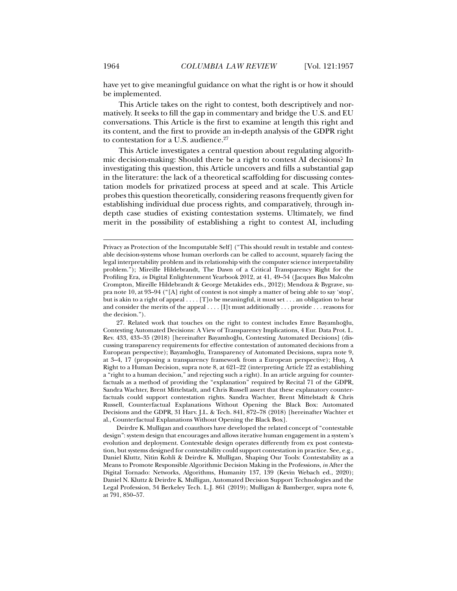have yet to give meaningful guidance on what the right is or how it should be implemented.

This Article takes on the right to contest, both descriptively and normatively. It seeks to fill the gap in commentary and bridge the U.S. and EU conversations. This Article is the first to examine at length this right and its content, and the first to provide an in-depth analysis of the GDPR right to contestation for a U.S. audience.<sup>27</sup>

This Article investigates a central question about regulating algorithmic decision-making: Should there be a right to contest AI decisions? In investigating this question, this Article uncovers and fills a substantial gap in the literature: the lack of a theoretical scaffolding for discussing contestation models for privatized process at speed and at scale. This Article probes this question theoretically, considering reasons frequently given for establishing individual due process rights, and comparatively, through indepth case studies of existing contestation systems. Ultimately, we find merit in the possibility of establishing a right to contest AI, including

Privacy as Protection of the Incomputable Self] ("This should result in testable and contestable decision-systems whose human overlords can be called to account, squarely facing the legal interpretability problem and its relationship with the computer science interpretability problem."); Mireille Hildebrandt, The Dawn of a Critical Transparency Right for the Profiling Era, *in* Digital Enlightenment Yearbook 2012, at 41, 49–54 (Jacques Bus Malcolm Crompton, Mireille Hildebrandt & George Metakides eds., 2012); Mendoza & Bygrave, supra note 10, at 93–94 ("[A] right of contest is not simply a matter of being able to say 'stop', but is akin to a right of appeal . . . . [T]o be meaningful, it must set . . . an obligation to hear and consider the merits of the appeal . . . . [I]t must additionally . . . provide . . . reasons for the decision.").

 <sup>27.</sup> Related work that touches on the right to contest includes Emre Bayamlıoğlu, Contesting Automated Decisions: A View of Transparency Implications, 4 Eur. Data Prot. L. Rev. 433, 433–35 (2018) [hereinafter Bayamlıoğlu, Contesting Automated Decisions] (discussing transparency requirements for effective contestation of automated decisions from a European perspective); Bayamlıoğlu, Transparency of Automated Decisions, supra note 9, at 3–4, 17 (proposing a transparency framework from a European perspective); Huq, A Right to a Human Decision, supra note 8, at 621–22 (interpreting Article 22 as establishing a "right to a human decision," and rejecting such a right). In an article arguing for counterfactuals as a method of providing the "explanation" required by Recital 71 of the GDPR, Sandra Wachter, Brent Mittelstadt, and Chris Russell assert that these explanatory counterfactuals could support contestation rights. Sandra Wachter, Brent Mittelstadt & Chris Russell, Counterfactual Explanations Without Opening the Black Box: Automated Decisions and the GDPR, 31 Harv. J.L. & Tech. 841, 872–78 (2018) [hereinafter Wachter et al., Counterfactual Explanations Without Opening the Black Box].

Deirdre K. Mulligan and coauthors have developed the related concept of "contestable design": system design that encourages and allows iterative human engagement in a system's evolution and deployment. Contestable design operates differently from ex post contestation, but systems designed for contestability could support contestation in practice. See, e.g., Daniel Kluttz, Nitin Kohli & Deirdre K. Mulligan, Shaping Our Tools: Contestability as a Means to Promote Responsible Algorithmic Decision Making in the Professions, *in* After the Digital Tornado: Networks, Algorithms, Humanity 137, 139 (Kevin Webach ed., 2020); Daniel N. Kluttz & Deirdre K. Mulligan, Automated Decision Support Technologies and the Legal Profession, 34 Berkeley Tech. L.J. 861 (2019); Mulligan & Bamberger, supra note 6, at 791, 850–57.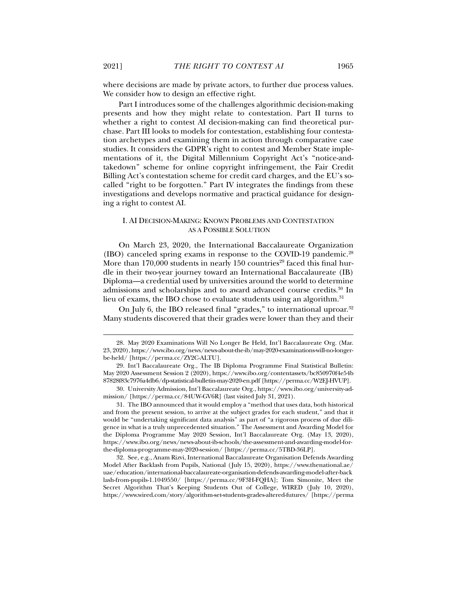where decisions are made by private actors, to further due process values. We consider how to design an effective right.

Part I introduces some of the challenges algorithmic decision-making presents and how they might relate to contestation. Part II turns to whether a right to contest AI decision-making can find theoretical purchase. Part III looks to models for contestation, establishing four contestation archetypes and examining them in action through comparative case studies. It considers the GDPR's right to contest and Member State implementations of it, the Digital Millennium Copyright Act's "notice-andtakedown" scheme for online copyright infringement, the Fair Credit Billing Act's contestation scheme for credit card charges, and the EU's socalled "right to be forgotten." Part IV integrates the findings from these investigations and develops normative and practical guidance for designing a right to contest AI.

#### I. AI DECISION-MAKING: KNOWN PROBLEMS AND CONTESTATION AS A POSSIBLE SOLUTION

On March 23, 2020, the International Baccalaureate Organization (IBO) canceled spring exams in response to the COVID-19 pandemic.<sup>28</sup> More than 170,000 students in nearly 150 countries<sup>29</sup> faced this final hurdle in their two-year journey toward an International Baccalaureate (IB) Diploma—a credential used by universities around the world to determine admissions and scholarships and to award advanced course credits.<sup>30</sup> In lieu of exams, the IBO chose to evaluate students using an algorithm.<sup>31</sup>

On July 6, the IBO released final "grades," to international uproar.<sup>32</sup> Many students discovered that their grades were lower than they and their

 30. University Admission, Int'l Baccalaureate Org., https://www.ibo.org/university-admission/ [https://perma.cc/84UW-GV6R] (last visited July 31, 2021).

 31. The IBO announced that it would employ a "method that uses data, both historical and from the present session, to arrive at the subject grades for each student," and that it would be "undertaking significant data analysis" as part of "a rigorous process of due diligence in what is a truly unprecedented situation." The Assessment and Awarding Model for the Diploma Programme May 2020 Session, Int'l Baccalaureate Org. (May 13, 2020), https://www.ibo.org/news/news-about-ib-schools/the-assessment-and-awarding-model-forthe-diploma-programme-may-2020-session/ [https://perma.cc/5TBD-36LP].

 32. See, e.g., Anam Rizvi, International Baccalaureate Organisation Defends Awarding Model After Backlash from Pupils, National (July 15, 2020), https://www.thenational.ae/ uae/education/international-baccalaureate-organisation-defends-awarding-model-after-back lash-from-pupils-1.1049550/ [https://perma.cc/9F3H-FQHA]; Tom Simonite, Meet the Secret Algorithm That's Keeping Students Out of College, WIRED (July 10, 2020), https://www.wired.com/story/algorithm-set-students-grades-altered-futures/ [https://perma

 <sup>28.</sup> May 2020 Examinations Will No Longer Be Held, Int'l Baccalaureate Org. (Mar. 23, 2020), https://www.ibo.org/news/news-about-the-ib/may-2020-examinations-will-no-longerbe-held/ [https://perma.cc/ZY2C-ALTU].

 <sup>29.</sup> Int'l Baccalaureate Org., The IB Diploma Programme Final Statistical Bulletin: May 2020 Assessment Session 2 (2020), https://www.ibo.org/contentassets/bc850970f4e54b 87828f83c7976a4db6/dp-statistical-bulletin-may-2020-en.pdf [https://perma.cc/W2EJ-HVUP].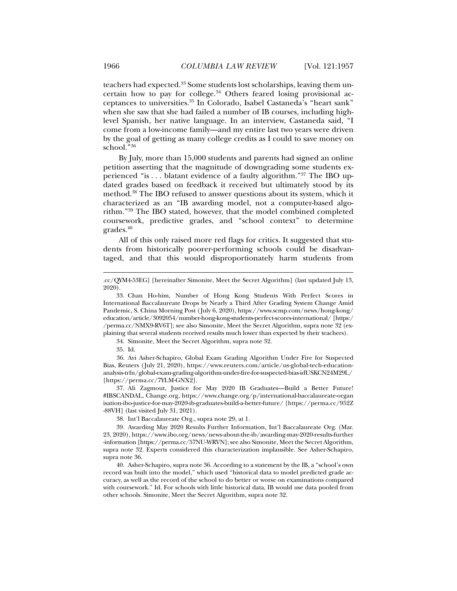teachers had expected.<sup>33</sup> Some students lost scholarships, leaving them uncertain how to pay for college. $34$  Others feared losing provisional acceptances to universities.35 In Colorado, Isabel Castaneda's "heart sank" when she saw that she had failed a number of IB courses, including highlevel Spanish, her native language. In an interview, Castaneda said, "I come from a low-income family—and my entire last two years were driven by the goal of getting as many college credits as I could to save money on school."36

By July, more than 15,000 students and parents had signed an online petition asserting that the magnitude of downgrading some students experienced "is . . . blatant evidence of a faulty algorithm."37 The IBO updated grades based on feedback it received but ultimately stood by its method.38 The IBO refused to answer questions about its system, which it characterized as an "IB awarding model, not a computer-based algorithm."39 The IBO stated, however, that the model combined completed coursework, predictive grades, and "school context" to determine grades.40

All of this only raised more red flags for critics. It suggested that students from historically poorer-performing schools could be disadvantaged, and that this would disproportionately harm students from

34. Simonite, Meet the Secret Algorithm, supra note 32.

35. Id.

 $\overline{a}$ 

 36. Avi Asher-Schapiro, Global Exam Grading Algorithm Under Fire for Suspected Bias, Reuters (July 21, 2020), https://www.reuters.com/article/us-global-tech-educationanalysis-trfn/global-exam-grading-algorithm-under-fire-for-suspected-bias-idUSKCN24M29L/ [https://perma.cc/7YLM-GNX2].

 37. Ali Zagmout, Justice for May 2020 IB Graduates—Build a Better Future! #IBSCANDAL, Change.org, https://www.change.org/p/international-baccalaureate-organ isation-ibo-justice-for-may-2020-ib-graduates-build-a-better-future/ [https://perma.cc/952Z -88VH] (last visited July 31, 2021).

38. Int'l Baccalaureate Org., supra note 29, at 1.

 40. Asher-Schapiro, supra note 36. According to a statement by the IB, a "school's own record was built into the model," which used "historical data to model predicted grade accuracy, as well as the record of the school to do better or worse on examinations compared with coursework." Id. For schools with little historical data, IB would use data pooled from other schools. Simonite, Meet the Secret Algorithm, supra note 32.

<sup>.</sup>cc/QYM4-53EG] [hereinafter Simonite, Meet the Secret Algorithm] (last updated July 13, 2020).

 <sup>33.</sup> Chan Ho-him, Number of Hong Kong Students With Perfect Scores in International Baccalaureate Drops by Nearly a Third After Grading System Change Amid Pandemic, S. China Morning Post (July 6, 2020), https://www.scmp.com/news/hong-kong/ education/article/3092054/number-hong-kong-students-perfect-scores-international/ [https:/ /perma.cc/NMX9-RV6T]; see also Simonite, Meet the Secret Algorithm, supra note 32 (explaining that several students received results much lower than expected by their teachers).

 <sup>39.</sup> Awarding May 2020 Results Further Information, Int'l Baccalaureate Org. (Mar. 23, 2020), https://www.ibo.org/news/news-about-the-ib/awarding-may-2020-results-further -information [https://perma.cc/57NU-WRVN]; see also Simonite, Meet the Secret Algorithm, supra note 32. Experts considered this characterization implausible. See Asher-Schapiro, supra note 36.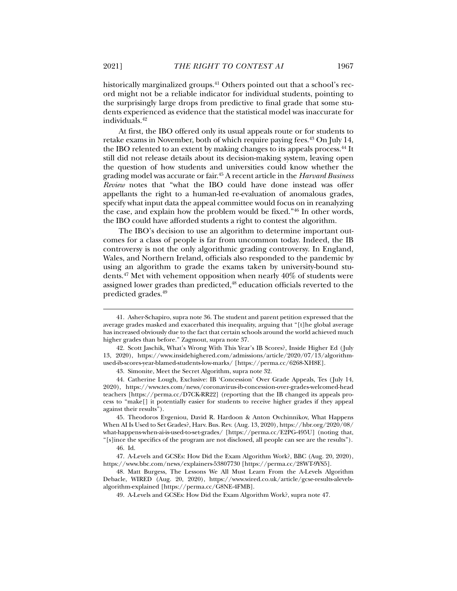historically marginalized groups.<sup>41</sup> Others pointed out that a school's record might not be a reliable indicator for individual students, pointing to the surprisingly large drops from predictive to final grade that some students experienced as evidence that the statistical model was inaccurate for individuals.42

At first, the IBO offered only its usual appeals route or for students to retake exams in November, both of which require paying fees.<sup>43</sup> On July 14, the IBO relented to an extent by making changes to its appeals process.<sup>44</sup> It still did not release details about its decision-making system, leaving open the question of how students and universities could know whether the grading model was accurate or fair.45 A recent article in the *Harvard Business Review* notes that "what the IBO could have done instead was offer appellants the right to a human-led re-evaluation of anomalous grades, specify what input data the appeal committee would focus on in reanalyzing the case, and explain how the problem would be fixed."46 In other words, the IBO could have afforded students a right to contest the algorithm.

The IBO's decision to use an algorithm to determine important outcomes for a class of people is far from uncommon today. Indeed, the IB controversy is not the only algorithmic grading controversy. In England, Wales, and Northern Ireland, officials also responded to the pandemic by using an algorithm to grade the exams taken by university-bound students.47 Met with vehement opposition when nearly 40% of students were assigned lower grades than predicted,<sup>48</sup> education officials reverted to the predicted grades.49

 <sup>41.</sup> Asher-Schapiro, supra note 36. The student and parent petition expressed that the average grades masked and exacerbated this inequality, arguing that "[t]he global average has increased obviously due to the fact that certain schools around the world achieved much higher grades than before." Zagmout, supra note 37.

 <sup>42.</sup> Scott Jaschik, What's Wrong With This Year's IB Scores?, Inside Higher Ed (July 13, 2020), https://www.insidehighered.com/admissions/article/2020/07/13/algorithmused-ib-scores-year-blamed-students-low-marks/ [https://perma.cc/6268-XH8E].

 <sup>43.</sup> Simonite, Meet the Secret Algorithm, supra note 32.

 <sup>44.</sup> Catherine Lough, Exclusive: IB 'Concession' Over Grade Appeals, Tes (July 14, 2020), https://www.tes.com/news/coronavirus-ib-concession-over-grades-welcomed-head teachers [https://perma.cc/D7CK-RR22] (reporting that the IB changed its appeals process to "make[] it potentially easier for students to receive higher grades if they appeal against their results").

 <sup>45.</sup> Theodoros Evgeniou, David R. Hardoon & Anton Ovchinnikov, What Happens When AI Is Used to Set Grades?, Harv. Bus. Rev. (Aug. 13, 2020), https://hbr.org/2020/08/ what-happens-when-ai-is-used-to-set-grades/ [https://perma.cc/E2PG-495U] (noting that, "[s]ince the specifics of the program are not disclosed, all people can see are the results").

 <sup>46.</sup> Id.

 <sup>47.</sup> A-Levels and GCSEs: How Did the Exam Algorithm Work?, BBC (Aug. 20, 2020), https://www.bbc.com/news/explainers-53807730 [https://perma.cc/28WT-9YS5].

 <sup>48.</sup> Matt Burgess, The Lessons We All Must Learn From the A-Levels Algorithm Debacle, WIRED (Aug. 20, 2020), https://www.wired.co.uk/article/gcse-results-alevelsalgorithm-explained [https://perma.cc/G8NE-4FMB].

 <sup>49.</sup> A-Levels and GCSEs: How Did the Exam Algorithm Work?, supra note 47.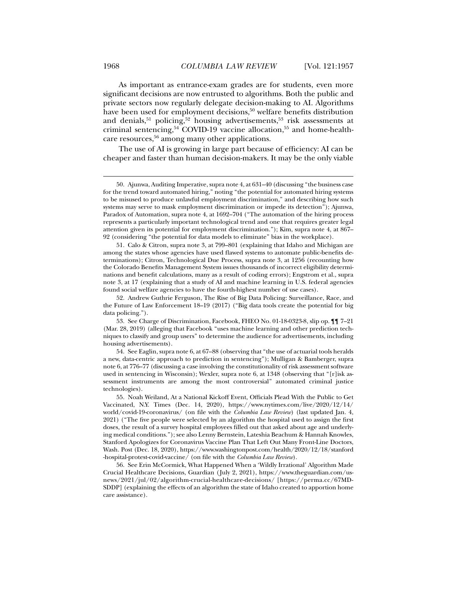As important as entrance-exam grades are for students, even more significant decisions are now entrusted to algorithms. Both the public and private sectors now regularly delegate decision-making to AI. Algorithms have been used for employment decisions,<sup>50</sup> welfare benefits distribution and denials,  $51$  policing,  $52$  housing advertisements,  $53$  risk assessments at criminal sentencing,<sup>54</sup> COVID-19 vaccine allocation,<sup>55</sup> and home-healthcare resources,56 among many other applications.

The use of AI is growing in large part because of efficiency: AI can be cheaper and faster than human decision-makers. It may be the only viable

 <sup>50.</sup> Ajunwa, Auditing Imperative, supra note 4, at 631–40 (discussing "the business case for the trend toward automated hiring," noting "the potential for automated hiring systems to be misused to produce unlawful employment discrimination," and describing how such systems may serve to mask employment discrimination or impede its detection"); Ajunwa, Paradox of Automation, supra note 4, at 1692–704 ("The automation of the hiring process represents a particularly important technological trend and one that requires greater legal attention given its potential for employment discrimination."); Kim, supra note 4, at 867– 92 (considering "the potential for data models to eliminate" bias in the workplace).

 <sup>51.</sup> Calo & Citron, supra note 3, at 799–801 (explaining that Idaho and Michigan are among the states whose agencies have used flawed systems to automate public-benefits determinations); Citron, Technological Due Process, supra note 3, at 1256 (recounting how the Colorado Benefits Management System issues thousands of incorrect eligibility determinations and benefit calculations, many as a result of coding errors); Engstrom et al., supra note 3, at 17 (explaining that a study of AI and machine learning in U.S. federal agencies found social welfare agencies to have the fourth-highest number of use cases).

 <sup>52.</sup> Andrew Guthrie Ferguson, The Rise of Big Data Policing: Surveillance, Race, and the Future of Law Enforcement 18–19 (2017) ("Big data tools create the potential for big data policing.").

 <sup>53.</sup> See Charge of Discrimination, Facebook, FHEO No. 01-18-0323-8, slip op. ¶¶ 7–21 (Mar. 28, 2019) (alleging that Facebook "uses machine learning and other prediction techniques to classify and group users" to determine the audience for advertisements, including housing advertisements).

 <sup>54.</sup> See Eaglin, supra note 6, at 67–88 (observing that "the use of actuarial tools heralds a new, data-centric approach to prediction in sentencing"); Mulligan & Bamberger, supra note 6, at 776–77 (discussing a case involving the constitutionality of risk assessment software used in sentencing in Wisconsin); Wexler, supra note 6, at 1348 (observing that "[r]isk assessment instruments are among the most controversial" automated criminal justice technologies).

 <sup>55.</sup> Noah Weiland, At a National Kickoff Event, Officials Plead With the Public to Get Vaccinated, N.Y. Times (Dec. 14, 2020), https://www.nytimes.com/live/2020/12/14/ world/covid-19-coronavirus/ (on file with the *Columbia Law Review*) (last updated Jan. 4, 2021) ("The five people were selected by an algorithm the hospital used to assign the first doses, the result of a survey hospital employees filled out that asked about age and underlying medical conditions."); see also Lenny Bernstein, Lateshia Beachum & Hannah Knowles, Stanford Apologizes for Coronavirus Vaccine Plan That Left Out Many Front-Line Doctors, Wash. Post (Dec. 18, 2020), https://www.washingtonpost.com/health/2020/12/18/stanford -hospital-protest-covid-vaccine/ (on file with the *Columbia Law Review*).

 <sup>56.</sup> See Erin McCormick, What Happened When a 'Wildly Irrational' Algorithm Made Crucial Healthcare Decisions, Guardian (July 2, 2021), https://www.theguardian.com/usnews/2021/jul/02/algorithm-crucial-healthcare-decisions/ [https://perma.cc/67MD-SDDP] (explaining the effects of an algorithm the state of Idaho created to apportion home care assistance).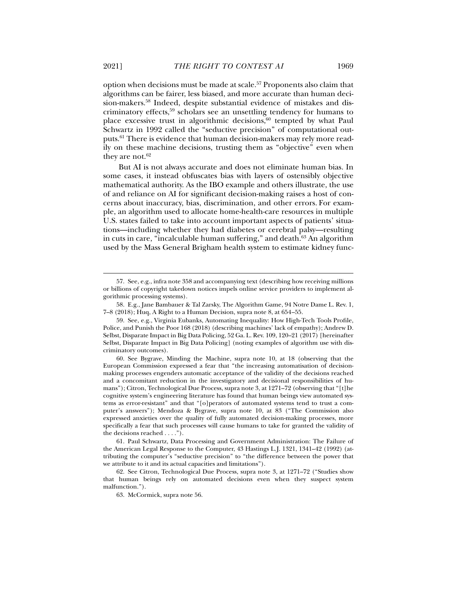option when decisions must be made at scale.<sup>57</sup> Proponents also claim that algorithms can be fairer, less biased, and more accurate than human decision-makers.58 Indeed, despite substantial evidence of mistakes and discriminatory effects,59 scholars see an unsettling tendency for humans to place excessive trust in algorithmic decisions, $60$  tempted by what Paul Schwartz in 1992 called the "seductive precision" of computational outputs.61 There is evidence that human decision-makers may rely more readily on these machine decisions, trusting them as "objective" even when they are not. $62$ 

But AI is not always accurate and does not eliminate human bias. In some cases, it instead obfuscates bias with layers of ostensibly objective mathematical authority. As the IBO example and others illustrate, the use of and reliance on AI for significant decision-making raises a host of concerns about inaccuracy, bias, discrimination, and other errors. For example, an algorithm used to allocate home-health-care resources in multiple U.S. states failed to take into account important aspects of patients' situations—including whether they had diabetes or cerebral palsy—resulting in cuts in care, "incalculable human suffering," and death. $63$  An algorithm used by the Mass General Brigham health system to estimate kidney func-

 61. Paul Schwartz, Data Processing and Government Administration: The Failure of the American Legal Response to the Computer, 43 Hastings L.J. 1321, 1341–42 (1992) (attributing the computer's "seductive precision" to "the difference between the power that we attribute to it and its actual capacities and limitations").

 <sup>57.</sup> See, e.g., infra note 358 and accompanying text (describing how receiving millions or billions of copyright takedown notices impels online service providers to implement algorithmic processing systems).

 <sup>58.</sup> E.g., Jane Bambauer & Tal Zarsky, The Algorithm Game, 94 Notre Dame L. Rev. 1, 7–8 (2018); Huq, A Right to a Human Decision, supra note 8, at 654 –55.

 <sup>59.</sup> See, e.g., Virginia Eubanks, Automating Inequality: How High-Tech Tools Profile, Police, and Punish the Poor 168 (2018) (describing machines' lack of empathy); Andrew D. Selbst, Disparate Impact in Big Data Policing, 52 Ga. L. Rev. 109, 120–21 (2017) [hereinafter Selbst, Disparate Impact in Big Data Policing] (noting examples of algorithm use with discriminatory outcomes).

 <sup>60.</sup> See Bygrave, Minding the Machine, supra note 10, at 18 (observing that the European Commission expressed a fear that "the increasing automatisation of decisionmaking processes engenders automatic acceptance of the validity of the decisions reached and a concomitant reduction in the investigatory and decisional responsibilities of humans"); Citron, Technological Due Process, supra note 3, at 1271–72 (observing that "[t]he cognitive system's engineering literature has found that human beings view automated systems as error-resistant" and that "[o]perators of automated systems tend to trust a computer's answers"); Mendoza & Bygrave, supra note 10, at 83 ("The Commission also expressed anxieties over the quality of fully automated decision-making processes, more specifically a fear that such processes will cause humans to take for granted the validity of the decisions reached . . . .").

 <sup>62.</sup> See Citron, Technological Due Process, supra note 3, at 1271–72 ("Studies show that human beings rely on automated decisions even when they suspect system malfunction.").

 <sup>63.</sup> McCormick, supra note 56.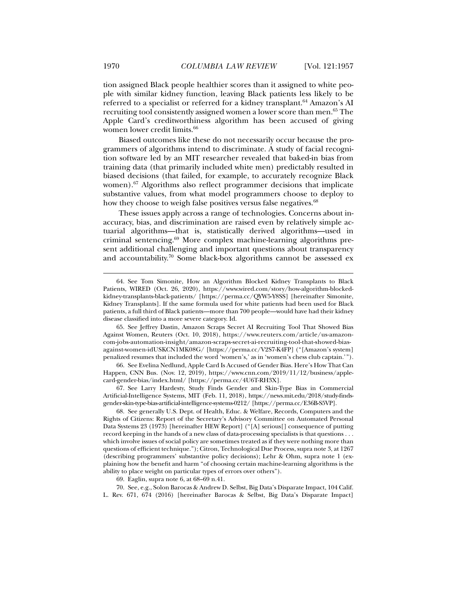tion assigned Black people healthier scores than it assigned to white people with similar kidney function, leaving Black patients less likely to be referred to a specialist or referred for a kidney transplant.<sup>64</sup> Amazon's AI recruiting tool consistently assigned women a lower score than men.65 The Apple Card's creditworthiness algorithm has been accused of giving women lower credit limits.<sup>66</sup>

Biased outcomes like these do not necessarily occur because the programmers of algorithms intend to discriminate. A study of facial recognition software led by an MIT researcher revealed that baked-in bias from training data (that primarily included white men) predictably resulted in biased decisions (that failed, for example, to accurately recognize Black women).<sup>67</sup> Algorithms also reflect programmer decisions that implicate substantive values, from what model programmers choose to deploy to how they choose to weigh false positives versus false negatives.<sup>68</sup>

These issues apply across a range of technologies. Concerns about inaccuracy, bias, and discrimination are raised even by relatively simple actuarial algorithms—that is, statistically derived algorithms—used in criminal sentencing.69 More complex machine-learning algorithms present additional challenging and important questions about transparency and accountability.<sup>70</sup> Some black-box algorithms cannot be assessed  $ex$ 

 66. See Evelina Nedlund, Apple Card Is Accused of Gender Bias. Here's How That Can Happen, CNN Bus. (Nov. 12, 2019), https://www.cnn.com/2019/11/12/business/applecard-gender-bias/index.html/ [https://perma.cc/4U6T-RH3X].

 67. See Larry Hardesty, Study Finds Gender and Skin-Type Bias in Commercial Artificial-Intelligence Systems, MIT (Feb. 11, 2018), https://news.mit.edu/2018/study-findsgender-skin-type-bias-artificial-intelligence-systems-0212/ [https://perma.cc/E36B-S5VP].

 68. See generally U.S. Dept. of Health, Educ. & Welfare, Records, Computers and the Rights of Citizens: Report of the Secretary's Advisory Committee on Automated Personal Data Systems 23 (1973) [hereinafter HEW Report] ("[A] serious[] consequence of putting record keeping in the hands of a new class of data-processing specialists is that questions . . . which involve issues of social policy are sometimes treated as if they were nothing more than questions of efficient technique."); Citron, Technological Due Process, supra note 3, at 1267 (describing programmers' substantive policy decisions); Lehr & Ohm, supra note 1 (explaining how the benefit and harm "of choosing certain machine-learning algorithms is the ability to place weight on particular types of errors over others").

69. Eaglin, supra note 6, at 68–69 n.41.

 70. See, e.g., Solon Barocas & Andrew D. Selbst, Big Data's Disparate Impact, 104 Calif. L. Rev. 671, 674 (2016) [hereinafter Barocas & Selbst, Big Data's Disparate Impact]

 <sup>64.</sup> See Tom Simonite, How an Algorithm Blocked Kidney Transplants to Black Patients, WIRED (Oct. 26, 2020), https://www.wired.com/story/how-algorithm-blockedkidney-transplants-black-patients/ [https://perma.cc/QYW5-Y8SS] [hereinafter Simonite, Kidney Transplants]. If the same formula used for white patients had been used for Black patients, a full third of Black patients—more than 700 people—would have had their kidney disease classified into a more severe category. Id.

 <sup>65.</sup> See Jeffrey Dastin, Amazon Scraps Secret AI Recruiting Tool That Showed Bias Against Women, Reuters (Oct. 10, 2018), https://www.reuters.com/article/us-amazoncom-jobs-automation-insight/amazon-scraps-secret-ai-recruiting-tool-that-showed-biasagainst-women-idUSKCN1MK08G/ [https://perma.cc/V2S7-K4FP] ("[Amazon's system] penalized resumes that included the word 'women's,' as in 'women's chess club captain.' ").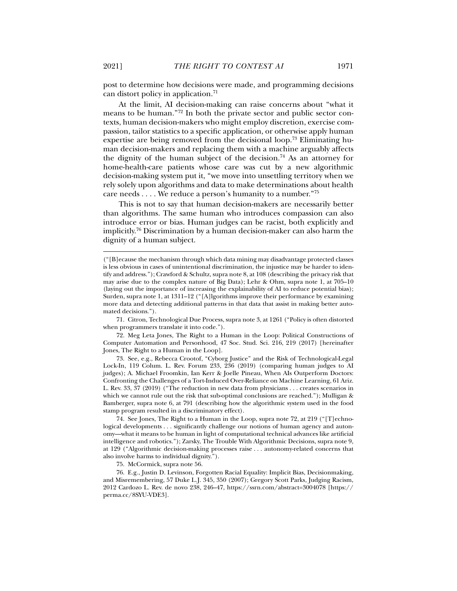post to determine how decisions were made, and programming decisions can distort policy in application.71

At the limit, AI decision-making can raise concerns about "what it means to be human."72 In both the private sector and public sector contexts, human decision-makers who might employ discretion, exercise compassion, tailor statistics to a specific application, or otherwise apply human expertise are being removed from the decisional loop.73 Eliminating human decision-makers and replacing them with a machine arguably affects the dignity of the human subject of the decision.<sup>74</sup> As an attorney for home-health-care patients whose care was cut by a new algorithmic decision-making system put it, "we move into unsettling territory when we rely solely upon algorithms and data to make determinations about health care needs . . . . We reduce a person's humanity to a number."75

This is not to say that human decision-makers are necessarily better than algorithms. The same human who introduces compassion can also introduce error or bias. Human judges can be racist, both explicitly and implicitly.76 Discrimination by a human decision-maker can also harm the dignity of a human subject.

 71. Citron, Technological Due Process, supra note 3, at 1261 ("Policy is often distorted when programmers translate it into code.").

 72. Meg Leta Jones, The Right to a Human in the Loop: Political Constructions of Computer Automation and Personhood, 47 Soc. Stud. Sci. 216, 219 (2017) [hereinafter Jones, The Right to a Human in the Loop].

 73. See, e.g., Rebecca Crootof, "Cyborg Justice" and the Risk of Technological-Legal Lock-In, 119 Colum. L. Rev. Forum 233, 236 (2019) (comparing human judges to AI judges); A. Michael Froomkin, Ian Kerr & Joelle Pineau, When AIs Outperform Doctors: Confronting the Challenges of a Tort-Induced Over-Reliance on Machine Learning, 61 Ariz. L. Rev. 33, 37 (2019) ("The reduction in new data from physicians . . . creates scenarios in which we cannot rule out the risk that sub-optimal conclusions are reached."); Mulligan & Bamberger, supra note 6, at 791 (describing how the algorithmic system used in the food stamp program resulted in a discriminatory effect).

 74. See Jones, The Right to a Human in the Loop, supra note 72, at 219 ("[T]echnological developments . . . significantly challenge our notions of human agency and autonomy—what it means to be human in light of computational technical advances like artificial intelligence and robotics."); Zarsky, The Trouble With Algorithmic Decisions, supra note 9, at 129 ("Algorithmic decision-making processes raise . . . autonomy-related concerns that also involve harms to individual dignity.").

75. McCormick, supra note 56.

 76. E.g., Justin D. Levinson, Forgotten Racial Equality: Implicit Bias, Decisionmaking, and Misremembering, 57 Duke L.J. 345, 350 (2007); Gregory Scott Parks, Judging Racism, 2012 Cardozo L. Rev. de novo 238, 246–47, https://ssrn.com/abstract=3004078 [https:// perma.cc/8SYU-VDE3].

<sup>(&</sup>quot;[B]ecause the mechanism through which data mining may disadvantage protected classes is less obvious in cases of unintentional discrimination, the injustice may be harder to identify and address."); Crawford & Schultz, supra note 8, at 108 (describing the privacy risk that may arise due to the complex nature of Big Data); Lehr & Ohm, supra note 1, at 705–10 (laying out the importance of increasing the explainability of AI to reduce potential bias); Surden, supra note 1, at 1311–12 ("[A]lgorithms improve their performance by examining more data and detecting additional patterns in that data that assist in making better automated decisions.").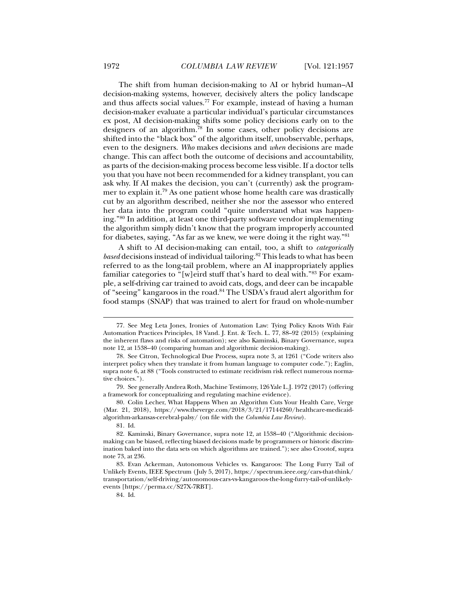The shift from human decision-making to AI or hybrid human–AI decision-making systems, however, decisively alters the policy landscape and thus affects social values.<sup>77</sup> For example, instead of having a human decision-maker evaluate a particular individual's particular circumstances ex post, AI decision-making shifts some policy decisions early on to the designers of an algorithm.78 In some cases, other policy decisions are shifted into the "black box" of the algorithm itself, unobservable, perhaps, even to the designers. *Who* makes decisions and *when* decisions are made change. This can affect both the outcome of decisions and accountability, as parts of the decision-making process become less visible. If a doctor tells you that you have not been recommended for a kidney transplant, you can ask why. If AI makes the decision, you can't (currently) ask the programmer to explain it.79 As one patient whose home health care was drastically cut by an algorithm described, neither she nor the assessor who entered her data into the program could "quite understand what was happening."80 In addition, at least one third-party software vendor implementing the algorithm simply didn't know that the program improperly accounted for diabetes, saying, "As far as we knew, we were doing it the right way."81

A shift to AI decision-making can entail, too, a shift to *categorically based* decisions instead of individual tailoring.<sup>82</sup> This leads to what has been referred to as the long-tail problem, where an AI inappropriately applies familiar categories to "[w]eird stuff that's hard to deal with."83 For example, a self-driving car trained to avoid cats, dogs, and deer can be incapable of "seeing" kangaroos in the road.<sup>84</sup> The USDA's fraud alert algorithm for food stamps (SNAP) that was trained to alert for fraud on whole-number

 $\overline{a}$ 

84. Id.

 <sup>77.</sup> See Meg Leta Jones, Ironies of Automation Law: Tying Policy Knots With Fair Automation Practices Principles, 18 Vand. J. Ent. & Tech. L. 77, 88–92 (2015) (explaining the inherent flaws and risks of automation); see also Kaminski, Binary Governance, supra note 12, at 1538–40 (comparing human and algorithmic decision-making).

 <sup>78.</sup> See Citron, Technological Due Process, supra note 3, at 1261 ("Code writers also interpret policy when they translate it from human language to computer code."); Eaglin, supra note 6, at 88 ("Tools constructed to estimate recidivism risk reflect numerous normative choices.").

 <sup>79.</sup> See generally Andrea Roth, Machine Testimony, 126 Yale L.J. 1972 (2017) (offering a framework for conceptualizing and regulating machine evidence).

 <sup>80.</sup> Colin Lecher, What Happens When an Algorithm Cuts Your Health Care, Verge (Mar. 21, 2018), https://www.theverge.com/2018/3/21/17144260/healthcare-medicaidalgorithm-arkansas-cerebral-palsy/ (on file with the *Columbia Law Review*).

 <sup>81.</sup> Id.

 <sup>82.</sup> Kaminski, Binary Governance, supra note 12, at 1538–40 ("Algorithmic decisionmaking can be biased, reflecting biased decisions made by programmers or historic discrimination baked into the data sets on which algorithms are trained."); see also Crootof, supra note 73, at 236.

 <sup>83.</sup> Evan Ackerman, Autonomous Vehicles vs. Kangaroos: The Long Furry Tail of Unlikely Events, IEEE Spectrum (July 5, 2017), https://spectrum.ieee.org/cars-that-think/ transportation/self-driving/autonomous-cars-vs-kangaroos-the-long-furry-tail-of-unlikelyevents [https://perma.cc/S27X-7RBT].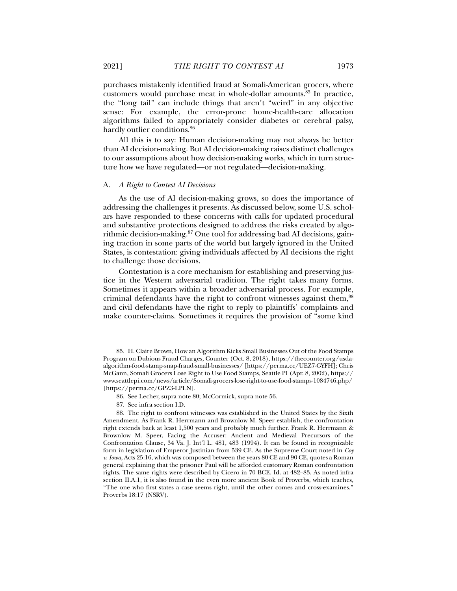purchases mistakenly identified fraud at Somali-American grocers, where

customers would purchase meat in whole-dollar amounts.85 In practice, the "long tail" can include things that aren't "weird" in any objective sense: For example, the error-prone home-health-care allocation algorithms failed to appropriately consider diabetes or cerebral palsy, hardly outlier conditions.<sup>86</sup>

All this is to say: Human decision-making may not always be better than AI decision-making. But AI decision-making raises distinct challenges to our assumptions about how decision-making works, which in turn structure how we have regulated—or not regulated—decision-making.

#### A. *A Right to Contest AI Decisions*

As the use of AI decision-making grows, so does the importance of addressing the challenges it presents. As discussed below, some U.S. scholars have responded to these concerns with calls for updated procedural and substantive protections designed to address the risks created by algorithmic decision-making.<sup>87</sup> One tool for addressing bad AI decisions, gaining traction in some parts of the world but largely ignored in the United States, is contestation: giving individuals affected by AI decisions the right to challenge those decisions.

Contestation is a core mechanism for establishing and preserving justice in the Western adversarial tradition. The right takes many forms. Sometimes it appears within a broader adversarial process. For example, criminal defendants have the right to confront witnesses against them,<sup>88</sup> and civil defendants have the right to reply to plaintiffs' complaints and make counter-claims. Sometimes it requires the provision of "some kind

87. See infra section I.D.

 <sup>85.</sup> H. Claire Brown, How an Algorithm Kicks Small Businesses Out of the Food Stamps Program on Dubious Fraud Charges, Counter (Oct. 8, 2018), https://thecounter.org/usdaalgorithm-food-stamp-snap-fraud-small-businesses/ [https://perma.cc/UEZ7-GYFH]; Chris McGann, Somali Grocers Lose Right to Use Food Stamps, Seattle PI (Apr. 8, 2002), https:// www.seattlepi.com/news/article/Somali-grocers-lose-right-to-use-food-stamps-1084746.php/ [https://perma.cc/GPZ3-LPLN].

 <sup>86.</sup> See Lecher, supra note 80; McCormick, supra note 56.

 <sup>88.</sup> The right to confront witnesses was established in the United States by the Sixth Amendment. As Frank R. Herrmann and Brownlow M. Speer establish, the confrontation right extends back at least 1,500 years and probably much further. Frank R. Herrmann & Brownlow M. Speer, Facing the Accuser: Ancient and Medieval Precursors of the Confrontation Clause, 34 Va. J. Int'l L. 481, 483 (1994). It can be found in recognizable form in legislation of Emperor Justinian from 539 CE. As the Supreme Court noted in *Coy v. Iowa*, Acts 25:16, which was composed between the years 80 CE and 90 CE, quotes a Roman general explaining that the prisoner Paul will be afforded customary Roman confrontation rights. The same rights were described by Cicero in 70 BCE. Id. at 482–83. As noted infra section II.A.1, it is also found in the even more ancient Book of Proverbs, which teaches, "The one who first states a case seems right, until the other comes and cross-examines." Proverbs 18:17 (NSRV).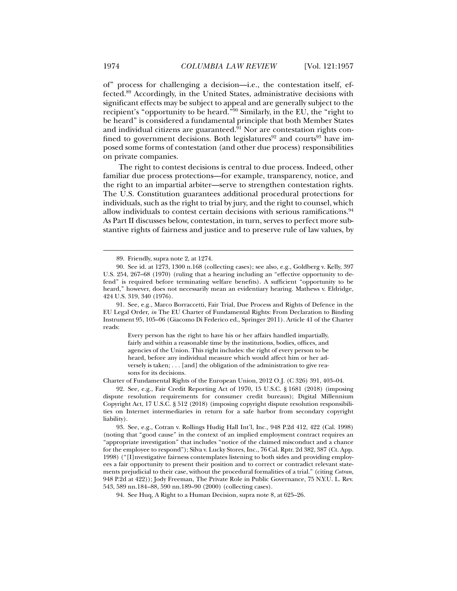of" process for challenging a decision—i.e., the contestation itself, effected.89 Accordingly, in the United States, administrative decisions with significant effects may be subject to appeal and are generally subject to the recipient's "opportunity to be heard."90 Similarly, in the EU, the "right to be heard" is considered a fundamental principle that both Member States and individual citizens are guaranteed.<sup>91</sup> Nor are contestation rights confined to government decisions. Both legislatures<sup>92</sup> and courts<sup>93</sup> have imposed some forms of contestation (and other due process) responsibilities on private companies.

The right to contest decisions is central to due process. Indeed, other familiar due process protections—for example, transparency, notice, and the right to an impartial arbiter—serve to strengthen contestation rights. The U.S. Constitution guarantees additional procedural protections for individuals, such as the right to trial by jury, and the right to counsel, which allow individuals to contest certain decisions with serious ramifications.<sup>94</sup> As Part II discusses below, contestation, in turn, serves to perfect more substantive rights of fairness and justice and to preserve rule of law values, by

Every person has the right to have his or her affairs handled impartially, fairly and within a reasonable time by the institutions, bodies, offices, and agencies of the Union. This right includes: the right of every person to be heard, before any individual measure which would affect him or her adversely is taken; . . . [and] the obligation of the administration to give reasons for its decisions.

Charter of Fundamental Rights of the European Union, 2012 O.J. (C 326) 391, 403–04.

 92. See, e.g., Fair Credit Reporting Act of 1970, 15 U.S.C. § 1681 (2018) (imposing dispute resolution requirements for consumer credit bureaus); Digital Millennium Copyright Act, 17 U.S.C. § 512 (2018) (imposing copyright dispute resolution responsibilities on Internet intermediaries in return for a safe harbor from secondary copyright liability).

 93. See, e.g., Cotran v. Rollings Hudig Hall Int'l, Inc., 948 P.2d 412, 422 (Cal. 1998) (noting that "good cause" in the context of an implied employment contract requires an "appropriate investigation" that includes "notice of the claimed misconduct and a chance for the employee to respond"); Silva v. Lucky Stores, Inc., 76 Cal. Rptr. 2d 382, 387 (Ct. App. 1998) ("[I]nvestigative fairness contemplates listening to both sides and providing employees a fair opportunity to present their position and to correct or contradict relevant statements prejudicial to their case, without the procedural formalities of a trial." (citing *Cotran*, 948 P.2d at 422)); Jody Freeman, The Private Role in Public Governance, 75 N.Y.U. L. Rev. 543, 589 nn.184 –88, 590 nn.189–90 (2000) (collecting cases).

94. See Huq, A Right to a Human Decision, supra note 8, at 625–26.

 <sup>89.</sup> Friendly, supra note 2, at 1274.

 <sup>90.</sup> See id. at 1273, 1300 n.168 (collecting cases); see also, e.g., Goldberg v. Kelly, 397 U.S. 254, 267–68 (1970) (ruling that a hearing including an "effective opportunity to defend" is required before terminating welfare benefits). A sufficient "opportunity to be heard," however, does not necessarily mean an evidentiary hearing. Mathews v. Eldridge, 424 U.S. 319, 340 (1976).

 <sup>91.</sup> See, e.g., Marco Borraccetti, Fair Trial, Due Process and Rights of Defence in the EU Legal Order, *in* The EU Charter of Fundamental Rights: From Declaration to Binding Instrument 95, 105–06 (Giacomo Di Federico ed., Springer 2011). Article 41 of the Charter reads: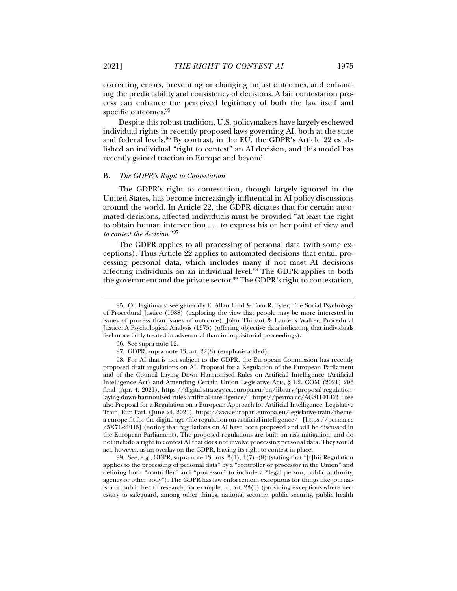correcting errors, preventing or changing unjust outcomes, and enhancing the predictability and consistency of decisions. A fair contestation process can enhance the perceived legitimacy of both the law itself and specific outcomes.<sup>95</sup>

Despite this robust tradition, U.S. policymakers have largely eschewed individual rights in recently proposed laws governing AI, both at the state and federal levels.96 By contrast, in the EU, the GDPR's Article 22 established an individual "right to contest" an AI decision, and this model has recently gained traction in Europe and beyond.

#### B. *The GDPR's Right to Contestation*

The GDPR's right to contestation, though largely ignored in the United States, has become increasingly influential in AI policy discussions around the world. In Article 22, the GDPR dictates that for certain automated decisions, affected individuals must be provided "at least the right to obtain human intervention . . . to express his or her point of view and *to contest the decision*."97

The GDPR applies to all processing of personal data (with some exceptions). Thus Article 22 applies to automated decisions that entail processing personal data, which includes many if not most AI decisions affecting individuals on an individual level.<sup>98</sup> The GDPR applies to both the government and the private sector.<sup>99</sup> The GDPR's right to contestation,

 $\overline{a}$ 

 99. See, e.g., GDPR, supra note 13, arts. 3(1), 4(7)–(8) (stating that "[t]his Regulation applies to the processing of personal data" by a "controller or processor in the Union" and defining both "controller" and "processor" to include a "legal person, public authority, agency or other body"). The GDPR has law enforcement exceptions for things like journalism or public health research, for example. Id. art. 23(1) (providing exceptions where necessary to safeguard, among other things, national security, public security, public health

 <sup>95.</sup> On legitimacy, see generally E. Allan Lind & Tom R. Tyler, The Social Psychology of Procedural Justice (1988) (exploring the view that people may be more interested in issues of process than issues of outcome); John Thibaut & Laurens Walker, Procedural Justice: A Psychological Analysis (1975) (offering objective data indicating that individuals feel more fairly treated in adversarial than in inquisitorial proceedings).

 <sup>96.</sup> See supra note 12.

 <sup>97.</sup> GDPR, supra note 13, art. 22(3) (emphasis added).

 <sup>98.</sup> For AI that is not subject to the GDPR, the European Commission has recently proposed draft regulations on AI. Proposal for a Regulation of the European Parliament and of the Council Laying Down Harmonised Rules on Artificial Intelligence (Artificial Intelligence Act) and Amending Certain Union Legislative Acts, § 1.2, COM (2021) 206 final (Apr. 4, 2021), https://digital-strategy.ec.europa.eu/en/library/proposal-regulationlaying-down-harmonised-rules-artificial-intelligence/ [https://perma.cc/AG8H-FLD2]; see also Proposal for a Regulation on a European Approach for Artificial Intelligence, Legislative Train, Eur. Parl. (June 24, 2021), https://www.europarl.europa.eu/legislative-train/themea-europe-fit-for-the-digital-age/file-regulation-on-artificial-intelligence/ [https://perma.cc /5X7L-2FH6] (noting that regulations on AI have been proposed and will be discussed in the European Parliament). The proposed regulations are built on risk mitigation, and do not include a right to contest AI that does not involve processing personal data. They would act, however, as an overlay on the GDPR, leaving its right to contest in place.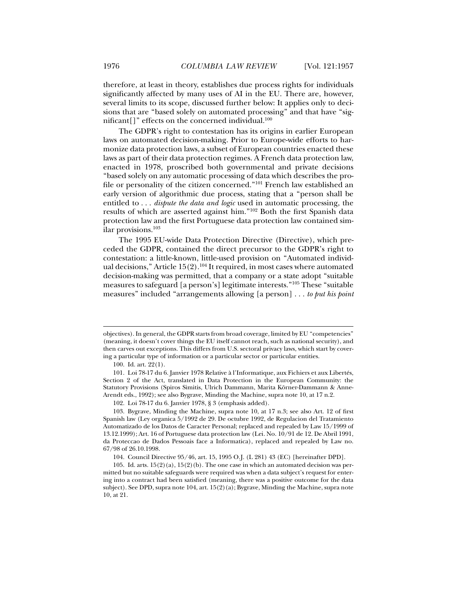therefore, at least in theory, establishes due process rights for individuals significantly affected by many uses of AI in the EU. There are, however, several limits to its scope, discussed further below: It applies only to decisions that are "based solely on automated processing" and that have "significant[]" effects on the concerned individual.<sup>100</sup>

The GDPR's right to contestation has its origins in earlier European laws on automated decision-making. Prior to Europe-wide efforts to harmonize data protection laws, a subset of European countries enacted these laws as part of their data protection regimes. A French data protection law, enacted in 1978, proscribed both governmental and private decisions "based solely on any automatic processing of data which describes the profile or personality of the citizen concerned."101 French law established an early version of algorithmic due process, stating that a "person shall be entitled to . . . *dispute the data and logic* used in automatic processing, the results of which are asserted against him."102 Both the first Spanish data protection law and the first Portuguese data protection law contained similar provisions.103

The 1995 EU-wide Data Protection Directive (Directive), which preceded the GDPR, contained the direct precursor to the GDPR's right to contestation: a little-known, little-used provision on "Automated individual decisions," Article  $15(2)$ .<sup>104</sup> It required, in most cases where automated decision-making was permitted, that a company or a state adopt "suitable measures to safeguard [a person's] legitimate interests."105 These "suitable measures" included "arrangements allowing [a person] . . . *to put his point* 

objectives). In general, the GDPR starts from broad coverage, limited by EU "competencies" (meaning, it doesn't cover things the EU itself cannot reach, such as national security), and then carves out exceptions. This differs from U.S. sectoral privacy laws, which start by covering a particular type of information or a particular sector or particular entities.

 <sup>100.</sup> Id. art. 22(1).

 <sup>101.</sup> Loi 78-17 du 6. Janvier 1978 Relative à l'Informatique, aux Fichiers et aux Libertés, Section 2 of the Act, translated in Data Protection in the European Community: the Statutory Provisions (Spiros Simitis, Ulrich Dammann, Marita Körner-Dammann & Anne-Arendt eds., 1992); see also Bygrave, Minding the Machine, supra note 10, at 17 n.2.

 <sup>102.</sup> Loi 78-17 du 6. Janvier 1978, § 3 (emphasis added).

 <sup>103.</sup> Bygrave, Minding the Machine, supra note 10, at 17 n.3; see also Art. 12 of first Spanish law (Ley organica 5/1992 de 29. De octubre 1992, de Regulacion del Tratamiento Automatizado de los Datos de Caracter Personal; replaced and repealed by Law 15/1999 of 13.12.1999); Art. 16 of Portuguese data protection law (Lei. No. 10/91 de 12. De Abril 1991, da Proteccao de Dados Pessoais face a Informatica), replaced and repealed by Law no. 67/98 of 26.10.1998.

 <sup>104.</sup> Council Directive 95/46, art. 15, 1995 O.J. (L 281) 43 (EC) [hereinafter DPD].

<sup>105.</sup> Id. arts.  $15(2)(a)$ ,  $15(2)(b)$ . The one case in which an automated decision was permitted but no suitable safeguards were required was when a data subject's request for entering into a contract had been satisfied (meaning, there was a positive outcome for the data subject). See DPD, supra note 104, art. 15(2)(a); Bygrave, Minding the Machine, supra note 10, at 21.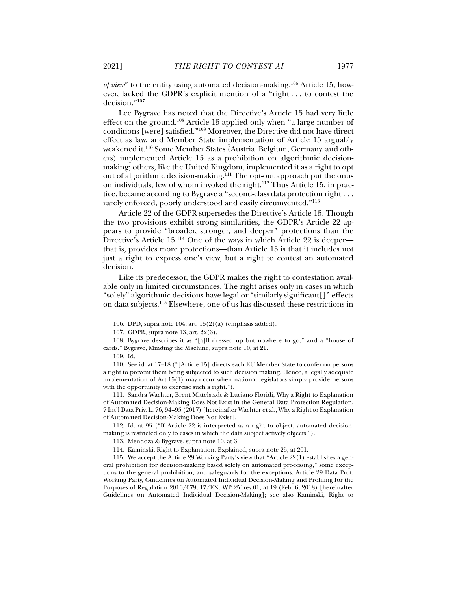*of view*" to the entity using automated decision-making.<sup>106</sup> Article 15, however, lacked the GDPR's explicit mention of a "right . . . to contest the decision."107

Lee Bygrave has noted that the Directive's Article 15 had very little effect on the ground.108 Article 15 applied only when "a large number of conditions [were] satisfied."109 Moreover, the Directive did not have direct effect as law, and Member State implementation of Article 15 arguably weakened it.110 Some Member States (Austria, Belgium, Germany, and others) implemented Article 15 as a prohibition on algorithmic decisionmaking; others, like the United Kingdom, implemented it as a right to opt out of algorithmic decision-making.111 The opt-out approach put the onus on individuals, few of whom invoked the right.<sup>112</sup> Thus Article 15, in practice, became according to Bygrave a "second-class data protection right . . . rarely enforced, poorly understood and easily circumvented."<sup>113</sup>

Article 22 of the GDPR supersedes the Directive's Article 15. Though the two provisions exhibit strong similarities, the GDPR's Article 22 appears to provide "broader, stronger, and deeper" protections than the Directive's Article 15.<sup>114</sup> One of the ways in which Article 22 is deeper that is, provides more protections—than Article 15 is that it includes not just a right to express one's view, but a right to contest an automated decision.

Like its predecessor, the GDPR makes the right to contestation available only in limited circumstances. The right arises only in cases in which "solely" algorithmic decisions have legal or "similarly significant[]" effects on data subjects.115 Elsewhere, one of us has discussed these restrictions in

 $\overline{a}$ 

 111. Sandra Wachter, Brent Mittelstadt & Luciano Floridi, Why a Right to Explanation of Automated Decision-Making Does Not Exist in the General Data Protection Regulation, 7 Int'l Data Priv. L. 76, 94 –95 (2017) [hereinafter Wachter et al., Why a Right to Explanation of Automated Decision-Making Does Not Exist].

 112. Id. at 95 ("If Article 22 is interpreted as a right to object, automated decisionmaking is restricted only to cases in which the data subject actively objects.").

 <sup>106.</sup> DPD, supra note 104, art. 15(2)(a) (emphasis added).

 <sup>107.</sup> GDPR, supra note 13, art. 22(3).

 <sup>108.</sup> Bygrave describes it as "[a]ll dressed up but nowhere to go," and a "house of cards." Bygrave*,* Minding the Machine, supra note 10, at 21.

 <sup>109.</sup> Id.

 <sup>110.</sup> See id. at 17–18 ("[Article 15] directs each EU Member State to confer on persons a right to prevent them being subjected to such decision making. Hence, a legally adequate implementation of Art.15(1) may occur when national legislators simply provide persons with the opportunity to exercise such a right.").

 <sup>113.</sup> Mendoza & Bygrave, supra note 10, at 3.

 <sup>114.</sup> Kaminski, Right to Explanation, Explained, supra note 25, at 201.

 <sup>115.</sup> We accept the Article 29 Working Party's view that "Article 22(1) establishes a general prohibition for decision-making based solely on automated processing," some exceptions to the general prohibition, and safeguards for the exceptions. Article 29 Data Prot. Working Party, Guidelines on Automated Individual Decision-Making and Profiling for the Purposes of Regulation 2016/679, 17/EN. WP 251rev.01, at 19 (Feb. 6, 2018) [hereinafter Guidelines on Automated Individual Decision-Making]; see also Kaminski, Right to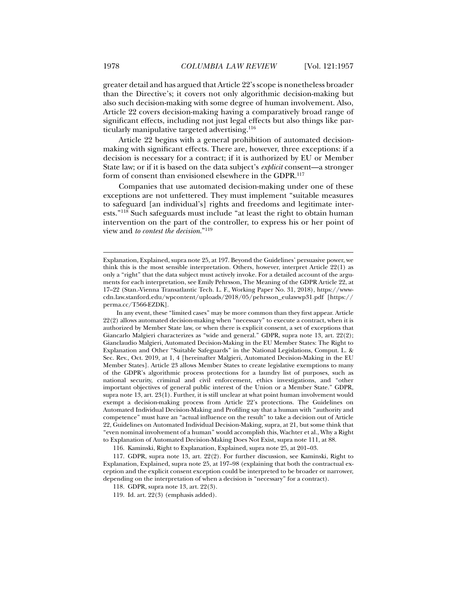greater detail and has argued that Article 22's scope is nonetheless broader than the Directive's; it covers not only algorithmic decision-making but also such decision-making with some degree of human involvement. Also, Article 22 covers decision-making having a comparatively broad range of significant effects, including not just legal effects but also things like particularly manipulative targeted advertising.<sup>116</sup>

Article 22 begins with a general prohibition of automated decisionmaking with significant effects. There are, however, three exceptions: if a decision is necessary for a contract; if it is authorized by EU or Member State law; or if it is based on the data subject's *explicit* consent—a stronger form of consent than envisioned elsewhere in the GDPR.<sup>117</sup>

Companies that use automated decision-making under one of these exceptions are not unfettered. They must implement "suitable measures to safeguard [an individual's] rights and freedoms and legitimate interests."118 Such safeguards must include "at least the right to obtain human intervention on the part of the controller, to express his or her point of view and *to contest the decision*."119

116. Kaminski, Right to Explanation, Explained, supra note 25, at 201–03.

 117. GDPR, supra note 13, art. 22(2). For further discussion, see Kaminski, Right to Explanation, Explained, supra note 25, at 197–98 (explaining that both the contractual exception and the explicit consent exception could be interpreted to be broader or narrower, depending on the interpretation of when a decision is "necessary" for a contract).

Explanation, Explained, supra note 25, at 197. Beyond the Guidelines' persuasive power, we think this is the most sensible interpretation. Others, however, interpret Article 22(1) as only a "right" that the data subject must actively invoke. For a detailed account of the arguments for each interpretation, see Emily Pehrsson, The Meaning of the GDPR Article 22, at 17–22 (Stan.-Vienna Transatlantic Tech. L. F., Working Paper No. 31, 2018), https://wwwcdn.law.stanford.edu/wpcontent/uploads/2018/05/pehrsson\_eulawwp31.pdf [https:// perma.cc/T566-EZDK].

In any event, these "limited cases" may be more common than they first appear. Article 22(2) allows automated decision-making when "necessary" to execute a contract, when it is authorized by Member State law, or when there is explicit consent, a set of exceptions that Giancarlo Malgieri characterizes as "wide and general." GDPR, supra note 13, art. 22(2); Gianclaudio Malgieri, Automated Decision-Making in the EU Member States: The Right to Explanation and Other "Suitable Safeguards" in the National Legislations, Comput. L. & Sec. Rev., Oct. 2019, at 1, 4 [hereinafter Malgieri, Automated Decision-Making in the EU Member States]. Article 23 allows Member States to create legislative exemptions to many of the GDPR's algorithmic process protections for a laundry list of purposes, such as national security, criminal and civil enforcement, ethics investigations, and "other important objectives of general public interest of the Union or a Member State." GDPR, supra note 13, art. 23(1). Further, it is still unclear at what point human involvement would exempt a decision-making process from Article 22's protections. The Guidelines on Automated Individual Decision-Making and Profiling say that a human with "authority and competence" must have an "actual influence on the result" to take a decision out of Article 22, Guidelines on Automated Individual Decision-Making, supra, at 21, but some think that "even nominal involvement of a human" would accomplish this, Wachter et al., Why a Right to Explanation of Automated Decision-Making Does Not Exist, supra note 111, at 88.

 <sup>118.</sup> GDPR, supra note 13, art. 22(3).

 <sup>119.</sup> Id. art. 22(3) (emphasis added).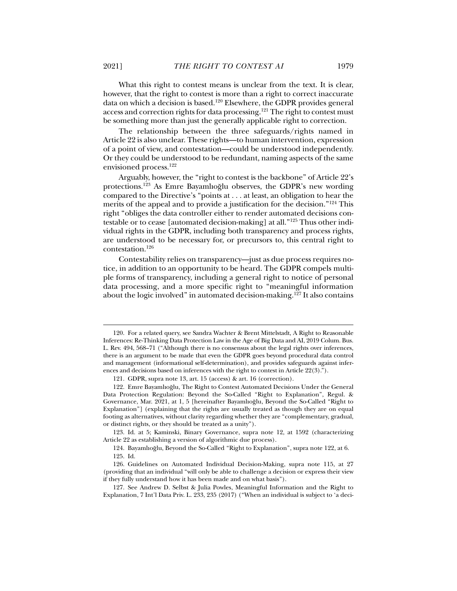What this right to contest means is unclear from the text. It is clear, however, that the right to contest is more than a right to correct inaccurate data on which a decision is based.120 Elsewhere, the GDPR provides general access and correction rights for data processing.121 The right to contest must be something more than just the generally applicable right to correction.

The relationship between the three safeguards/rights named in Article 22 is also unclear. These rights—to human intervention, expression of a point of view, and contestation—could be understood independently. Or they could be understood to be redundant, naming aspects of the same envisioned process.122

Arguably, however, the "right to contest is the backbone" of Article 22's protections.123 As Emre Bayamlıoğlu observes, the GDPR's new wording compared to the Directive's "points at . . . at least, an obligation to hear the merits of the appeal and to provide a justification for the decision."124 This right "obliges the data controller either to render automated decisions contestable or to cease [automated decision-making] at all."125 Thus other individual rights in the GDPR, including both transparency and process rights, are understood to be necessary for, or precursors to, this central right to contestation.126

Contestability relies on transparency—just as due process requires notice, in addition to an opportunity to be heard. The GDPR compels multiple forms of transparency, including a general right to notice of personal data processing, and a more specific right to "meaningful information about the logic involved" in automated decision-making.127 It also contains

 123. Id. at 5; Kaminski, Binary Governance, supra note 12, at 1592 (characterizing Article 22 as establishing a version of algorithmic due process).

 <sup>120.</sup> For a related query, see Sandra Wachter & Brent Mittelstadt, A Right to Reasonable Inferences: Re-Thinking Data Protection Law in the Age of Big Data and AI, 2019 Colum. Bus. L. Rev. 494, 568–71 ("Although there is no consensus about the legal rights over inferences, there is an argument to be made that even the GDPR goes beyond procedural data control and management (informational self-determination), and provides safeguards against inferences and decisions based on inferences with the right to contest in Article 22(3).").

 <sup>121.</sup> GDPR, supra note 13, art. 15 (access) & art. 16 (correction).

 <sup>122.</sup> Emre Bayamlıoğlu, The Right to Contest Automated Decisions Under the General Data Protection Regulation: Beyond the So-Called "Right to Explanation", Regul. & Governance, Mar. 2021, at 1, 5 [hereinafter Bayamlıoğlu, Beyond the So-Called "Right to Explanation"] (explaining that the rights are usually treated as though they are on equal footing as alternatives, without clarity regarding whether they are "complementary, gradual, or distinct rights, or they should be treated as a unity").

 <sup>124.</sup> Bayamlıoğlu, Beyond the So-Called "Right to Explanation", supra note 122, at 6. 125. Id.

 <sup>126.</sup> Guidelines on Automated Individual Decision-Making, supra note 115, at 27 (providing that an individual "will only be able to challenge a decision or express their view if they fully understand how it has been made and on what basis").

 <sup>127.</sup> See Andrew D. Selbst & Julia Powles, Meaningful Information and the Right to Explanation, 7 Int'l Data Priv. L. 233, 235 (2017) ("When an individual is subject to 'a deci-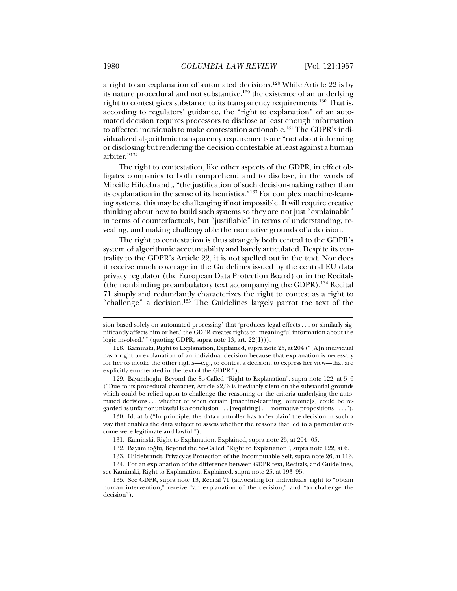a right to an explanation of automated decisions.128 While Article 22 is by its nature procedural and not substantive, $129$  the existence of an underlying right to contest gives substance to its transparency requirements.130 That is, according to regulators' guidance, the "right to explanation" of an automated decision requires processors to disclose at least enough information to affected individuals to make contestation actionable.131 The GDPR's individualized algorithmic transparency requirements are "not about informing or disclosing but rendering the decision contestable at least against a human arbiter."132

The right to contestation, like other aspects of the GDPR, in effect obligates companies to both comprehend and to disclose, in the words of Mireille Hildebrandt, "the justification of such decision-making rather than its explanation in the sense of its heuristics."133 For complex machine-learning systems, this may be challenging if not impossible. It will require creative thinking about how to build such systems so they are not just "explainable" in terms of counterfactuals, but "justifiable" in terms of understanding, revealing, and making challengeable the normative grounds of a decision.

The right to contestation is thus strangely both central to the GDPR's system of algorithmic accountability and barely articulated. Despite its centrality to the GDPR's Article 22, it is not spelled out in the text. Nor does it receive much coverage in the Guidelines issued by the central EU data privacy regulator (the European Data Protection Board) or in the Recitals (the nonbinding preambulatory text accompanying the GDPR).134 Recital 71 simply and redundantly characterizes the right to contest as a right to "challenge" a decision.<sup>135</sup> The Guidelines largely parrot the text of the

 129. Bayamlıoğlu, Beyond the So-Called "Right to Explanation", supra note 122, at 5–6 ("Due to its procedural character, Article  $22/3$  is inevitably silent on the substantial grounds which could be relied upon to challenge the reasoning or the criteria underlying the automated decisions . . . whether or when certain [machine-learning] outcome[s] could be regarded as unfair or unlawful is a conclusion . . . [requiring] . . . normative propositions . . . .").

 130. Id. at 6 ("In principle, the data controller has to 'explain' the decision in such a way that enables the data subject to assess whether the reasons that led to a particular outcome were legitimate and lawful.").

sion based solely on automated processing' that 'produces legal effects . . . or similarly significantly affects him or her,' the GDPR creates rights to 'meaningful information about the logic involved.'" (quoting GDPR, supra note 13, art. 22(1))).

 <sup>128.</sup> Kaminski, Right to Explanation, Explained, supra note 25, at 204 ("[A]n individual has a right to explanation of an individual decision because that explanation is necessary for her to invoke the other rights—e.g., to contest a decision, to express her view—that are explicitly enumerated in the text of the GDPR.").

<sup>131.</sup> Kaminski, Right to Explanation, Explained, supra note 25, at 204-05.

 <sup>132.</sup> Bayamlıoğlu, Beyond the So-Called "Right to Explanation", supra note 122, at 6.

 <sup>133.</sup> Hildebrandt, Privacy as Protection of the Incomputable Self, supra note 26, at 113.

 <sup>134.</sup> For an explanation of the difference between GDPR text, Recitals, and Guidelines, see Kaminski, Right to Explanation, Explained, supra note 25, at 193–95.

 <sup>135.</sup> See GDPR, supra note 13, Recital 71 (advocating for individuals' right to "obtain human intervention," receive "an explanation of the decision," and "to challenge the decision").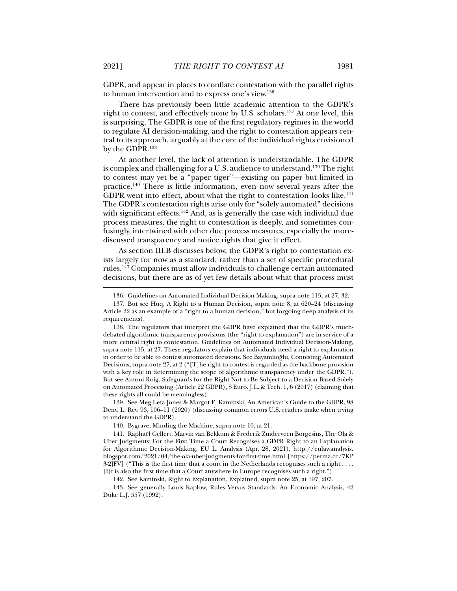GDPR, and appear in places to conflate contestation with the parallel rights to human intervention and to express one's view.136

There has previously been little academic attention to the GDPR's right to contest, and effectively none by U.S. scholars.137 At one level, this is surprising. The GDPR is one of the first regulatory regimes in the world to regulate AI decision-making, and the right to contestation appears central to its approach, arguably at the core of the individual rights envisioned by the GDPR.138

At another level, the lack of attention is understandable. The GDPR is complex and challenging for a U.S. audience to understand.139 The right to contest may yet be a "paper tiger"—existing on paper but limited in practice.140 There is little information, even now several years after the GDPR went into effect, about what the right to contestation looks like.<sup>141</sup> The GDPR's contestation rights arise only for "solely automated" decisions with significant effects.<sup>142</sup> And, as is generally the case with individual due process measures, the right to contestation is deeply, and sometimes confusingly, intertwined with other due process measures, especially the morediscussed transparency and notice rights that give it effect.

As section III.B discusses below, the GDPR's right to contestation exists largely for now as a standard, rather than a set of specific procedural rules.143 Companies must allow individuals to challenge certain automated decisions, but there are as of yet few details about what that process must

 139. See Meg Leta Jones & Margot E. Kaminski, An American's Guide to the GDPR, 98 Denv. L. Rev. 93, 106–11 (2020) (discussing common errors U.S. readers make when trying to understand the GDPR).

140. Bygrave, Minding the Machine, supra note 10, at 21.

 141. Raphaël Gellert, Marvin van Bekkum & Frederik Zuiderveen Borgesius, The Ola & Uber Judgments: For the First Time a Court Recognises a GDPR Right to an Explanation for Algorithmic Decision-Making, EU L. Analysis (Apr. 28, 2021), http://eulawanalysis. blogspot.com/2021/04/the-ola-uber-judgments-for-first-time.html [https://perma.cc/7KP 3-2JFV] ("This is the first time that a court in the Netherlands recognises such a right . . . . [I]t is also the first time that a Court anywhere in Europe recognises such a right.").

142. See Kaminski, Right to Explanation, Explained, supra note 25, at 197, 207.

 143. See generally Louis Kaplow, Rules Versus Standards: An Economic Analysis, 42 Duke L.J. 557 (1992).

 <sup>136.</sup> Guidelines on Automated Individual Decision-Making, supra note 115, at 27, 32.

 <sup>137.</sup> But see Huq, A Right to a Human Decision, supra note 8, at 620–24 (discussing Article 22 as an example of a "right to a human decision," but forgoing deep analysis of its requirements).

 <sup>138.</sup> The regulators that interpret the GDPR have explained that the GDPR's muchdebated algorithmic transparency provisions (the "right to explanation") are in service of a more central right to contestation. Guidelines on Automated Individual Decision-Making, supra note 115, at 27. These regulators explain that individuals need a right to explanation in order to be able to contest automated decisions. See Bayamlıoğlu, Contesting Automated Decisions, supra note 27, at 2 ("[T]he right to contest is regarded as the backbone provision with a key role in determining the scope of algorithmic transparency under the GDPR."). But see Antoni Roig, Safeguards for the Right Not to Be Subject to a Decision Based Solely on Automated Processing (Article 22 GDPR), 8 Euro. J.L. & Tech. 1, 6 (2017) (claiming that these rights all could be meaningless).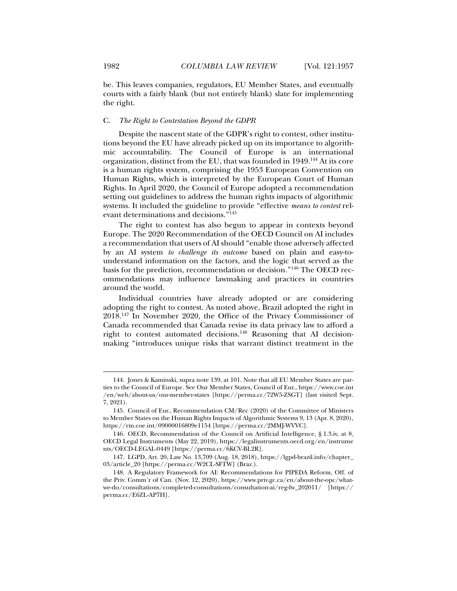be. This leaves companies, regulators, EU Member States, and eventually courts with a fairly blank (but not entirely blank) slate for implementing the right.

#### C. *The Right to Contestation Beyond the GDPR*

Despite the nascent state of the GDPR's right to contest, other institutions beyond the EU have already picked up on its importance to algorithmic accountability. The Council of Europe is an international organization, distinct from the EU, that was founded in 1949.<sup>144</sup> At its core is a human rights system, comprising the 1953 European Convention on Human Rights, which is interpreted by the European Court of Human Rights. In April 2020, the Council of Europe adopted a recommendation setting out guidelines to address the human rights impacts of algorithmic systems. It included the guideline to provide "effective *means to contest* relevant determinations and decisions."145

The right to contest has also begun to appear in contexts beyond Europe. The 2020 Recommendation of the OECD Council on AI includes a recommendation that users of AI should "enable those adversely affected by an AI system *to challenge its outcome* based on plain and easy-tounderstand information on the factors, and the logic that served as the basis for the prediction, recommendation or decision."146 The OECD recommendations may influence lawmaking and practices in countries around the world.

Individual countries have already adopted or are considering adopting the right to contest. As noted above, Brazil adopted the right in 2018.147 In November 2020, the Office of the Privacy Commissioner of Canada recommended that Canada revise its data privacy law to afford a right to contest automated decisions.148 Reasoning that AI decisionmaking "introduces unique risks that warrant distinct treatment in the

 <sup>144.</sup> Jones & Kaminski, supra note 139, at 101. Note that all EU Member States are parties to the Council of Europe. See Our Member States, Council of Eur., https://www.coe.int /en/web/about-us/our-member-states [https://perma.cc/72W5-ZSGT] (last visited Sept. 7, 2021).

 <sup>145.</sup> Council of Eur., Recommendation CM/Rec (2020) of the Committee of Ministers to Member States on the Human Rights Impacts of Algorithmic Systems 9, 13 (Apr. 8, 2020), https://rm.coe.int/09000016809e1154 [https://perma.cc/2MMJ-WVVC].

 <sup>146.</sup> OECD, Recommendation of the Council on Artificial Intelligence, § 1.3.iv, at 8, OECD Legal Instruments (May 22, 2019), https://legalinstruments.oecd.org/en/instrume nts/OECD-LEGAL-0449 [https://perma.cc/6KCV-BL2R].

 <sup>147.</sup> LGPD, Art. 20, Law No. 13,709 (Aug. 18, 2018), https://lgpd-brazil.info/chapter\_ 03/article\_20 [https://perma.cc/W2CL-SFTW] (Braz.).

 <sup>148.</sup> A Regulatory Framework for AI: Recommendations for PIPEDA Reform, Off. of the Priv. Comm'r of Can. (Nov. 12, 2020), https://www.priv.gc.ca/en/about-the-opc/whatwe-do/consultations/completed-consultations/consultation-ai/reg-fw\_202011/ [https:// perma.cc/E6ZL-AP7H].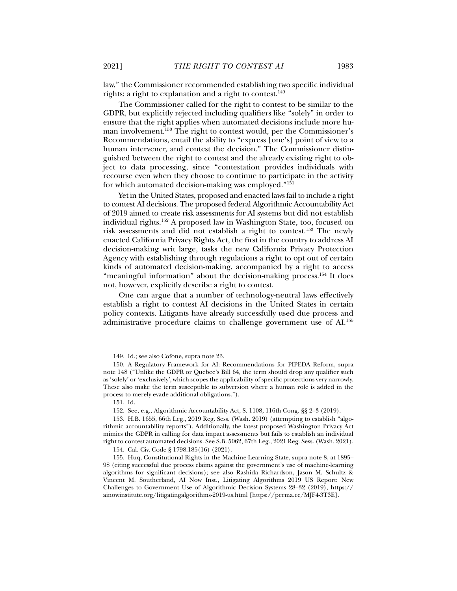law," the Commissioner recommended establishing two specific individual rights: a right to explanation and a right to contest.<sup>149</sup>

The Commissioner called for the right to contest to be similar to the GDPR, but explicitly rejected including qualifiers like "solely" in order to ensure that the right applies when automated decisions include more human involvement.150 The right to contest would, per the Commissioner's Recommendations, entail the ability to "express [one's] point of view to a human intervener, and contest the decision." The Commissioner distinguished between the right to contest and the already existing right to object to data processing, since "contestation provides individuals with recourse even when they choose to continue to participate in the activity for which automated decision-making was employed."151

Yet in the United States, proposed and enacted laws fail to include a right to contest AI decisions. The proposed federal Algorithmic Accountability Act of 2019 aimed to create risk assessments for AI systems but did not establish individual rights.152 A proposed law in Washington State, too, focused on risk assessments and did not establish a right to contest.153 The newly enacted California Privacy Rights Act, the first in the country to address AI decision-making writ large, tasks the new California Privacy Protection Agency with establishing through regulations a right to opt out of certain kinds of automated decision-making, accompanied by a right to access "meaningful information" about the decision-making process.<sup>154</sup> It does not, however, explicitly describe a right to contest.

One can argue that a number of technology-neutral laws effectively establish a right to contest AI decisions in the United States in certain policy contexts. Litigants have already successfully used due process and administrative procedure claims to challenge government use of AI.155

 <sup>149.</sup> Id.; see also Cofone, supra note 23.

 <sup>150.</sup> A Regulatory Framework for AI: Recommendations for PIPEDA Reform, supra note 148 ("Unlike the GDPR or Quebec's Bill 64, the term should drop any qualifier such as 'solely' or 'exclusively', which scopes the applicability of specific protections very narrowly. These also make the term susceptible to subversion where a human role is added in the process to merely evade additional obligations.").

 <sup>151.</sup> Id.

 <sup>152.</sup> See, e.g., Algorithmic Accountability Act, S. 1108, 116th Cong. §§ 2–3 (2019).

 <sup>153.</sup> H.B. 1655, 66th Leg., 2019 Reg. Sess. (Wash. 2019) (attempting to establish "algorithmic accountability reports"). Additionally, the latest proposed Washington Privacy Act mimics the GDPR in calling for data impact assessments but fails to establish an individual right to contest automated decisions. See S.B. 5062, 67th Leg., 2021 Reg. Sess. (Wash. 2021).

 <sup>154.</sup> Cal. Civ. Code § 1798.185(16) (2021).

 <sup>155.</sup> Huq, Constitutional Rights in the Machine-Learning State, supra note 8, at 1895– 98 (citing successful due process claims against the government's use of machine-learning algorithms for significant decisions); see also Rashida Richardson, Jason M. Schultz & Vincent M. Southerland, AI Now Inst., Litigating Algorithms 2019 US Report: New Challenges to Government Use of Algorithmic Decision Systems 28–32 (2019), https:// ainowinstitute.org/litigatingalgorithms-2019-us.html [https://perma.cc/MJF4-3T3E].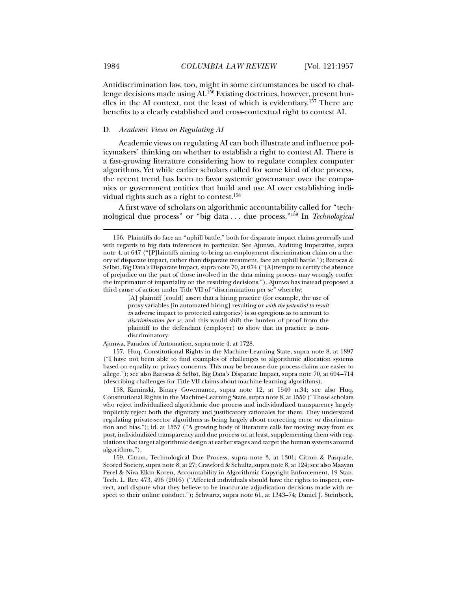Antidiscrimination law, too, might in some circumstances be used to challenge decisions made using AI.156 Existing doctrines, however, present hurdles in the AI context, not the least of which is evidentiary.157 There are benefits to a clearly established and cross-contextual right to contest AI.

#### D. *Academic Views on Regulating AI*

Academic views on regulating AI can both illustrate and influence policymakers' thinking on whether to establish a right to contest AI. There is a fast-growing literature considering how to regulate complex computer algorithms. Yet while earlier scholars called for some kind of due process, the recent trend has been to favor systemic governance over the companies or government entities that build and use AI over establishing individual rights such as a right to contest.<sup>158</sup>

A first wave of scholars on algorithmic accountability called for "technological due process" or "big data . . . due process."159 In *Technological* 

[A] plaintiff [could] assert that a hiring practice (for example, the use of proxy variables [in automated hiring] resulting or *with the potential to result in* adverse impact to protected categories) is so egregious as to amount to *discrimination per se*, and this would shift the burden of proof from the plaintiff to the defendant (employer) to show that its practice is nondiscriminatory.

Ajunwa, Paradox of Automation, supra note 4, at 1728.

 157. Huq, Constitutional Rights in the Machine-Learning State, supra note 8, at 1897 ("I have not been able to find examples of challenges to algorithmic allocation systems based on equality or privacy concerns. This may be because due process claims are easier to allege."); see also Barocas & Selbst, Big Data's Disparate Impact, supra note 70, at 694 –714 (describing challenges for Title VII claims about machine-learning algorithms).

 158. Kaminski, Binary Governance, supra note 12, at 1540 n.34; see also Huq, Constitutional Rights in the Machine-Learning State, supra note 8, at 1550 ("Those scholars who reject individualized algorithmic due process and individualized transparency largely implicitly reject both the dignitary and justificatory rationales for them. They understand regulating private-sector algorithms as being largely about correcting error or discrimination and bias."); id. at 1557 ("A growing body of literature calls for moving away from ex post, individualized transparency and due process or, at least, supplementing them with regulations that target algorithmic design at earlier stages and target the human systems around algorithms.").

 159. Citron, Technological Due Process, supra note 3, at 1301; Citron & Pasquale, Scored Society, supra note 8, at 27; Crawford & Schultz, supra note 8, at 124; see also Maayan Perel & Niva Elkin-Koren, Accountability in Algorithmic Copyright Enforcement, 19 Stan. Tech. L. Rev. 473, 496 (2016) ("Affected individuals should have the rights to inspect, correct, and dispute what they believe to be inaccurate adjudication decisions made with respect to their online conduct."); Schwartz, supra note 61, at 1343–74; Daniel J. Steinbock,

 <sup>156.</sup> Plaintiffs do face an "uphill battle," both for disparate impact claims generally and with regards to big data inferences in particular. See Ajunwa, Auditing Imperative, supra note 4, at 647 ("[P]laintiffs aiming to bring an employment discrimination claim on a theory of disparate impact, rather than disparate treatment, face an uphill battle."); Barocas & Selbst, Big Data's Disparate Impact, supra note 70, at 674 ("[A]ttempts to certify the absence of prejudice on the part of those involved in the data mining process may wrongly confer the imprimatur of impartiality on the resulting decisions."). Ajunwa has instead proposed a third cause of action under Title VII of "discrimination per se" whereby: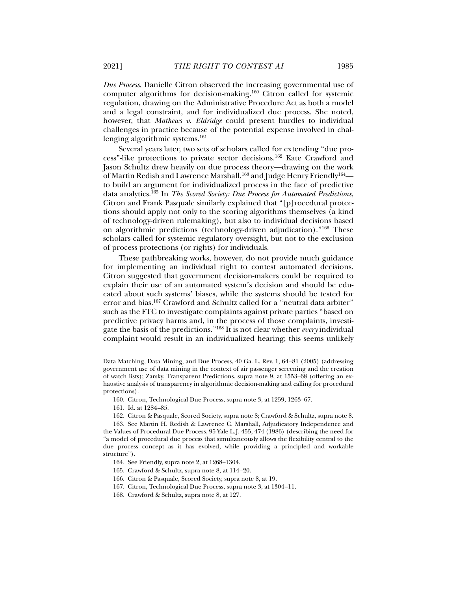*Due Process*, Danielle Citron observed the increasing governmental use of computer algorithms for decision-making.160 Citron called for systemic regulation, drawing on the Administrative Procedure Act as both a model and a legal constraint, and for individualized due process. She noted, however, that *Mathews v. Eldridge* could present hurdles to individual challenges in practice because of the potential expense involved in challenging algorithmic systems.161

Several years later, two sets of scholars called for extending "due process"-like protections to private sector decisions.162 Kate Crawford and Jason Schultz drew heavily on due process theory—drawing on the work of Martin Redish and Lawrence Marshall,<sup>163</sup> and Judge Henry Friendly<sup>164</sup> to build an argument for individualized process in the face of predictive data analytics.165 In *The Scored Society: Due Process for Automated Predictions*, Citron and Frank Pasquale similarly explained that "[p]rocedural protections should apply not only to the scoring algorithms themselves (a kind of technology-driven rulemaking), but also to individual decisions based on algorithmic predictions (technology-driven adjudication)."166 These scholars called for systemic regulatory oversight, but not to the exclusion of process protections (or rights) for individuals.

These pathbreaking works, however, do not provide much guidance for implementing an individual right to contest automated decisions. Citron suggested that government decision-makers could be required to explain their use of an automated system's decision and should be educated about such systems' biases, while the systems should be tested for error and bias.<sup>167</sup> Crawford and Schultz called for a "neutral data arbiter" such as the FTC to investigate complaints against private parties "based on predictive privacy harms and, in the process of those complaints, investigate the basis of the predictions."168 It is not clear whether *every* individual complaint would result in an individualized hearing; this seems unlikely

- 160. Citron, Technological Due Process, supra note 3, at 1259, 1263–67.
- 161. Id. at 1284 –85.

 $\overline{a}$ 

162. Citron & Pasquale, Scored Society, supra note 8; Crawford & Schultz, supra note 8.

- 164. See Friendly, supra note 2, at 1268–1304.
- 165. Crawford & Schultz, supra note 8, at 114 –20.
- 166. Citron & Pasquale, Scored Society, supra note 8, at 19.
- 167. Citron, Technological Due Process, supra note 3, at 1304 –11.
- 168. Crawford & Schultz, supra note 8, at 127.

Data Matching, Data Mining, and Due Process, 40 Ga. L. Rev. 1, 64 –81 (2005) (addressing government use of data mining in the context of air passenger screening and the creation of watch lists); Zarsky, Transparent Predictions, supra note 9, at 1553–68 (offering an exhaustive analysis of transparency in algorithmic decision-making and calling for procedural protections).

 <sup>163.</sup> See Martin H. Redish & Lawrence C. Marshall, Adjudicatory Independence and the Values of Procedural Due Process, 95 Yale L.J. 455, 474 (1986) (describing the need for "a model of procedural due process that simultaneously allows the flexibility central to the due process concept as it has evolved, while providing a principled and workable structure").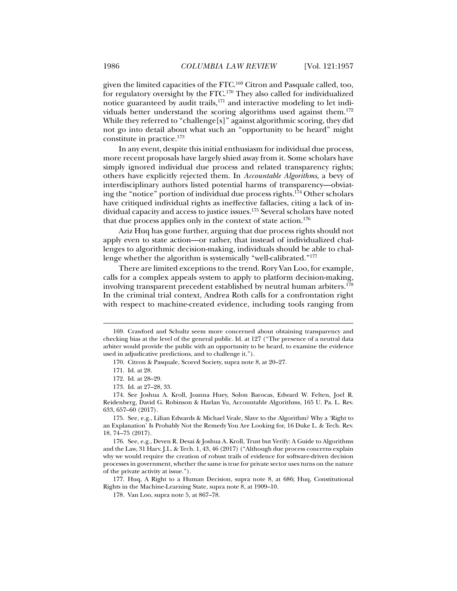given the limited capacities of the FTC.169 Citron and Pasquale called, too, for regulatory oversight by the FTC.170 They also called for individualized notice guaranteed by audit trails,<sup>171</sup> and interactive modeling to let individuals better understand the scoring algorithms used against them.172 While they referred to "challenge[s]" against algorithmic scoring, they did not go into detail about what such an "opportunity to be heard" might constitute in practice.173

In any event, despite this initial enthusiasm for individual due process, more recent proposals have largely shied away from it. Some scholars have simply ignored individual due process and related transparency rights; others have explicitly rejected them. In *Accountable Algorithms*, a bevy of interdisciplinary authors listed potential harms of transparency—obviating the "notice" portion of individual due process rights.174 Other scholars have critiqued individual rights as ineffective fallacies, citing a lack of individual capacity and access to justice issues.175 Several scholars have noted that due process applies only in the context of state action.<sup>176</sup>

Aziz Huq has gone further, arguing that due process rights should not apply even to state action—or rather, that instead of individualized challenges to algorithmic decision-making, individuals should be able to challenge whether the algorithm is systemically "well-calibrated."177

There are limited exceptions to the trend. Rory Van Loo, for example, calls for a complex appeals system to apply to platform decision-making, involving transparent precedent established by neutral human arbiters.<sup>178</sup> In the criminal trial context, Andrea Roth calls for a confrontation right with respect to machine-created evidence, including tools ranging from

 $\overline{a}$ 

 177. Huq, A Right to a Human Decision, supra note 8, at 686; Huq, Constitutional Rights in the Machine-Learning State, supra note 8, at 1909–10.

 <sup>169.</sup> Crawford and Schultz seem more concerned about obtaining transparency and checking bias at the level of the general public. Id. at 127 ("The presence of a neutral data arbiter would provide the public with an opportunity to be heard, to examine the evidence used in adjudicative predictions, and to challenge it.").

 <sup>170.</sup> Citron & Pasquale, Scored Society, supra note 8, at 20–27.

 <sup>171.</sup> Id. at 28.

 <sup>172.</sup> Id. at 28–29.

 <sup>173.</sup> Id. at 27–28, 33.

 <sup>174.</sup> See Joshua A. Kroll, Joanna Huey, Solon Barocas, Edward W. Felten, Joel R. Reidenberg, David G. Robinson & Harlan Yu, Accountable Algorithms, 165 U. Pa. L. Rev. 633, 657–60 (2017).

 <sup>175.</sup> See, e.g., Lilian Edwards & Michael Veale, Slave to the Algorithm? Why a 'Right to an Explanation' Is Probably Not the Remedy You Are Looking for, 16 Duke L. & Tech. Rev. 18, 74 –75 (2017).

 <sup>176.</sup> See, e.g., Deven R. Desai & Joshua A. Kroll, Trust but Verify: A Guide to Algorithms and the Law, 31 Harv. J.L. & Tech. 1, 43, 46 (2017) ("Although due process concerns explain why we would require the creation of robust trails of evidence for software-driven decision processes in government, whether the same is true for private sector uses turns on the nature of the private activity at issue.").

 <sup>178.</sup> Van Loo, supra note 5, at 867–78.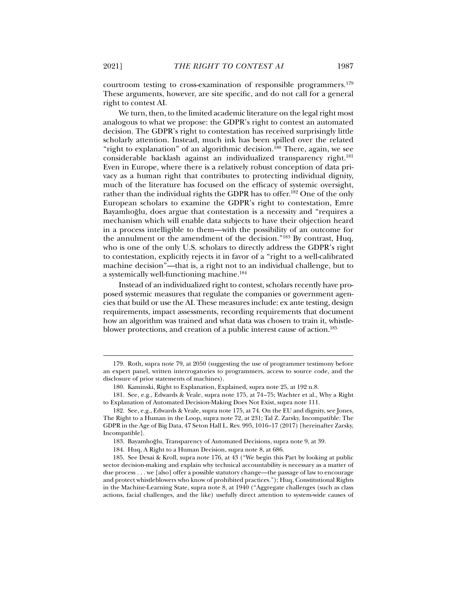courtroom testing to cross-examination of responsible programmers.179 These arguments, however, are site specific, and do not call for a general right to contest AI.

We turn, then, to the limited academic literature on the legal right most analogous to what we propose: the GDPR's right to contest an automated decision. The GDPR's right to contestation has received surprisingly little scholarly attention. Instead, much ink has been spilled over the related "right to explanation" of an algorithmic decision.<sup>180</sup> There, again, we see considerable backlash against an individualized transparency right.<sup>181</sup> Even in Europe, where there is a relatively robust conception of data privacy as a human right that contributes to protecting individual dignity, much of the literature has focused on the efficacy of systemic oversight, rather than the individual rights the GDPR has to offer.<sup>182</sup> One of the only European scholars to examine the GDPR's right to contestation, Emre Bayamlıoğlu, does argue that contestation is a necessity and "requires a mechanism which will enable data subjects to have their objection heard in a process intelligible to them—with the possibility of an outcome for the annulment or the amendment of the decision."183 By contrast, Huq, who is one of the only U.S. scholars to directly address the GDPR's right to contestation, explicitly rejects it in favor of a "right to a well-calibrated machine decision"—that is, a right not to an individual challenge, but to a systemically well-functioning machine.<sup>184</sup>

Instead of an individualized right to contest, scholars recently have proposed systemic measures that regulate the companies or government agencies that build or use the AI. These measures include: ex ante testing, design requirements, impact assessments, recording requirements that document how an algorithm was trained and what data was chosen to train it, whistleblower protections, and creation of a public interest cause of action.<sup>185</sup>

183. Bayamlıoğlu, Transparency of Automated Decisions, supra note 9, at 39.

 <sup>179.</sup> Roth, supra note 79, at 2050 (suggesting the use of programmer testimony before an expert panel, written interrogatories to programmers, access to source code, and the disclosure of prior statements of machines).

 <sup>180.</sup> Kaminski, Right to Explanation, Explained, supra note 25, at 192 n.8.

 <sup>181.</sup> See, e.g., Edwards & Veale, supra note 175, at 74 –75; Wachter et al., Why a Right to Explanation of Automated Decision-Making Does Not Exist, supra note 111.

 <sup>182.</sup> See, e.g., Edwards & Veale, supra note 175, at 74. On the EU and dignity, see Jones, The Right to a Human in the Loop, supra note 72, at 231; Tal Z. Zarsky, Incompatible: The GDPR in the Age of Big Data, 47 Seton Hall L. Rev. 995, 1016–17 (2017) [hereinafter Zarsky, Incompatible].

 <sup>184.</sup> Huq, A Right to a Human Decision, supra note 8, at 686.

 <sup>185.</sup> See Desai & Kroll, supra note 176, at 43 ("We begin this Part by looking at public sector decision-making and explain why technical accountability is necessary as a matter of due process . . . we [also] offer a possible statutory change—the passage of law to encourage and protect whistleblowers who know of prohibited practices."); Huq, Constitutional Rights in the Machine-Learning State, supra note 8, at 1940 ("Aggregate challenges (such as class actions, facial challenges, and the like) usefully direct attention to system-wide causes of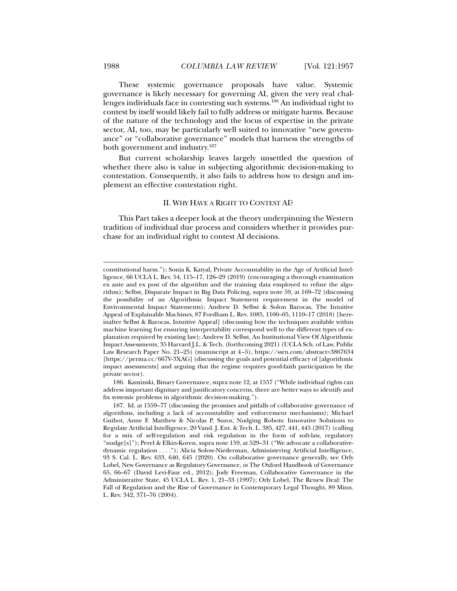These systemic governance proposals have value. Systemic governance is likely necessary for governing AI, given the very real challenges individuals face in contesting such systems.<sup>186</sup> An individual right to contest by itself would likely fail to fully address or mitigate harms. Because of the nature of the technology and the locus of expertise in the private sector, AI, too, may be particularly well suited to innovative "new governance" or "collaborative governance" models that harness the strengths of both government and industry.187

But current scholarship leaves largely unsettled the question of whether there also is value in subjecting algorithmic decision-making to contestation. Consequently, it also fails to address how to design and implement an effective contestation right.

#### II. WHY HAVE A RIGHT TO CONTEST AI?

This Part takes a deeper look at the theory underpinning the Western tradition of individual due process and considers whether it provides purchase for an individual right to contest AI decisions.

 186. Kaminski, Binary Governance, supra note 12, at 1557 ("While individual rights can address important dignitary and justificatory concerns, there are better ways to identify and fix systemic problems in algorithmic decision-making.").

constitutional harm."); Sonia K. Katyal, Private Accountability in the Age of Artificial Intelligence, 66 UCLA L. Rev. 54, 115–17, 126–29 (2019) (encouraging a thorough examination ex ante and ex post of the algorithm and the training data employed to refine the algorithm); Selbst, Disparate Impact in Big Data Policing, supra note 59, at 169–72 (discussing the possibility of an Algorithmic Impact Statement requirement in the model of Environmental Impact Statements); Andrew D. Selbst & Solon Barocas, The Intuitive Appeal of Explainable Machines, 87 Fordham L. Rev. 1085, 1100–05, 1110–17 (2018) [hereinafter Selbst & Barocas, Intuitive Appeal] (discussing how the techniques available within machine learning for ensuring interpretability correspond well to the different types of explanation required by existing law); Andrew D. Selbst, An Institutional View Of Algorithmic Impact Assessments, 35 Harvard J.L. & Tech. (forthcoming 2021) (UCLA Sch. of Law, Public Law Research Paper No. 21–25) (manuscript at 4 –5), https://ssrn.com/abstract=3867634 [https://perma.cc/667V-3XAG] (discussing the goals and potential efficacy of [algorithmic impact assessments] and arguing that the regime requires good-faith participation by the private sector).

 <sup>187.</sup> Id. at 1559–77 (discussing the promises and pitfalls of collaborative governance of algorithms, including a lack of accountability and enforcement mechanisms); Michael Guihot, Anne F. Matthew & Nicolas P. Suzor, Nudging Robots: Innovative Solutions to Regulate Artificial Intelligence, 20 Vand. J. Ent. & Tech. L. 385, 427, 441, 445 (2017) (calling for a mix of self-regulation and risk regulation in the form of soft-law, regulatory "nudge[s]"); Perel & Elkin-Koren, supra note 159, at 529–31 ("We advocate a collaborativedynamic regulation . . . ."); Alicia Solow-Niederman, Administering Artificial Intelligence, 93 S. Cal. L. Rev. 633, 640, 645 (2020). On collaborative governance generally, see Orly Lobel, New Governance as Regulatory Governance, *in* The Oxford Handbook of Governance 65, 66–67 (David Levi-Faur ed., 2012); Jody Freeman, Collaborative Governance in the Administrative State, 45 UCLA L. Rev. 1, 21–33 (1997); Orly Lobel, The Renew Deal: The Fall of Regulation and the Rise of Governance in Contemporary Legal Thought, 89 Minn. L. Rev. 342, 371–76 (2004).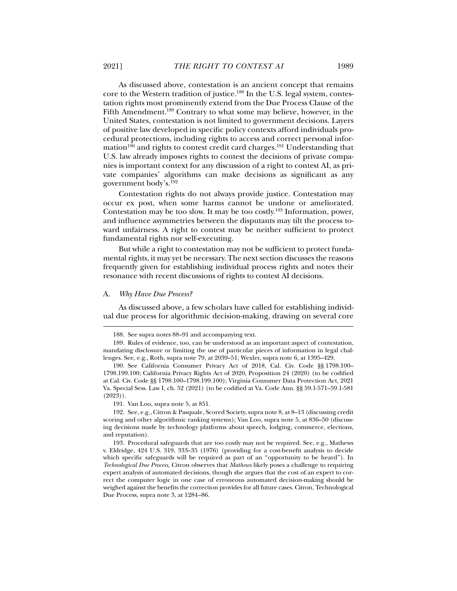As discussed above, contestation is an ancient concept that remains core to the Western tradition of justice.<sup>188</sup> In the U.S. legal system, contestation rights most prominently extend from the Due Process Clause of the Fifth Amendment.189 Contrary to what some may believe, however, in the United States, contestation is not limited to government decisions. Layers of positive law developed in specific policy contexts afford individuals procedural protections, including rights to access and correct personal information<sup>190</sup> and rights to contest credit card charges.<sup>191</sup> Understanding that U.S. law already imposes rights to contest the decisions of private companies is important context for any discussion of a right to contest AI, as private companies' algorithms can make decisions as significant as any government body's.192

Contestation rights do not always provide justice. Contestation may occur ex post, when some harms cannot be undone or ameliorated. Contestation may be too slow. It may be too costly.193 Information, power, and influence asymmetries between the disputants may tilt the process toward unfairness. A right to contest may be neither sufficient to protect fundamental rights nor self-executing.

But while a right to contestation may not be sufficient to protect fundamental rights, it may yet be necessary. The next section discusses the reasons frequently given for establishing individual process rights and notes their resonance with recent discussions of rights to contest AI decisions.

#### A. *Why Have Due Process?*

 $\overline{a}$ 

As discussed above, a few scholars have called for establishing individual due process for algorithmic decision-making, drawing on several core

191. Van Loo, supra note 5, at 851.

 <sup>188.</sup> See supra notes 88–91 and accompanying text.

 <sup>189.</sup> Rules of evidence, too, can be understood as an important aspect of contestation, mandating disclosure or limiting the use of particular pieces of information in legal challenges. See, e.g., Roth, supra note 79, at 2039–51; Wexler, supra note 6, at 1395–429.

 <sup>190.</sup> See California Consumer Privacy Act of 2018, Cal. Civ. Code §§ 1798.100– 1798.199.100; California Privacy Rights Act of 2020, Proposition 24 (2020) (to be codified at Cal. Civ. Code §§ 1798.100–1798.199.100); Virginia Consumer Data Protection Act, 2021 Va. Special Sess. Law I, ch. 52 (2021) (to be codified at Va. Code Ann. §§ 59.1-571–59.1-581 (2023)).

 <sup>192.</sup> See, e.g., Citron & Pasquale, Scored Society, supra note 8, at 8–13 (discussing credit scoring and other algorithmic ranking systems); Van Loo, supra note 5, at 836–50 (discussing decisions made by technology platforms about speech, lodging, commerce, elections, and reputation).

 <sup>193.</sup> Procedural safeguards that are too costly may not be required. See, e.g., Mathews v. Eldridge, 424 U.S. 319, 333–35 (1976) (providing for a cost-benefit analysis to decide which specific safeguards will be required as part of an "opportunity to be heard"). In *Technological Due Process*, Citron observes that *Mathews* likely poses a challenge to requiring expert analysis of automated decisions, though she argues that the cost of an expert to correct the computer logic in one case of erroneous automated decision-making should be weighed against the benefits the correction provides for all future cases. Citron, Technological Due Process, supra note 3, at 1284 –86.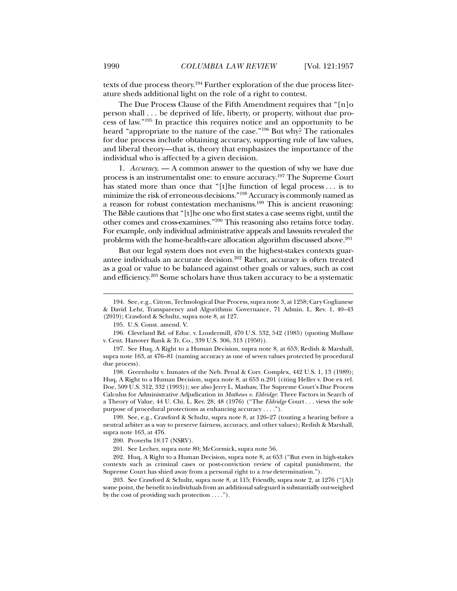texts of due process theory.194 Further exploration of the due process literature sheds additional light on the role of a right to contest.

The Due Process Clause of the Fifth Amendment requires that "[n]o person shall . . . be deprived of life, liberty, or property, without due process of law."195 In practice this requires notice and an opportunity to be heard "appropriate to the nature of the case."196 But why? The rationales for due process include obtaining accuracy, supporting rule of law values, and liberal theory—that is, theory that emphasizes the importance of the individual who is affected by a given decision.

1. *Accuracy*. — A common answer to the question of why we have due process is an instrumentalist one: to ensure accuracy.197 The Supreme Court has stated more than once that "[t]he function of legal process . . . is to minimize the risk of erroneous decisions."198 Accuracy is commonly named as a reason for robust contestation mechanisms.199 This is ancient reasoning: The Bible cautions that "[t]he one who first states a case seems right, until the other comes and cross-examines."200 This reasoning also retains force today. For example, only individual administrative appeals and lawsuits revealed the problems with the home-health-care allocation algorithm discussed above.201

But our legal system does not even in the highest-stakes contexts guarantee individuals an accurate decision.202 Rather, accuracy is often treated as a goal or value to be balanced against other goals or values, such as cost and efficiency.203 Some scholars have thus taken accuracy to be a systematic

 <sup>194.</sup> See, e.g., Citron, Technological Due Process, supra note 3, at 1258; Cary Coglianese & David Lehr, Transparency and Algorithmic Governance, 71 Admin. L. Rev. 1, 40–43 (2019); Crawford & Schultz, supra note 8, at 127.

 <sup>195.</sup> U.S. Const. amend. V.

 <sup>196.</sup> Cleveland Bd. of Educ. v. Loudermill, 470 U.S. 532, 542 (1985) (quoting Mullane v. Cent. Hanover Bank & Tr. Co., 339 U.S. 306, 313 (1950)).

 <sup>197.</sup> See Huq, A Right to a Human Decision, supra note 8, at 653; Redish & Marshall, supra note 163, at 476–81 (naming accuracy as one of seven values protected by procedural due process).

 <sup>198.</sup> Greenholtz v. Inmates of the Neb. Penal & Corr. Complex, 442 U.S. 1, 13 (1989); Huq, A Right to a Human Decision, supra note 8, at 653 n.201 (citing Heller v. Doe ex rel. Doe, 509 U.S. 312, 332 (1993)); see also Jerry L. Mashaw, The Supreme Court's Due Process Calculus for Administrative Adjudication in *Mathews v. Eldridge*: Three Factors in Search of a Theory of Value, 44 U. Chi. L. Rev. 28, 48 (1976) ("The *Eldridge* Court . . . views the sole purpose of procedural protections as enhancing accuracy . . . .").

 <sup>199.</sup> See, e.g., Crawford & Schultz, supra note 8, at 126–27 (touting a hearing before a neutral arbiter as a way to preserve fairness, accuracy, and other values); Redish & Marshall, supra note 163, at 476.

 <sup>200.</sup> Proverbs 18:17 (NSRV).

 <sup>201.</sup> See Lecher, supra note 80; McCormick, supra note 56.

 <sup>202.</sup> Huq, A Right to a Human Decision, supra note 8, at 653 ("But even in high-stakes contexts such as criminal cases or post-conviction review of capital punishment, the Supreme Court has shied away from a personal right to a *true* determination.").

 <sup>203.</sup> See Crawford & Schultz, supra note 8, at 115; Friendly, supra note 2, at 1276 ("[A]t some point, the benefit to individuals from an additional safeguard is substantially out-weighed by the cost of providing such protection . . . .").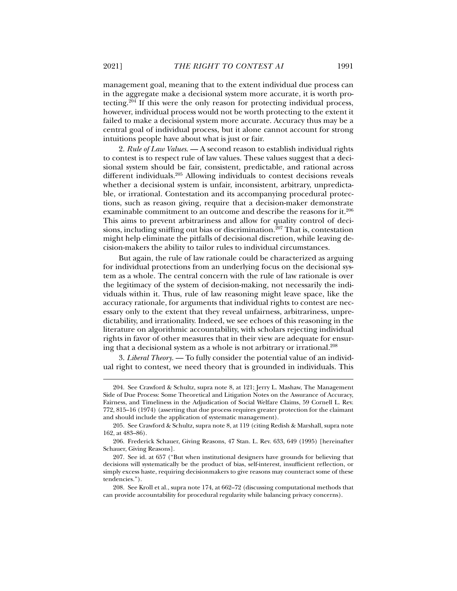management goal, meaning that to the extent individual due process can in the aggregate make a decisional system more accurate, it is worth protecting.204 If this were the only reason for protecting individual process, however, individual process would not be worth protecting to the extent it failed to make a decisional system more accurate. Accuracy thus may be a central goal of individual process, but it alone cannot account for strong intuitions people have about what is just or fair.

2. *Rule of Law Values*. — A second reason to establish individual rights to contest is to respect rule of law values. These values suggest that a decisional system should be fair, consistent, predictable, and rational across different individuals.<sup>205</sup> Allowing individuals to contest decisions reveals whether a decisional system is unfair, inconsistent, arbitrary, unpredictable, or irrational. Contestation and its accompanying procedural protections, such as reason giving, require that a decision-maker demonstrate examinable commitment to an outcome and describe the reasons for it.206 This aims to prevent arbitrariness and allow for quality control of decisions, including sniffing out bias or discrimination.<sup>207</sup> That is, contestation might help eliminate the pitfalls of decisional discretion, while leaving decision-makers the ability to tailor rules to individual circumstances.

But again, the rule of law rationale could be characterized as arguing for individual protections from an underlying focus on the decisional system as a whole. The central concern with the rule of law rationale is over the legitimacy of the system of decision-making, not necessarily the individuals within it. Thus, rule of law reasoning might leave space, like the accuracy rationale, for arguments that individual rights to contest are necessary only to the extent that they reveal unfairness, arbitrariness, unpredictability, and irrationality. Indeed, we see echoes of this reasoning in the literature on algorithmic accountability, with scholars rejecting individual rights in favor of other measures that in their view are adequate for ensuring that a decisional system as a whole is not arbitrary or irrational.208

3. *Liberal Theory*. — To fully consider the potential value of an individual right to contest, we need theory that is grounded in individuals. This

 <sup>204.</sup> See Crawford & Schultz, supra note 8, at 121; Jerry L. Mashaw, The Management Side of Due Process: Some Theoretical and Litigation Notes on the Assurance of Accuracy, Fairness, and Timeliness in the Adjudication of Social Welfare Claims, 59 Cornell L. Rev. 772, 815–16 (1974) (asserting that due process requires greater protection for the claimant and should include the application of systematic management).

 <sup>205.</sup> See Crawford & Schultz, supra note 8, at 119 (citing Redish & Marshall, supra note 162, at 483–86).

 <sup>206.</sup> Frederick Schauer, Giving Reasons, 47 Stan. L. Rev. 633, 649 (1995) [hereinafter Schauer, Giving Reasons].

 <sup>207.</sup> See id. at 657 ("But when institutional designers have grounds for believing that decisions will systematically be the product of bias, self-interest, insufficient reflection, or simply excess haste, requiring decisionmakers to give reasons may counteract some of these tendencies.").

 <sup>208.</sup> See Kroll et al., supra note 174, at 662–72 (discussing computational methods that can provide accountability for procedural regularity while balancing privacy concerns).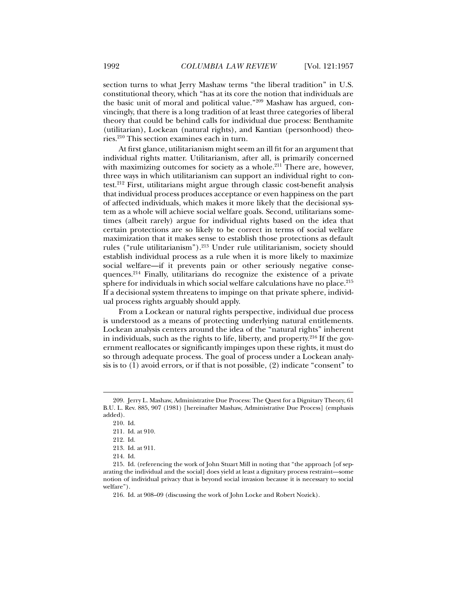section turns to what Jerry Mashaw terms "the liberal tradition" in U.S. constitutional theory, which "has at its core the notion that individuals are the basic unit of moral and political value."209 Mashaw has argued, convincingly, that there is a long tradition of at least three categories of liberal theory that could be behind calls for individual due process: Benthamite (utilitarian), Lockean (natural rights), and Kantian (personhood) theories.210 This section examines each in turn.

At first glance, utilitarianism might seem an ill fit for an argument that individual rights matter. Utilitarianism, after all, is primarily concerned with maximizing outcomes for society as a whole. $211$  There are, however, three ways in which utilitarianism can support an individual right to contest.212 First, utilitarians might argue through classic cost-benefit analysis that individual process produces acceptance or even happiness on the part of affected individuals, which makes it more likely that the decisional system as a whole will achieve social welfare goals. Second, utilitarians sometimes (albeit rarely) argue for individual rights based on the idea that certain protections are so likely to be correct in terms of social welfare maximization that it makes sense to establish those protections as default rules ("rule utilitarianism").213 Under rule utilitarianism, society should establish individual process as a rule when it is more likely to maximize social welfare—if it prevents pain or other seriously negative consequences.214 Finally, utilitarians do recognize the existence of a private sphere for individuals in which social welfare calculations have no place.<sup>215</sup> If a decisional system threatens to impinge on that private sphere, individual process rights arguably should apply.

From a Lockean or natural rights perspective, individual due process is understood as a means of protecting underlying natural entitlements. Lockean analysis centers around the idea of the "natural rights" inherent in individuals, such as the rights to life, liberty, and property.<sup>216</sup> If the government reallocates or significantly impinges upon these rights, it must do so through adequate process. The goal of process under a Lockean analysis is to (1) avoid errors, or if that is not possible, (2) indicate "consent" to

 <sup>209.</sup> Jerry L. Mashaw, Administrative Due Process: The Quest for a Dignitary Theory, 61 B.U. L. Rev. 885, 907 (1981) [hereinafter Mashaw, Administrative Due Process] (emphasis added).

 <sup>210.</sup> Id.

 <sup>211.</sup> Id. at 910.

 <sup>212.</sup> Id.

 <sup>213.</sup> Id. at 911.

 <sup>214.</sup> Id.

 <sup>215.</sup> Id. (referencing the work of John Stuart Mill in noting that "the approach [of separating the individual and the social] does yield at least a dignitary process restraint—some notion of individual privacy that is beyond social invasion because it is necessary to social welfare").

 <sup>216.</sup> Id. at 908–09 (discussing the work of John Locke and Robert Nozick).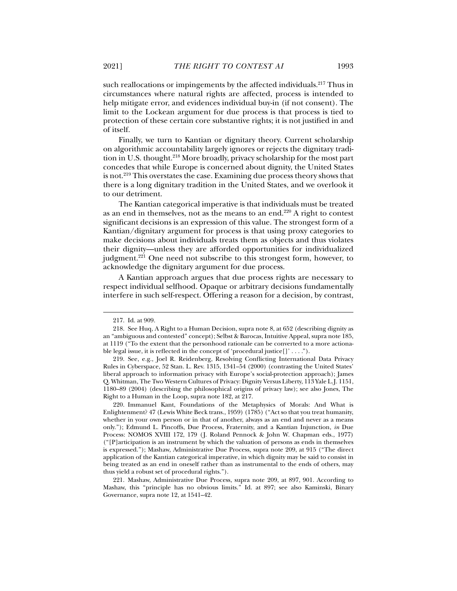such reallocations or impingements by the affected individuals.<sup>217</sup> Thus in circumstances where natural rights are affected, process is intended to help mitigate error, and evidences individual buy-in (if not consent). The limit to the Lockean argument for due process is that process is tied to protection of these certain core substantive rights; it is not justified in and of itself.

Finally, we turn to Kantian or dignitary theory. Current scholarship on algorithmic accountability largely ignores or rejects the dignitary tradition in U.S. thought.<sup>218</sup> More broadly, privacy scholarship for the most part concedes that while Europe is concerned about dignity, the United States is not.<sup>219</sup> This overstates the case. Examining due process theory shows that there is a long dignitary tradition in the United States, and we overlook it to our detriment.

The Kantian categorical imperative is that individuals must be treated as an end in themselves, not as the means to an end.220 A right to contest significant decisions is an expression of this value. The strongest form of a Kantian/dignitary argument for process is that using proxy categories to make decisions about individuals treats them as objects and thus violates their dignity—unless they are afforded opportunities for individualized judgment.<sup>221</sup> One need not subscribe to this strongest form, however, to acknowledge the dignitary argument for due process.

A Kantian approach argues that due process rights are necessary to respect individual selfhood. Opaque or arbitrary decisions fundamentally interfere in such self-respect. Offering a reason for a decision, by contrast,

 <sup>217.</sup> Id. at 909.

 <sup>218.</sup> See Huq, A Right to a Human Decision, supra note 8, at 652 (describing dignity as an "ambiguous and contested" concept); Selbst & Barocas, Intuitive Appeal, supra note 185, at 1119 ("To the extent that the personhood rationale can be converted to a more actionable legal issue, it is reflected in the concept of 'procedural justice[]' . . . .").

 <sup>219.</sup> See, e.g., Joel R. Reidenberg, Resolving Conflicting International Data Privacy Rules in Cyberspace, 52 Stan. L. Rev. 1315, 1341–54 (2000) (contrasting the United States' liberal approach to information privacy with Europe's social-protection approach); James Q. Whitman, The Two Western Cultures of Privacy: Dignity Versus Liberty, 113 Yale L.J. 1151, 1180–89 (2004) (describing the philosophical origins of privacy law); see also Jones, The Right to a Human in the Loop, supra note 182, at 217.

 <sup>220.</sup> Immanuel Kant, Foundations of the Metaphysics of Morals: And What is Enlightenment? 47 (Lewis White Beck trans., 1959) (1785) ("Act so that you treat humanity, whether in your own person or in that of another, always as an end and never as a means only."); Edmund L. Pincoffs, Due Process, Fraternity, and a Kantian Injunction, *in* Due Process: NOMOS XVIII 172, 179 (J. Roland Pennock & John W. Chapman eds., 1977) ("[P]articipation is an instrument by which the valuation of persons as ends in themselves is expressed."); Mashaw, Administrative Due Process, supra note 209, at 915 ("The direct application of the Kantian categorical imperative, in which dignity may be said to consist in being treated as an end in oneself rather than as instrumental to the ends of others, may thus yield a robust set of procedural rights.").

 <sup>221.</sup> Mashaw, Administrative Due Process, supra note 209, at 897, 901. According to Mashaw, this "principle has no obvious limits." Id. at 897; see also Kaminski, Binary Governance, supra note 12, at 1541–42.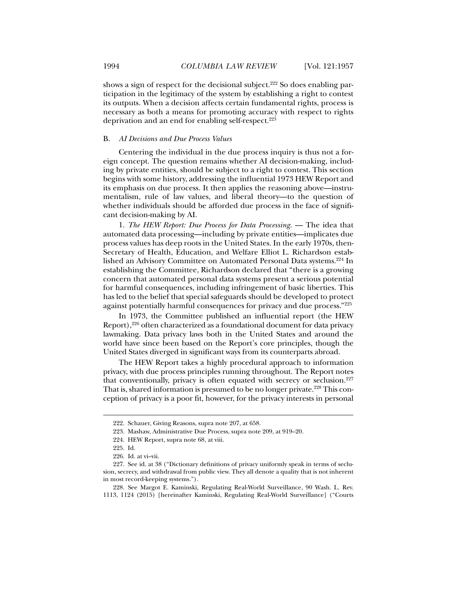shows a sign of respect for the decisional subject.<sup>222</sup> So does enabling participation in the legitimacy of the system by establishing a right to contest its outputs. When a decision affects certain fundamental rights, process is necessary as both a means for promoting accuracy with respect to rights deprivation and an end for enabling self-respect.<sup>223</sup>

## B. *AI Decisions and Due Process Values*

Centering the individual in the due process inquiry is thus not a foreign concept. The question remains whether AI decision-making, including by private entities, should be subject to a right to contest. This section begins with some history, addressing the influential 1973 HEW Report and its emphasis on due process. It then applies the reasoning above—instrumentalism, rule of law values, and liberal theory—to the question of whether individuals should be afforded due process in the face of significant decision-making by AI.

1. *The HEW Report: Due Process for Data Processing*. — The idea that automated data processing—including by private entities—implicates due process values has deep roots in the United States. In the early 1970s, then-Secretary of Health, Education, and Welfare Elliot L. Richardson established an Advisory Committee on Automated Personal Data systems.224 In establishing the Committee, Richardson declared that "there is a growing concern that automated personal data systems present a serious potential for harmful consequences, including infringement of basic liberties. This has led to the belief that special safeguards should be developed to protect against potentially harmful consequences for privacy and due process."225

In 1973, the Committee published an influential report (the HEW Report),226 often characterized as a foundational document for data privacy lawmaking. Data privacy laws both in the United States and around the world have since been based on the Report's core principles, though the United States diverged in significant ways from its counterparts abroad.

The HEW Report takes a highly procedural approach to information privacy, with due process principles running throughout. The Report notes that conventionally, privacy is often equated with secrecy or seclusion.227 That is, shared information is presumed to be no longer private.<sup>228</sup> This conception of privacy is a poor fit, however, for the privacy interests in personal

 <sup>222.</sup> Schauer, Giving Reasons, supra note 207, at 658.

 <sup>223.</sup> Mashaw, Administrative Due Process, supra note 209, at 919–20.

 <sup>224.</sup> HEW Report, supra note 68, at viii.

 <sup>225.</sup> Id.

 <sup>226.</sup> Id. at vi–vii.

 <sup>227.</sup> See id. at 38 ("Dictionary definitions of privacy uniformly speak in terms of seclusion, secrecy, and withdrawal from public view. They all denote a quality that is not inherent in most record-keeping systems.").

 <sup>228.</sup> See Margot E. Kaminski, Regulating Real-World Surveillance, 90 Wash. L. Rev. 1113, 1124 (2015) [hereinafter Kaminski, Regulating Real-World Surveillance] ("Courts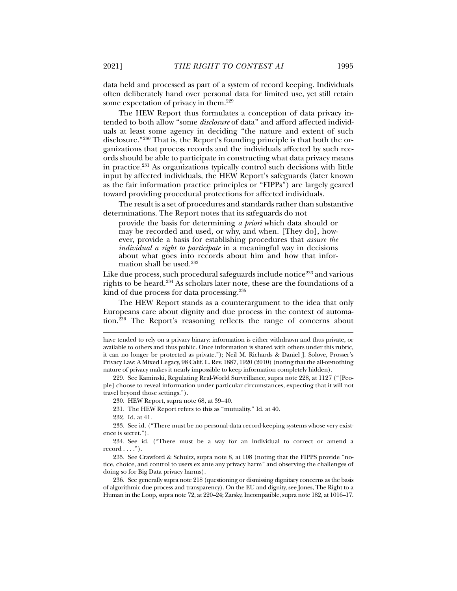data held and processed as part of a system of record keeping. Individuals often deliberately hand over personal data for limited use, yet still retain some expectation of privacy in them.<sup>229</sup>

The HEW Report thus formulates a conception of data privacy intended to both allow "some *disclosure* of data" and afford affected individuals at least some agency in deciding "the nature and extent of such disclosure."230 That is, the Report's founding principle is that both the organizations that process records and the individuals affected by such records should be able to participate in constructing what data privacy means in practice.231 As organizations typically control such decisions with little input by affected individuals, the HEW Report's safeguards (later known as the fair information practice principles or "FIPPs") are largely geared toward providing procedural protections for affected individuals.

The result is a set of procedures and standards rather than substantive determinations. The Report notes that its safeguards do not

provide the basis for determining *a priori* which data should or may be recorded and used, or why, and when. [They do], however, provide a basis for establishing procedures that *assure the individual a right to participate* in a meaningful way in decisions about what goes into records about him and how that information shall be used.232

Like due process, such procedural safeguards include notice<sup>233</sup> and various rights to be heard.234 As scholars later note, these are the foundations of a kind of due process for data processing.235

The HEW Report stands as a counterargument to the idea that only Europeans care about dignity and due process in the context of automation.<sup>236</sup> The Report's reasoning reflects the range of concerns about

230. HEW Report, supra note 68, at 39–40.

231. The HEW Report refers to this as "mutuality." Id. at 40.

232. Id. at 41.

 $\overline{a}$ 

 236. See generally supra note 218 (questioning or dismissing dignitary concerns as the basis of algorithmic due process and transparency). On the EU and dignity, see Jones, The Right to a Human in the Loop, supra note 72, at 220–24; Zarsky, Incompatible, supra note 182, at 1016–17.

have tended to rely on a privacy binary: information is either withdrawn and thus private, or available to others and thus public. Once information is shared with others under this rubric, it can no longer be protected as private."); Neil M. Richards & Daniel J. Solove, Prosser's Privacy Law: A Mixed Legacy, 98 Calif. L. Rev. 1887, 1920 (2010) (noting that the all-or-nothing nature of privacy makes it nearly impossible to keep information completely hidden).

 <sup>229.</sup> See Kaminski, Regulating Real-World Surveillance, supra note 228, at 1127 ("[People] choose to reveal information under particular circumstances, expecting that it will not travel beyond those settings.").

 <sup>233.</sup> See id. ("There must be no personal-data record-keeping systems whose very existence is secret.").

 <sup>234.</sup> See id. ("There must be a way for an individual to correct or amend a record  $\dots$ .").

 <sup>235.</sup> See Crawford & Schultz, supra note 8, at 108 (noting that the FIPPS provide "notice, choice, and control to users ex ante any privacy harm" and observing the challenges of doing so for Big Data privacy harms).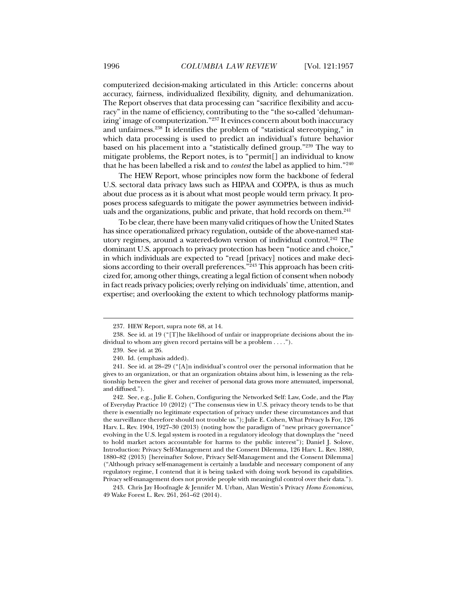computerized decision-making articulated in this Article: concerns about accuracy, fairness, individualized flexibility, dignity, and dehumanization. The Report observes that data processing can "sacrifice flexibility and accuracy" in the name of efficiency, contributing to the "the so-called 'dehumanizing' image of computerization."237 It evinces concern about both inaccuracy and unfairness.238 It identifies the problem of "statistical stereotyping," in which data processing is used to predict an individual's future behavior based on his placement into a "statistically defined group."239 The way to mitigate problems, the Report notes, is to "permit[] an individual to know that he has been labelled a risk and to *contest* the label as applied to him."240

The HEW Report, whose principles now form the backbone of federal U.S. sectoral data privacy laws such as HIPAA and COPPA, is thus as much about due process as it is about what most people would term privacy. It proposes process safeguards to mitigate the power asymmetries between individuals and the organizations, public and private, that hold records on them.<sup>241</sup>

To be clear, there have been many valid critiques of how the United States has since operationalized privacy regulation, outside of the above-named statutory regimes, around a watered-down version of individual control.242 The dominant U.S. approach to privacy protection has been "notice and choice," in which individuals are expected to "read [privacy] notices and make decisions according to their overall preferences."<sup>243</sup> This approach has been criticized for, among other things, creating a legal fiction of consent when nobody in fact reads privacy policies; overly relying on individuals' time, attention, and expertise; and overlooking the extent to which technology platforms manip-

 <sup>237.</sup> HEW Report, supra note 68, at 14.

 <sup>238.</sup> See id. at 19 ("[T]he likelihood of unfair or inappropriate decisions about the individual to whom any given record pertains will be a problem . . . .").

 <sup>239.</sup> See id. at 26.

 <sup>240.</sup> Id. (emphasis added).

 <sup>241.</sup> See id. at 28–29 ("[A]n individual's control over the personal information that he gives to an organization, or that an organization obtains about him, is lessening as the relationship between the giver and receiver of personal data grows more attenuated, impersonal, and diffused.").

 <sup>242.</sup> See, e.g., Julie E. Cohen, Configuring the Networked Self: Law, Code, and the Play of Everyday Practice 10 (2012) ("The consensus view in U.S. privacy theory tends to be that there is essentially no legitimate expectation of privacy under these circumstances and that the surveillance therefore should not trouble us."); Julie E. Cohen, What Privacy Is For, 126 Harv. L. Rev. 1904, 1927–30 (2013) (noting how the paradigm of "new privacy governance" evolving in the U.S. legal system is rooted in a regulatory ideology that downplays the "need to hold market actors accountable for harms to the public interest"); Daniel J. Solove, Introduction: Privacy Self-Management and the Consent Dilemma, 126 Harv. L. Rev. 1880, 1880–82 (2013) [hereinafter Solove, Privacy Self-Management and the Consent Dilemma] ("Although privacy self-management is certainly a laudable and necessary component of any regulatory regime, I contend that it is being tasked with doing work beyond its capabilities. Privacy self-management does not provide people with meaningful control over their data.").

 <sup>243.</sup> Chris Jay Hoofnagle & Jennifer M. Urban, Alan Westin's Privacy *Homo Economicus*, 49 Wake Forest L. Rev. 261, 261–62 (2014).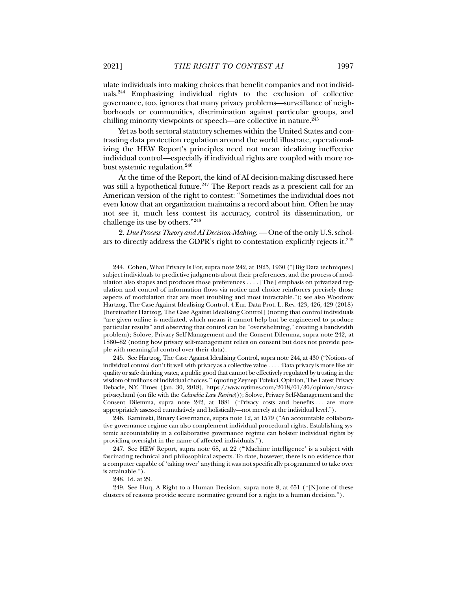ulate individuals into making choices that benefit companies and not individuals.244 Emphasizing individual rights to the exclusion of collective governance, too, ignores that many privacy problems—surveillance of neighborhoods or communities, discrimination against particular groups, and chilling minority viewpoints or speech—are collective in nature.<sup>245</sup>

Yet as both sectoral statutory schemes within the United States and contrasting data protection regulation around the world illustrate, operationalizing the HEW Report's principles need not mean idealizing ineffective individual control—especially if individual rights are coupled with more robust systemic regulation.246

At the time of the Report, the kind of AI decision-making discussed here was still a hypothetical future.<sup>247</sup> The Report reads as a prescient call for an American version of the right to contest: "Sometimes the individual does not even know that an organization maintains a record about him. Often he may not see it, much less contest its accuracy, control its dissemination, or challenge its use by others."248

2. *Due Process Theory and AI Decision-Making*. — One of the only U.S. scholars to directly address the GDPR's right to contestation explicitly rejects it.249

 245. See Hartzog, The Case Against Idealising Control, supra note 244, at 430 ("Notions of individual control don't fit well with privacy as a collective value . . . . 'Data privacy is more like air quality or safe drinking water, a public good that cannot be effectively regulated by trusting in the wisdom of millions of individual choices.'" (quoting Zeynep Tufekci, Opinion, The Latest Privacy Debacle, N.Y. Times (Jan. 30, 2018), https://www.nytimes.com/2018/01/30/opinion/stravaprivacy.html (on file with the *Columbia Law Review*))); Solove, Privacy Self-Management and the Consent Dilemma, supra note 242, at 1881 ("Privacy costs and benefits . . . are more appropriately assessed cumulatively and holistically—not merely at the individual level.").

 246. Kaminski, Binary Governance, supra note 12, at 1579 ("An accountable collaborative governance regime can also complement individual procedural rights. Establishing systemic accountability in a collaborative governance regime can bolster individual rights by providing oversight in the name of affected individuals.").

 247. See HEW Report, supra note 68, at 22 ("'Machine intelligence' is a subject with fascinating technical and philosophical aspects. To date, however, there is no evidence that a computer capable of 'taking over' anything it was not specifically programmed to take over is attainable.").

248. Id. at 29.

 <sup>244.</sup> Cohen, What Privacy Is For, supra note 242, at 1925, 1930 ("[Big Data techniques] subject individuals to predictive judgments about their preferences, and the process of modulation also shapes and produces those preferences . . . . [The] emphasis on privatized regulation and control of information flows via notice and choice reinforces precisely those aspects of modulation that are most troubling and most intractable."); see also Woodrow Hartzog, The Case Against Idealising Control, 4 Eur. Data Prot. L. Rev. 423, 426, 429 (2018) [hereinafter Hartzog, The Case Against Idealising Control] (noting that control individuals "are given online is mediated, which means it cannot help but be engineered to produce particular results" and observing that control can be "overwhelming," creating a bandwidth problem); Solove, Privacy Self-Management and the Consent Dilemma, supra note 242, at 1880–82 (noting how privacy self-management relies on consent but does not provide people with meaningful control over their data).

 <sup>249.</sup> See Huq, A Right to a Human Decision, supra note 8, at 651 ("[N]one of these clusters of reasons provide secure normative ground for a right to a human decision.").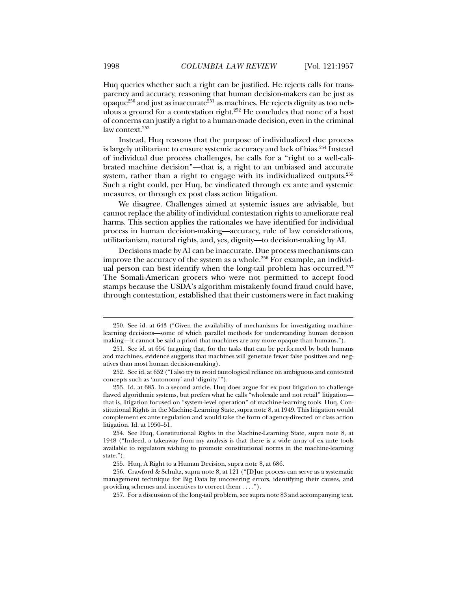Huq queries whether such a right can be justified. He rejects calls for transparency and accuracy, reasoning that human decision-makers can be just as opaque<sup>250</sup> and just as inaccurate<sup>251</sup> as machines. He rejects dignity as too nebulous a ground for a contestation right.252 He concludes that none of a host of concerns can justify a right to a human-made decision, even in the criminal law context.<sup>253</sup>

Instead, Huq reasons that the purpose of individualized due process is largely utilitarian: to ensure systemic accuracy and lack of bias.<sup>254</sup> Instead of individual due process challenges, he calls for a "right to a well-calibrated machine decision"—that is, a right to an unbiased and accurate system, rather than a right to engage with its individualized outputs.<sup>255</sup> Such a right could, per Huq, be vindicated through ex ante and systemic measures, or through ex post class action litigation.

We disagree. Challenges aimed at systemic issues are advisable, but cannot replace the ability of individual contestation rights to ameliorate real harms. This section applies the rationales we have identified for individual process in human decision-making—accuracy, rule of law considerations, utilitarianism, natural rights, and, yes, dignity—to decision-making by AI.

Decisions made by AI can be inaccurate. Due process mechanisms can improve the accuracy of the system as a whole.<sup>256</sup> For example, an individual person can best identify when the long-tail problem has occurred.257 The Somali-American grocers who were not permitted to accept food stamps because the USDA's algorithm mistakenly found fraud could have, through contestation, established that their customers were in fact making

 <sup>250.</sup> See id. at 643 ("Given the availability of mechanisms for investigating machinelearning decisions—some of which parallel methods for understanding human decision making—it cannot be said a priori that machines are any more opaque than humans.").

 <sup>251.</sup> See id. at 654 (arguing that, for the tasks that can be performed by both humans and machines, evidence suggests that machines will generate fewer false positives and negatives than most human decision-making).

 <sup>252.</sup> See id. at 652 ("I also try to avoid tautological reliance on ambiguous and contested concepts such as 'autonomy' and 'dignity.' ").

 <sup>253.</sup> Id. at 685. In a second article, Huq does argue for ex post litigation to challenge flawed algorithmic systems, but prefers what he calls "wholesale and not retail" litigation that is, litigation focused on "system-level operation" of machine-learning tools. Huq, Constitutional Rights in the Machine-Learning State, supra note 8, at 1949. This litigation would complement ex ante regulation and would take the form of agency-directed or class action litigation. Id. at 1950–51.

 <sup>254.</sup> See Huq, Constitutional Rights in the Machine-Learning State, supra note 8, at 1948 ("Indeed, a takeaway from my analysis is that there is a wide array of ex ante tools available to regulators wishing to promote constitutional norms in the machine-learning state.").

 <sup>255.</sup> Huq, A Right to a Human Decision, supra note 8, at 686.

 <sup>256.</sup> Crawford & Schultz, supra note 8, at 121 ("[D]ue process can serve as a systematic management technique for Big Data by uncovering errors, identifying their causes, and providing schemes and incentives to correct them . . . .").

 <sup>257.</sup> For a discussion of the long-tail problem, see supra note 83 and accompanying text.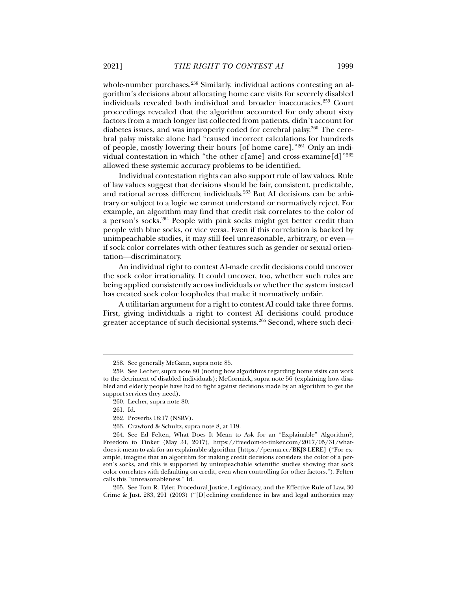whole-number purchases.<sup>258</sup> Similarly, individual actions contesting an algorithm's decisions about allocating home care visits for severely disabled individuals revealed both individual and broader inaccuracies.259 Court proceedings revealed that the algorithm accounted for only about sixty factors from a much longer list collected from patients, didn't account for diabetes issues, and was improperly coded for cerebral palsy.260 The cerebral palsy mistake alone had "caused incorrect calculations for hundreds of people, mostly lowering their hours [of home care]."261 Only an individual contestation in which "the other c[ame] and cross-examine[d]"<sup>262</sup> allowed these systemic accuracy problems to be identified.

Individual contestation rights can also support rule of law values. Rule of law values suggest that decisions should be fair, consistent, predictable, and rational across different individuals.263 But AI decisions can be arbitrary or subject to a logic we cannot understand or normatively reject. For example, an algorithm may find that credit risk correlates to the color of a person's socks.264 People with pink socks might get better credit than people with blue socks, or vice versa. Even if this correlation is backed by unimpeachable studies, it may still feel unreasonable, arbitrary, or even if sock color correlates with other features such as gender or sexual orientation—discriminatory.

An individual right to contest AI-made credit decisions could uncover the sock color irrationality. It could uncover, too, whether such rules are being applied consistently across individuals or whether the system instead has created sock color loopholes that make it normatively unfair.

A utilitarian argument for a right to contest AI could take three forms. First, giving individuals a right to contest AI decisions could produce greater acceptance of such decisional systems.265 Second, where such deci-

 <sup>258.</sup> See generally McGann, supra note 85.

 <sup>259.</sup> See Lecher, supra note 80 (noting how algorithms regarding home visits can work to the detriment of disabled individuals); McCormick, supra note 56 (explaining how disabled and elderly people have had to fight against decisions made by an algorithm to get the support services they need).

 <sup>260.</sup> Lecher, supra note 80.

 <sup>261.</sup> Id.

 <sup>262.</sup> Proverbs 18:17 (NSRV).

 <sup>263.</sup> Crawford & Schultz, supra note 8, at 119.

 <sup>264.</sup> See Ed Felten, What Does It Mean to Ask for an "Explainable" Algorithm?, Freedom to Tinker (May 31, 2017), https://freedom-to-tinker.com/2017/05/31/whatdoes-it-mean-to-ask-for-an-explainable-algorithm [https://perma.cc/BKJ8-LERE] ("For example, imagine that an algorithm for making credit decisions considers the color of a person's socks, and this is supported by unimpeachable scientific studies showing that sock color correlates with defaulting on credit, even when controlling for other factors."). Felten calls this "unreasonableness." Id.

 <sup>265.</sup> See Tom R. Tyler, Procedural Justice, Legitimacy, and the Effective Rule of Law, 30 Crime & Just. 283, 291 (2003) ("[D]eclining confidence in law and legal authorities may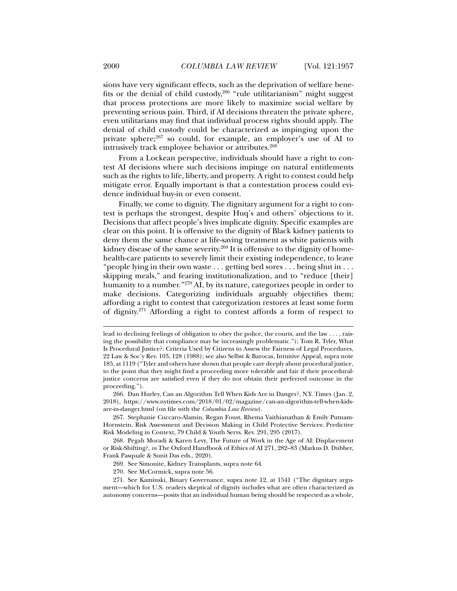sions have very significant effects, such as the deprivation of welfare benefits or the denial of child custody,  $266$  "rule utilitarianism" might suggest that process protections are more likely to maximize social welfare by preventing serious pain. Third, if AI decisions threaten the private sphere, even utilitarians may find that individual process rights should apply. The denial of child custody could be characterized as impinging upon the private sphere;267 so could, for example, an employer's use of AI to intrusively track employee behavior or attributes.<sup>268</sup>

From a Lockean perspective, individuals should have a right to contest AI decisions where such decisions impinge on natural entitlements such as the rights to life, liberty, and property. A right to contest could help mitigate error. Equally important is that a contestation process could evidence individual buy-in or even consent.

Finally, we come to dignity. The dignitary argument for a right to contest is perhaps the strongest, despite Huq's and others' objections to it. Decisions that affect people's lives implicate dignity. Specific examples are clear on this point. It is offensive to the dignity of Black kidney patients to deny them the same chance at life-saving treatment as white patients with kidney disease of the same severity.<sup>269</sup> It is offensive to the dignity of homehealth-care patients to severely limit their existing independence, to leave "people lying in their own waste . . . getting bed sores . . . being shut in . . . skipping meals," and fearing institutionalization, and to "reduce [their] humanity to a number."<sup>270</sup> AI, by its nature, categorizes people in order to make decisions. Categorizing individuals arguably objectifies them; affording a right to contest that categorization restores at least some form of dignity.271 Affording a right to contest affords a form of respect to

lead to declining feelings of obligation to obey the police, the courts, and the law . . . , raising the possibility that compliance may be increasingly problematic."); Tom R. Tyler, What Is Procedural Justice?: Criteria Used by Citizens to Assess the Fairness of Legal Procedures, 22 Law & Soc'y Rev. 103, 128 (1988); see also Selbst & Barocas, Intuitive Appeal, supra note 185, at 1119 ("Tyler and others have shown that people care deeply about procedural justice, to the point that they might find a proceeding more tolerable and fair if their proceduraljustice concerns are satisfied even if they do not obtain their preferred outcome in the proceeding.").

 <sup>266.</sup> Dan Hurley, Can an Algorithm Tell When Kids Are in Danger?, N.Y. Times (Jan. 2, 2018), https://www.nytimes.com/2018/01/02/magazine/can-an-algorithm-tell-when-kidsare-in-danger.html (on file with the *Columbia Law Review*).

 <sup>267.</sup> Stephanie Cuccaro-Alamin, Regan Foust, Rhema Vaithianathan & Emily Putnam-Hornstein, Risk Assessment and Decision Making in Child Protective Services: Predictive Risk Modeling in Context, 79 Child & Youth Servs. Rev. 291, 295 (2017).

 <sup>268.</sup> Pegah Moradi & Karen Levy, The Future of Work in the Age of AI: Displacement or Risk-Shifting?, *in* The Oxford Handbook of Ethics of AI 271, 282–83 (Markus D. Dubber, Frank Pasquale & Sunit Das eds., 2020).

 <sup>269.</sup> See Simonite, Kidney Transplants, supra note 64.

 <sup>270.</sup> See McCormick, supra note 56.

 <sup>271.</sup> See Kaminski, Binary Governance, supra note 12, at 1541 ("The dignitary argument—which for U.S. readers skeptical of dignity includes what are often characterized as autonomy concerns—posits that an individual human being should be respected as a whole,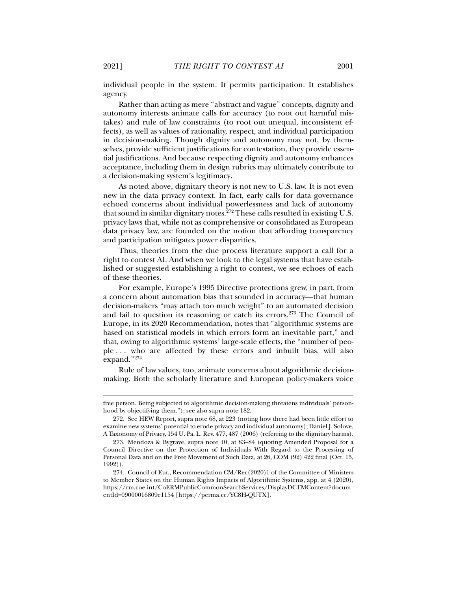individual people in the system. It permits participation. It establishes agency.

Rather than acting as mere "abstract and vague" concepts, dignity and autonomy interests animate calls for accuracy (to root out harmful mistakes) and rule of law constraints (to root out unequal, inconsistent effects), as well as values of rationality, respect, and individual participation in decision-making. Though dignity and autonomy may not, by themselves, provide sufficient justifications for contestation, they provide essential justifications. And because respecting dignity and autonomy enhances acceptance, including them in design rubrics may ultimately contribute to a decision-making system's legitimacy.

As noted above, dignitary theory is not new to U.S. law. It is not even new in the data privacy context. In fact, early calls for data governance echoed concerns about individual powerlessness and lack of autonomy that sound in similar dignitary notes.<sup>272</sup> These calls resulted in existing U.S. privacy laws that, while not as comprehensive or consolidated as European data privacy law, are founded on the notion that affording transparency and participation mitigates power disparities.

Thus, theories from the due process literature support a call for a right to contest AI. And when we look to the legal systems that have established or suggested establishing a right to contest, we see echoes of each of these theories.

For example, Europe's 1995 Directive protections grew, in part, from a concern about automation bias that sounded in accuracy—that human decision-makers "may attach too much weight" to an automated decision and fail to question its reasoning or catch its errors.<sup>273</sup> The Council of Europe, in its 2020 Recommendation, notes that "algorithmic systems are based on statistical models in which errors form an inevitable part," and that, owing to algorithmic systems' large-scale effects, the "number of people . . . who are affected by these errors and inbuilt bias, will also expand."274

Rule of law values, too, animate concerns about algorithmic decisionmaking. Both the scholarly literature and European policy-makers voice

free person. Being subjected to algorithmic decision-making threatens individuals' personhood by objectifying them."); see also supra note 182.

 <sup>272.</sup> See HEW Report, supra note 68, at 223 (noting how there had been little effort to examine new systems' potential to erode privacy and individual autonomy); Daniel J. Solove, A Taxonomy of Privacy, 154 U. Pa. L. Rev. 477, 487 (2006) (referring to the dignitary harms).

 <sup>273.</sup> Mendoza & Bygrave, supra note 10, at 83–84 (quoting Amended Proposal for a Council Directive on the Protection of Individuals With Regard to the Processing of Personal Data and on the Free Movement of Such Data, at 26, COM (92) 422 final (Oct. 15, 1992)).

 <sup>274.</sup> Council of Eur., Recommendation CM/Rec(2020)1 of the Committee of Ministers to Member States on the Human Rights Impacts of Algorithmic Systems, app. at 4 (2020), https://rm.coe.int/CoERMPublicCommonSearchServices/DisplayDCTMContent?docum entId=09000016809e1154 [https://perma.cc/YC8H-QUTX].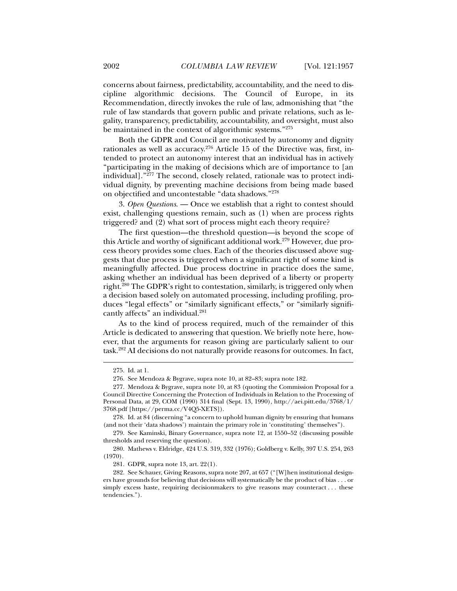concerns about fairness, predictability, accountability, and the need to discipline algorithmic decisions. The Council of Europe, in its Recommendation, directly invokes the rule of law, admonishing that "the rule of law standards that govern public and private relations, such as legality, transparency, predictability, accountability, and oversight, must also be maintained in the context of algorithmic systems."275

Both the GDPR and Council are motivated by autonomy and dignity rationales as well as accuracy.276 Article 15 of the Directive was, first, intended to protect an autonomy interest that an individual has in actively "participating in the making of decisions which are of importance to [an individual]." $^{277}$  The second, closely related, rationale was to protect individual dignity, by preventing machine decisions from being made based on objectified and uncontestable "data shadows."278

3. *Open Questions*. — Once we establish that a right to contest should exist, challenging questions remain, such as (1) when are process rights triggered? and (2) what sort of process might each theory require?

The first question—the threshold question—is beyond the scope of this Article and worthy of significant additional work.<sup>279</sup> However, due process theory provides some clues. Each of the theories discussed above suggests that due process is triggered when a significant right of some kind is meaningfully affected. Due process doctrine in practice does the same, asking whether an individual has been deprived of a liberty or property right.280 The GDPR's right to contestation, similarly, is triggered only when a decision based solely on automated processing, including profiling, produces "legal effects" or "similarly significant effects," or "similarly significantly affects" an individual.<sup>281</sup>

As to the kind of process required, much of the remainder of this Article is dedicated to answering that question. We briefly note here, however, that the arguments for reason giving are particularly salient to our task.282 AI decisions do not naturally provide reasons for outcomes. In fact,

 <sup>275.</sup> Id. at 1.

 <sup>276.</sup> See Mendoza & Bygrave, supra note 10, at 82–83; supra note 182.

 <sup>277.</sup> Mendoza & Bygrave, supra note 10, at 83 (quoting the Commission Proposal for a Council Directive Concerning the Protection of Individuals in Relation to the Processing of Personal Data, at 29, COM (1990) 314 final (Sept. 13, 1990), http://aei.pitt.edu/3768/1/ 3768.pdf [https://perma.cc/V4Q5-XETS]).

 <sup>278.</sup> Id. at 84 (discerning "a concern to uphold human dignity by ensuring that humans (and not their 'data shadows') maintain the primary role in 'constituting' themselves").

 <sup>279.</sup> See Kaminski, Binary Governance, supra note 12, at 1550–52 (discussing possible thresholds and reserving the question).

 <sup>280.</sup> Mathews v. Eldridge, 424 U.S. 319, 332 (1976); Goldberg v. Kelly, 397 U.S. 254, 263 (1970).

 <sup>281.</sup> GDPR, supra note 13, art. 22(1).

 <sup>282.</sup> See Schauer, Giving Reasons, supra note 207, at 657 ("[W]hen institutional designers have grounds for believing that decisions will systematically be the product of bias . . . or simply excess haste, requiring decisionmakers to give reasons may counteract . . . these tendencies.").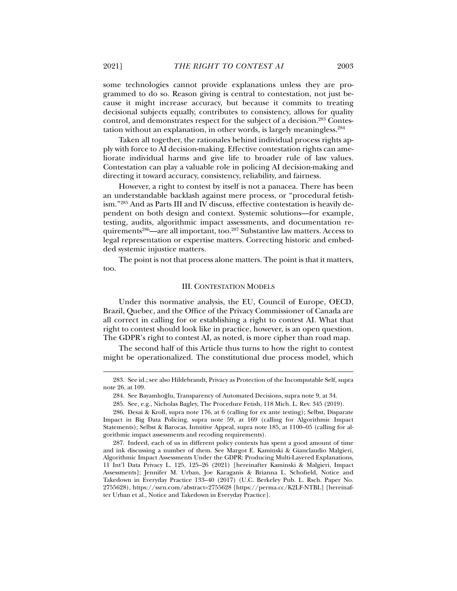some technologies cannot provide explanations unless they are programmed to do so. Reason giving is central to contestation, not just because it might increase accuracy, but because it commits to treating decisional subjects equally, contributes to consistency, allows for quality control, and demonstrates respect for the subject of a decision.283 Contestation without an explanation, in other words, is largely meaningless.284

Taken all together, the rationales behind individual process rights apply with force to AI decision-making. Effective contestation rights can ameliorate individual harms and give life to broader rule of law values. Contestation can play a valuable role in policing AI decision-making and directing it toward accuracy, consistency, reliability, and fairness.

However, a right to contest by itself is not a panacea. There has been an understandable backlash against mere process, or "procedural fetishism."285 And as Parts III and IV discuss, effective contestation is heavily dependent on both design and context. Systemic solutions—for example, testing, audits, algorithmic impact assessments, and documentation requirements286—are all important, too.287 Substantive law matters. Access to legal representation or expertise matters. Correcting historic and embedded systemic injustice matters.

The point is not that process alone matters. The point is that it matters, too.

### III. CONTESTATION MODELS

Under this normative analysis, the EU, Council of Europe, OECD, Brazil, Quebec, and the Office of the Privacy Commissioner of Canada are all correct in calling for or establishing a right to contest AI. What that right to contest should look like in practice, however, is an open question. The GDPR's right to contest AI, as noted, is more cipher than road map.

The second half of this Article thus turns to how the right to contest might be operationalized. The constitutional due process model, which

 <sup>283.</sup> See id.; see also Hildebrandt, Privacy as Protection of the Incomputable Self, supra note 26, at 109.

 <sup>284.</sup> See Bayamlıoğlu, Transparency of Automated Decisions, supra note 9, at 34.

 <sup>285.</sup> See, e.g., Nicholas Bagley, The Procedure Fetish, 118 Mich. L. Rev. 345 (2019).

 <sup>286.</sup> Desai & Kroll, supra note 176, at 6 (calling for ex ante testing); Selbst, Disparate Impact in Big Data Policing, supra note 59, at 169 (calling for Algorithmic Impact Statements); Selbst & Barocas, Intuitive Appeal, supra note 185, at 1100–05 (calling for algorithmic impact assessments and recoding requirements).

 <sup>287.</sup> Indeed, each of us in different policy contexts has spent a good amount of time and ink discussing a number of them. See Margot E. Kaminski & Gianclaudio Malgieri, Algorithmic Impact Assessments Under the GDPR: Producing Multi-Layered Explanations, 11 Int'l Data Privacy L. 125, 125–26 (2021) [hereinafter Kaminski & Malgieri, Impact Assessments]; Jennifer M. Urban, Joe Karaganis & Brianna L. Schofield, Notice and Takedown in Everyday Practice 133–40 (2017) (U.C. Berkeley Pub. L. Rsch. Paper No. 2755628), https://ssrn.com/abstract=2755628 [https://perma.cc/K2LF-NTBL] [hereinafter Urban et al., Notice and Takedown in Everyday Practice].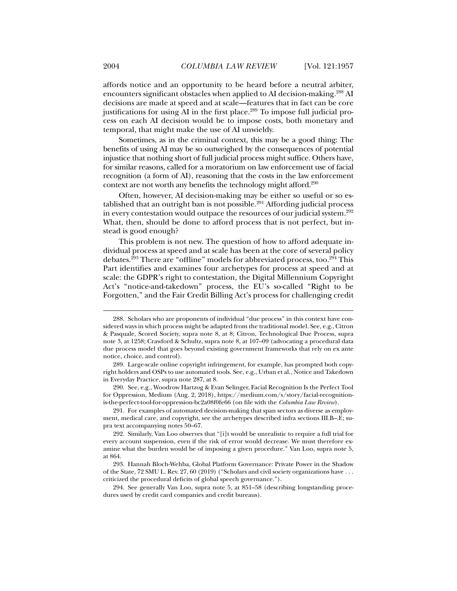affords notice and an opportunity to be heard before a neutral arbiter, encounters significant obstacles when applied to AI decision-making.288 AI decisions are made at speed and at scale—features that in fact can be core justifications for using AI in the first place.<sup>289</sup> To impose full judicial process on each AI decision would be to impose costs, both monetary and temporal, that might make the use of AI unwieldy.

Sometimes, as in the criminal context, this may be a good thing: The benefits of using AI may be so outweighed by the consequences of potential injustice that nothing short of full judicial process might suffice. Others have, for similar reasons, called for a moratorium on law enforcement use of facial recognition (a form of AI), reasoning that the costs in the law enforcement context are not worth any benefits the technology might afford.290

Often, however, AI decision-making may be either so useful or so established that an outright ban is not possible.<sup>291</sup> Affording judicial process in every contestation would outpace the resources of our judicial system.<sup>292</sup> What, then, should be done to afford process that is not perfect, but instead is good enough?

This problem is not new. The question of how to afford adequate individual process at speed and at scale has been at the core of several policy debates.<sup>293</sup> There are "offline" models for abbreviated process, too.<sup>294</sup> This Part identifies and examines four archetypes for process at speed and at scale: the GDPR's right to contestation, the Digital Millennium Copyright Act's "notice-and-takedown" process, the EU's so-called "Right to be Forgotten," and the Fair Credit Billing Act's process for challenging credit

 290. See, e.g., Woodrow Hartzog & Evan Selinger, Facial Recognition Is the Perfect Tool for Oppression, Medium (Aug. 2, 2018), https://medium.com/s/story/facial-recognitionis-the-perfect-tool-for-oppression-bc2a08f0fe66 (on file with the *Columbia Law Review*).

 291. For examples of automated decision-making that span sectors as diverse as employment, medical care, and copyright, see the archetypes described infra sections III.B–.E; supra text accompanying notes 50–67.

 <sup>288.</sup> Scholars who are proponents of individual "due process" in this context have considered ways in which process might be adapted from the traditional model. See, e.g., Citron & Pasquale, Scored Society, supra note 8, at 8; Citron, Technological Due Process, supra note 3, at 1258; Crawford & Schultz, supra note 8, at 107–09 (advocating a procedural data due process model that goes beyond existing government frameworks that rely on ex ante notice, choice, and control).

 <sup>289.</sup> Large-scale online copyright infringement, for example, has prompted both copyright holders and OSPs to use automated tools. See, e.g., Urban et al., Notice and Takedown in Everyday Practice, supra note 287, at 8.

 <sup>292.</sup> Similarly, Van Loo observes that "[i]t would be unrealistic to require a full trial for every account suspension, even if the risk of error would decrease. We must therefore examine what the burden would be of imposing a given procedure." Van Loo, supra note 5, at 864.

 <sup>293.</sup> Hannah Bloch-Wehba, Global Platform Governance: Private Power in the Shadow of the State, 72 SMU L. Rev. 27, 60 (2019) ("Scholars and civil society organizations have . . . criticized the procedural deficits of global speech governance.").

 <sup>294.</sup> See generally Van Loo, supra note 5, at 851–58 (describing longstanding procedures used by credit card companies and credit bureaus).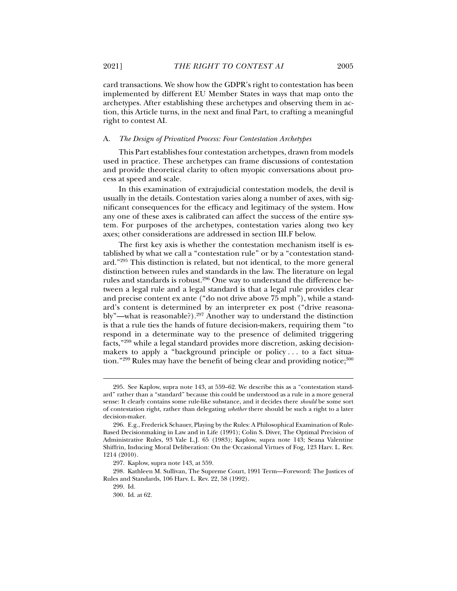card transactions. We show how the GDPR's right to contestation has been implemented by different EU Member States in ways that map onto the archetypes. After establishing these archetypes and observing them in action, this Article turns, in the next and final Part, to crafting a meaningful right to contest AI.

## A. *The Design of Privatized Process: Four Contestation Archetypes*

This Part establishes four contestation archetypes, drawn from models used in practice. These archetypes can frame discussions of contestation and provide theoretical clarity to often myopic conversations about process at speed and scale.

In this examination of extrajudicial contestation models, the devil is usually in the details. Contestation varies along a number of axes, with significant consequences for the efficacy and legitimacy of the system. How any one of these axes is calibrated can affect the success of the entire system. For purposes of the archetypes, contestation varies along two key axes; other considerations are addressed in section III.F below.

The first key axis is whether the contestation mechanism itself is established by what we call a "contestation rule" or by a "contestation standard."295 This distinction is related, but not identical, to the more general distinction between rules and standards in the law. The literature on legal rules and standards is robust.296 One way to understand the difference between a legal rule and a legal standard is that a legal rule provides clear and precise content ex ante ("do not drive above 75 mph"), while a standard's content is determined by an interpreter ex post ("drive reasonably"—what is reasonable?).<sup>297</sup> Another way to understand the distinction is that a rule ties the hands of future decision-makers, requiring them "to respond in a determinate way to the presence of delimited triggering facts,"298 while a legal standard provides more discretion, asking decisionmakers to apply a "background principle or policy . . . to a fact situation."<sup>299</sup> Rules may have the benefit of being clear and providing notice;<sup>300</sup>

 <sup>295.</sup> See Kaplow, supra note 143, at 559–62. We describe this as a "contestation standard" rather than a "standard" because this could be understood as a rule in a more general sense: It clearly contains some rule-like substance, and it decides there *should* be some sort of contestation right, rather than delegating *whether* there should be such a right to a later decision-maker.

 <sup>296.</sup> E.g., Frederick Schauer, Playing by the Rules: A Philosophical Examination of Rule-Based Decisionmaking in Law and in Life (1991); Colin S. Diver, The Optimal Precision of Administrative Rules, 93 Yale L.J. 65 (1983); Kaplow, supra note 143; Seana Valentine Shiffrin, Inducing Moral Deliberation: On the Occasional Virtues of Fog, 123 Harv. L. Rev. 1214 (2010).

 <sup>297.</sup> Kaplow, supra note 143, at 559.

 <sup>298.</sup> Kathleen M. Sullivan, The Supreme Court, 1991 Term—Foreword: The Justices of Rules and Standards, 106 Harv. L. Rev. 22, 58 (1992).

 <sup>299.</sup> Id.

 <sup>300.</sup> Id. at 62.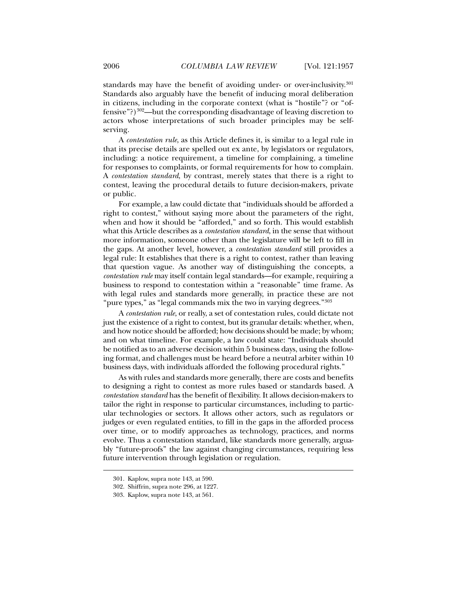standards may have the benefit of avoiding under- or over-inclusivity.<sup>301</sup> Standards also arguably have the benefit of inducing moral deliberation in citizens, including in the corporate context (what is "hostile"? or "offensive"?)302—but the corresponding disadvantage of leaving discretion to actors whose interpretations of such broader principles may be selfserving.

A *contestation rule*, as this Article defines it, is similar to a legal rule in that its precise details are spelled out ex ante, by legislators or regulators, including: a notice requirement, a timeline for complaining, a timeline for responses to complaints, or formal requirements for how to complain. A *contestation standard*, by contrast, merely states that there is a right to contest, leaving the procedural details to future decision-makers, private or public.

For example, a law could dictate that "individuals should be afforded a right to contest," without saying more about the parameters of the right, when and how it should be "afforded," and so forth. This would establish what this Article describes as a *contestation standard*, in the sense that without more information, someone other than the legislature will be left to fill in the gaps. At another level, however, a *contestation standard* still provides a legal rule: It establishes that there is a right to contest, rather than leaving that question vague. As another way of distinguishing the concepts, a *contestation rule* may itself contain legal standards—for example, requiring a business to respond to contestation within a "reasonable" time frame. As with legal rules and standards more generally, in practice these are not "pure types," as "legal commands mix the two in varying degrees."<sup>303</sup>

A *contestation rule*, or really, a set of contestation rules, could dictate not just the existence of a right to contest, but its granular details: whether, when, and how notice should be afforded; how decisions should be made; by whom; and on what timeline. For example, a law could state: "Individuals should be notified as to an adverse decision within 5 business days, using the following format, and challenges must be heard before a neutral arbiter within 10 business days, with individuals afforded the following procedural rights."

As with rules and standards more generally, there are costs and benefits to designing a right to contest as more rules based or standards based. A *contestation standard* has the benefit of flexibility. It allows decision-makers to tailor the right in response to particular circumstances, including to particular technologies or sectors. It allows other actors, such as regulators or judges or even regulated entities, to fill in the gaps in the afforded process over time, or to modify approaches as technology, practices, and norms evolve. Thus a contestation standard, like standards more generally, arguably "future-proofs" the law against changing circumstances, requiring less future intervention through legislation or regulation.

 <sup>301.</sup> Kaplow, supra note 143, at 590.

 <sup>302.</sup> Shiffrin, supra note 296, at 1227.

 <sup>303.</sup> Kaplow, supra note 143, at 561.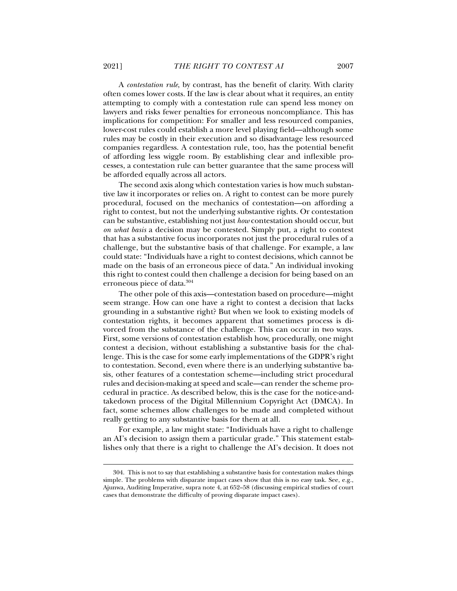A *contestation rule*, by contrast, has the benefit of clarity. With clarity often comes lower costs. If the law is clear about what it requires, an entity attempting to comply with a contestation rule can spend less money on lawyers and risks fewer penalties for erroneous noncompliance. This has implications for competition: For smaller and less resourced companies, lower-cost rules could establish a more level playing field—although some rules may be costly in their execution and so disadvantage less resourced companies regardless. A contestation rule, too, has the potential benefit of affording less wiggle room. By establishing clear and inflexible processes, a contestation rule can better guarantee that the same process will be afforded equally across all actors.

The second axis along which contestation varies is how much substantive law it incorporates or relies on. A right to contest can be more purely procedural, focused on the mechanics of contestation—on affording a right to contest, but not the underlying substantive rights. Or contestation can be substantive, establishing not just *how* contestation should occur, but *on what basis* a decision may be contested. Simply put, a right to contest that has a substantive focus incorporates not just the procedural rules of a challenge, but the substantive basis of that challenge. For example, a law could state: "Individuals have a right to contest decisions, which cannot be made on the basis of an erroneous piece of data." An individual invoking this right to contest could then challenge a decision for being based on an erroneous piece of data.304

The other pole of this axis—contestation based on procedure—might seem strange. How can one have a right to contest a decision that lacks grounding in a substantive right? But when we look to existing models of contestation rights, it becomes apparent that sometimes process is divorced from the substance of the challenge. This can occur in two ways. First, some versions of contestation establish how, procedurally, one might contest a decision, without establishing a substantive basis for the challenge. This is the case for some early implementations of the GDPR's right to contestation. Second, even where there is an underlying substantive basis, other features of a contestation scheme—including strict procedural rules and decision-making at speed and scale—can render the scheme procedural in practice. As described below, this is the case for the notice-andtakedown process of the Digital Millennium Copyright Act (DMCA). In fact, some schemes allow challenges to be made and completed without really getting to any substantive basis for them at all.

For example, a law might state: "Individuals have a right to challenge an AI's decision to assign them a particular grade." This statement establishes only that there is a right to challenge the AI's decision. It does not

 <sup>304.</sup> This is not to say that establishing a substantive basis for contestation makes things simple. The problems with disparate impact cases show that this is no easy task. See, e.g., Ajunwa, Auditing Imperative, supra note 4, at 652–58 (discussing empirical studies of court cases that demonstrate the difficulty of proving disparate impact cases).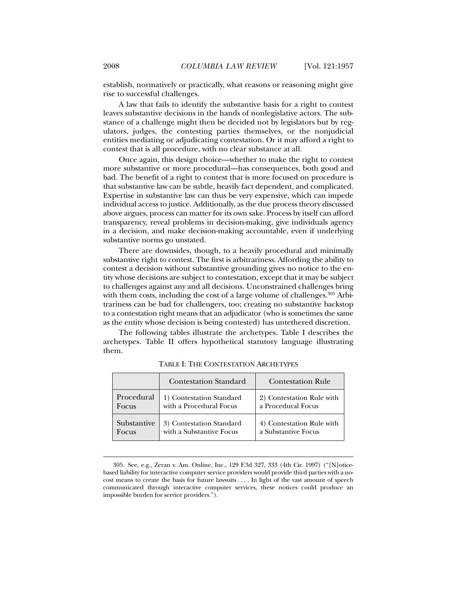establish, normatively or practically, what reasons or reasoning might give rise to successful challenges.

A law that fails to identify the substantive basis for a right to contest leaves substantive decisions in the hands of nonlegislative actors. The substance of a challenge might then be decided not by legislators but by regulators, judges, the contesting parties themselves, or the nonjudicial entities mediating or adjudicating contestation. Or it may afford a right to contest that is all procedure, with no clear substance at all.

Once again, this design choice—whether to make the right to contest more substantive or more procedural—has consequences, both good and bad. The benefit of a right to contest that is more focused on procedure is that substantive law can be subtle, heavily fact dependent, and complicated. Expertise in substantive law can thus be very expensive, which can impede individual access to justice. Additionally, as the due process theory discussed above argues, process can matter for its own sake. Process by itself can afford transparency, reveal problems in decision-making, give individuals agency in a decision, and make decision-making accountable, even if underlying substantive norms go unstated.

There are downsides, though, to a heavily procedural and minimally substantive right to contest. The first is arbitrariness. Affording the ability to contest a decision without substantive grounding gives no notice to the entity whose decisions are subject to contestation, except that it may be subject to challenges against any and all decisions. Unconstrained challenges bring with them costs, including the cost of a large volume of challenges.<sup>305</sup> Arbitrariness can be bad for challengers, too; creating no substantive backstop to a contestation right means that an adjudicator (who is sometimes the same as the entity whose decision is being contested) has untethered discretion.

The following tables illustrate the archetypes. Table I describes the archetypes. Table II offers hypothetical statutory language illustrating them.

|             | <b>Contestation Standard</b> | <b>Contestation Rule</b>  |
|-------------|------------------------------|---------------------------|
| Procedural  | 1) Contestation Standard     | 2) Contestation Rule with |
| Focus       | with a Procedural Focus      | a Procedural Focus        |
| Substantive | 3) Contestation Standard     | 4) Contestation Rule with |
| Focus       | with a Substantive Focus     | a Substantive Focus       |

TABLE I: THE CONTESTATION ARCHETYPES

 <sup>305.</sup> See, e.g., Zeran v. Am. Online, Inc., 129 F.3d 327, 333 (4th Cir. 1997) ("[N]oticebased liability for interactive computer service providers would provide third parties with a nocost means to create the basis for future lawsuits . . . . In light of the vast amount of speech communicated through interactive computer services, these notices could produce an impossible burden for service providers.").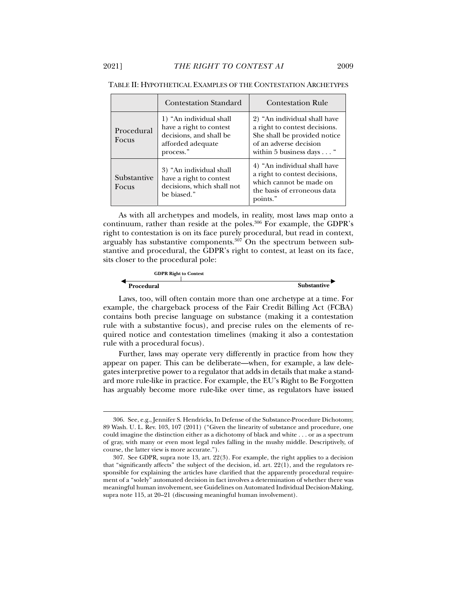|                      | <b>Contestation Standard</b>                                                                                    | <b>Contestation Rule</b>                                                                                                                            |
|----------------------|-----------------------------------------------------------------------------------------------------------------|-----------------------------------------------------------------------------------------------------------------------------------------------------|
| Procedural<br>Focus  | 1) "An individual shall<br>have a right to contest<br>decisions, and shall be<br>afforded adequate<br>process." | 2) "An individual shall have<br>a right to contest decisions.<br>She shall be provided notice<br>of an adverse decision<br>within 5 business days " |
| Substantive<br>Focus | 3) "An individual shall<br>have a right to contest<br>decisions, which shall not<br>be biased."                 | 4) "An individual shall have<br>a right to contest decisions,<br>which cannot be made on<br>the basis of erroneous data<br>points."                 |

#### TABLE II: HYPOTHETICAL EXAMPLES OF THE CONTESTATION ARCHETYPES

As with all archetypes and models, in reality, most laws map onto a continuum, rather than reside at the poles.<sup>306</sup> For example, the GDPR's right to contestation is on its face purely procedural, but read in context, arguably has substantive components. $307$  On the spectrum between substantive and procedural, the GDPR's right to contest, at least on its face, sits closer to the procedural pole:

| <b>GDPR Right to Contest</b> |                    |  |
|------------------------------|--------------------|--|
|                              |                    |  |
| Procedural                   | <b>Substantive</b> |  |

Laws, too, will often contain more than one archetype at a time. For example, the chargeback process of the Fair Credit Billing Act (FCBA) contains both precise language on substance (making it a contestation rule with a substantive focus), and precise rules on the elements of required notice and contestation timelines (making it also a contestation rule with a procedural focus).

Further, laws may operate very differently in practice from how they appear on paper. This can be deliberate—when, for example, a law delegates interpretive power to a regulator that adds in details that make a standard more rule-like in practice. For example, the EU's Right to Be Forgotten has arguably become more rule-like over time, as regulators have issued

 <sup>306.</sup> See, e.g., Jennifer S. Hendricks, In Defense of the Substance-Procedure Dichotomy, 89 Wash. U. L. Rev. 103, 107 (2011) ("Given the linearity of substance and procedure, one could imagine the distinction either as a dichotomy of black and white . . . or as a spectrum of gray, with many or even most legal rules falling in the mushy middle. Descriptively, of course, the latter view is more accurate.").

 <sup>307.</sup> See GDPR, supra note 13, art. 22(3). For example, the right applies to a decision that "significantly affects" the subject of the decision, id. art. 22(1), and the regulators responsible for explaining the articles have clarified that the apparently procedural requirement of a "solely" automated decision in fact involves a determination of whether there was meaningful human involvement, see Guidelines on Automated Individual Decision-Making, supra note 115, at 20–21 (discussing meaningful human involvement).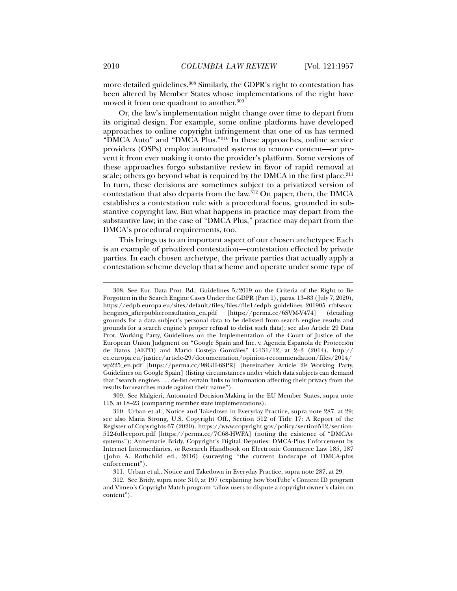more detailed guidelines.<sup>308</sup> Similarly, the GDPR's right to contestation has been altered by Member States whose implementations of the right have moved it from one quadrant to another.<sup>309</sup>

Or, the law's implementation might change over time to depart from its original design. For example, some online platforms have developed approaches to online copyright infringement that one of us has termed "DMCA Auto" and "DMCA Plus."310 In these approaches, online service providers (OSPs) employ automated systems to remove content—or prevent it from ever making it onto the provider's platform. Some versions of these approaches forgo substantive review in favor of rapid removal at scale; others go beyond what is required by the DMCA in the first place.<sup>311</sup> In turn, these decisions are sometimes subject to a privatized version of contestation that also departs from the law. ${}^{312}$  On paper, then, the DMCA establishes a contestation rule with a procedural focus, grounded in substantive copyright law. But what happens in practice may depart from the substantive law; in the case of "DMCA Plus," practice may depart from the DMCA's procedural requirements, too.

This brings us to an important aspect of our chosen archetypes: Each is an example of privatized contestation—contestation effected by private parties. In each chosen archetype, the private parties that actually apply a contestation scheme develop that scheme and operate under some type of

 309. See Malgieri, Automated Decision-Making in the EU Member States, supra note 115, at 18–23 (comparing member state implementations).

311. Urban et al., Notice and Takedown in Everyday Practice, supra note 287, at 29.

 <sup>308.</sup> See Eur. Data Prot. Bd., Guidelines 5/2019 on the Criteria of the Right to Be Forgotten in the Search Engine Cases Under the GDPR (Part 1), paras. 13–83 (July 7, 2020), https://edpb.europa.eu/sites/default/files/files/file1/edpb\_guidelines\_201905\_rtbfsearc hengines\_afterpublicconsultation\_en.pdf [https://perma.cc/6SVM-V474] (detailing grounds for a data subject's personal data to be delisted from search engine results and grounds for a search engine's proper refusal to delist such data); see also Article 29 Data Prot. Working Party, Guidelines on the Implementation of the Court of Justice of the European Union Judgment on "Google Spain and Inc. v. Agencia Española de Protección de Datos (AEPD) and Mario Costeja Gonzáles" C-131/12, at 2–3 (2014), http:// ec.europa.eu/justice/article-29/documentation/opinion-recommendation/files/2014/ wp225\_en.pdf [https://perma.cc/98GH-6SPR] [hereinafter Article 29 Working Party, Guidelines on Google Spain] (listing circumstances under which data subjects can demand that "search engines . . . de-list certain links to information affecting their privacy from the results for searches made against their name").

 <sup>310.</sup> Urban et al., Notice and Takedown in Everyday Practice, supra note 287, at 29; see also Maria Strong, U.S. Copyright Off., Section 512 of Title 17: A Report of the Register of Copyrights 67 (2020), https://www.copyright.gov/policy/section512/section-512-full-report.pdf [https://perma.cc/7C68-HWFA] (noting the existence of "DMCA+ systems"); Annemarie Bridy, Copyright's Digital Deputies: DMCA-Plus Enforcement by Internet Intermediaries, *in* Research Handbook on Electronic Commerce Law 185, 187 (John A. Rothchild ed., 2016) (surveying "the current landscape of DMCA-plus enforcement").

 <sup>312.</sup> See Bridy, supra note 310, at 197 (explaining how YouTube's Content ID program and Vimeo's Copyright Match program "allow users to dispute a copyright owner's claim on content").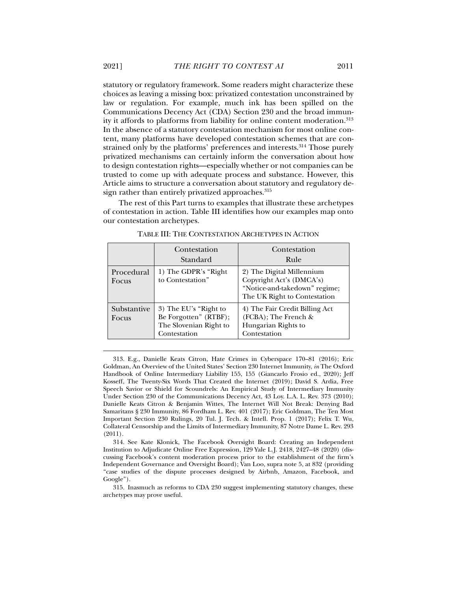statutory or regulatory framework. Some readers might characterize these choices as leaving a missing box: privatized contestation unconstrained by law or regulation. For example, much ink has been spilled on the Communications Decency Act (CDA) Section 230 and the broad immunity it affords to platforms from liability for online content moderation.313 In the absence of a statutory contestation mechanism for most online content, many platforms have developed contestation schemes that are constrained only by the platforms' preferences and interests.<sup>314</sup> Those purely privatized mechanisms can certainly inform the conversation about how to design contestation rights—especially whether or not companies can be trusted to come up with adequate process and substance. However, this Article aims to structure a conversation about statutory and regulatory design rather than entirely privatized approaches.<sup>315</sup>

The rest of this Part turns to examples that illustrate these archetypes of contestation in action. Table III identifies how our examples map onto our contestation archetypes.

|                      | Contestation<br>Standard                                                                  | Contestation<br>Rule                                                                                                   |
|----------------------|-------------------------------------------------------------------------------------------|------------------------------------------------------------------------------------------------------------------------|
| Procedural<br>Focus  | 1) The GDPR's "Right"<br>to Contestation"                                                 | 2) The Digital Millennium<br>Copyright Act's (DMCA's)<br>"Notice-and-takedown" regime;<br>The UK Right to Contestation |
| Substantive<br>Focus | 3) The EU's "Right to"<br>Be Forgotten" (RTBF);<br>The Slovenian Right to<br>Contestation | 4) The Fair Credit Billing Act<br>$(FCBA)$ ; The French &<br>Hungarian Rights to<br>Contestation                       |

TABLE III: THE CONTESTATION ARCHETYPES IN ACTION

 313. E.g., Danielle Keats Citron, Hate Crimes in Cyberspace 170–81 (2016); Eric Goldman, An Overview of the United States' Section 230 Internet Immunity, *in* The Oxford Handbook of Online Intermediary Liability 155, 155 (Giancarlo Frosio ed., 2020); Jeff Kosseff, The Twenty-Six Words That Created the Internet (2019); David S. Ardia, Free Speech Savior or Shield for Scoundrels: An Empirical Study of Intermediary Immunity Under Section 230 of the Communications Decency Act, 43 Loy. L.A. L. Rev. 373 (2010); Danielle Keats Citron & Benjamin Wittes, The Internet Will Not Break: Denying Bad Samaritans § 230 Immunity, 86 Fordham L. Rev. 401 (2017); Eric Goldman, The Ten Most Important Section 230 Rulings, 20 Tul. J. Tech. & Intell. Prop. 1 (2017); Felix T. Wu, Collateral Censorship and the Limits of Intermediary Immunity, 87 Notre Dame L. Rev. 293 (2011).

 314. See Kate Klonick, The Facebook Oversight Board: Creating an Independent Institution to Adjudicate Online Free Expression, 129 Yale L.J. 2418, 2427–48 (2020) (discussing Facebook's content moderation process prior to the establishment of the firm's Independent Governance and Oversight Board); Van Loo, supra note 5, at 832 (providing "case studies of the dispute processes designed by Airbnb, Amazon, Facebook, and Google").

 315. Inasmuch as reforms to CDA 230 suggest implementing statutory changes, these archetypes may prove useful.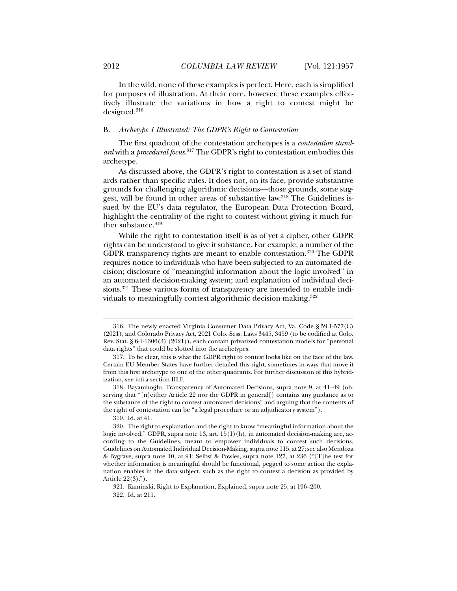In the wild, none of these examples is perfect. Here, each is simplified for purposes of illustration. At their core, however, these examples effectively illustrate the variations in how a right to contest might be designed.316

### B. *Archetype 1 Illustrated: The GDPR's Right to Contestation*

The first quadrant of the contestation archetypes is a *contestation standard* with a *procedural focus*. 317 The GDPR's right to contestation embodies this archetype.

As discussed above, the GDPR's right to contestation is a set of standards rather than specific rules. It does not, on its face, provide substantive grounds for challenging algorithmic decisions—those grounds, some suggest, will be found in other areas of substantive law.<sup>318</sup> The Guidelines issued by the EU's data regulator, the European Data Protection Board, highlight the centrality of the right to contest without giving it much further substance.<sup>319</sup>

While the right to contestation itself is as of yet a cipher, other GDPR rights can be understood to give it substance. For example, a number of the GDPR transparency rights are meant to enable contestation.<sup>320</sup> The GDPR requires notice to individuals who have been subjected to an automated decision; disclosure of "meaningful information about the logic involved" in an automated decision-making system; and explanation of individual decisions.<sup>321</sup> These various forms of transparency are intended to enable individuals to meaningfully contest algorithmic decision-making.322

 <sup>316.</sup> The newly enacted Virginia Consumer Data Privacy Act, Va. Code § 59.1-577(C) (2021), and Colorado Privacy Act, 2021 Colo. Sess. Laws 3445, 3459 (to be codified at Colo. Rev. Stat. § 6-1-1306(3) (2021)), each contain privatized contestation models for "personal data rights" that could be slotted into the archetypes.

 <sup>317.</sup> To be clear, this is what the GDPR right to contest looks like on the face of the law. Certain EU Member States have further detailed this right, sometimes in ways that move it from this first archetype to one of the other quadrants. For further discussion of this hybridization, see infra section III.F.

 <sup>318.</sup> Bayamlıoğlu, Transparency of Automated Decisions, supra note 9, at 41–49 (observing that "[n]either Article 22 nor the GDPR in general[] contains any guidance as to the substance of the right to contest automated decisions" and arguing that the contents of the right of contestation can be "a legal procedure or an adjudicatory system").

 <sup>319.</sup> Id. at 41.

 <sup>320.</sup> The right to explanation and the right to know "meaningful information about the logic involved," GDPR, supra note 13, art. 15(1)(h), in automated decision-making are, according to the Guidelines, meant to empower individuals to contest such decisions, Guidelines on Automated Individual Decision-Making, supra note 115, at 27; see also Mendoza & Bygrave, supra note 10, at 91; Selbst & Powles, supra note 127, at 236 ("[T]he test for whether information is meaningful should be functional, pegged to some action the explanation enables in the data subject, such as the right to contest a decision as provided by Article 22(3).").

 <sup>321.</sup> Kaminski, Right to Explanation, Explained, supra note 25, at 196–200. 322. Id. at 211.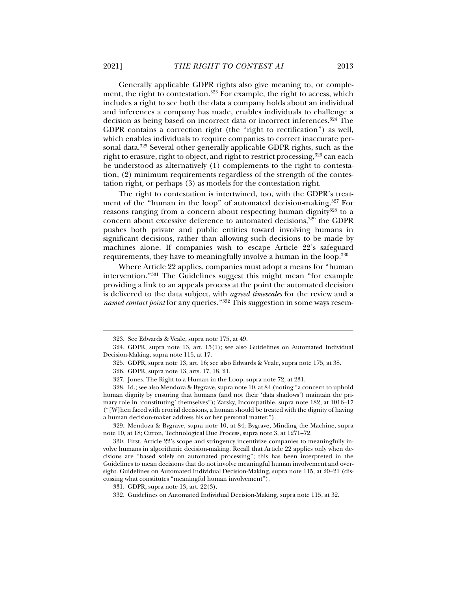Generally applicable GDPR rights also give meaning to, or complement, the right to contestation.<sup>323</sup> For example, the right to access, which includes a right to see both the data a company holds about an individual and inferences a company has made, enables individuals to challenge a decision as being based on incorrect data or incorrect inferences.324 The GDPR contains a correction right (the "right to rectification") as well, which enables individuals to require companies to correct inaccurate personal data.325 Several other generally applicable GDPR rights, such as the right to erasure, right to object, and right to restrict processing,<sup>326</sup> can each be understood as alternatively (1) complements to the right to contestation, (2) minimum requirements regardless of the strength of the contestation right, or perhaps (3) as models for the contestation right.

The right to contestation is intertwined, too, with the GDPR's treatment of the "human in the loop" of automated decision-making.<sup>327</sup> For reasons ranging from a concern about respecting human dignity<sup>328</sup> to a concern about excessive deference to automated decisions,<sup>329</sup> the GDPR pushes both private and public entities toward involving humans in significant decisions, rather than allowing such decisions to be made by machines alone. If companies wish to escape Article 22's safeguard requirements, they have to meaningfully involve a human in the loop.330

Where Article 22 applies, companies must adopt a means for "human intervention."331 The Guidelines suggest this might mean "for example providing a link to an appeals process at the point the automated decision is delivered to the data subject, with *agreed timescales* for the review and a *named contact point* for any queries."332 This suggestion in some ways resem-

 329. Mendoza & Bygrave, supra note 10, at 84; Bygrave, Minding the Machine, supra note 10, at 18; Citron, Technological Due Process, supra note 3, at 1271–72.

 330. First, Article 22's scope and stringency incentivize companies to meaningfully involve humans in algorithmic decision-making. Recall that Article 22 applies only when decisions are "based solely on automated processing"; this has been interpreted in the Guidelines to mean decisions that do not involve meaningful human involvement and oversight. Guidelines on Automated Individual Decision-Making, supra note 115, at 20–21 (discussing what constitutes "meaningful human involvement").

 <sup>323.</sup> See Edwards & Veale, supra note 175, at 49.

 <sup>324.</sup> GDPR, supra note 13, art. 15(1); see also Guidelines on Automated Individual Decision-Making, supra note 115, at 17.

 <sup>325.</sup> GDPR, supra note 13, art. 16; see also Edwards & Veale, supra note 175, at 38.

 <sup>326.</sup> GDPR, supra note 13, arts. 17, 18, 21.

 <sup>327.</sup> Jones, The Right to a Human in the Loop, supra note 72, at 231.

 <sup>328.</sup> Id.; see also Mendoza & Bygrave, supra note 10, at 84 (noting "a concern to uphold human dignity by ensuring that humans (and not their 'data shadows') maintain the primary role in 'constituting' themselves"); Zarsky, Incompatible, supra note 182, at 1016–17 ("[W]hen faced with crucial decisions, a human should be treated with the dignity of having a human decision-maker address his or her personal matter.").

 <sup>331.</sup> GDPR, supra note 13, art. 22(3).

 <sup>332.</sup> Guidelines on Automated Individual Decision-Making, supra note 115, at 32.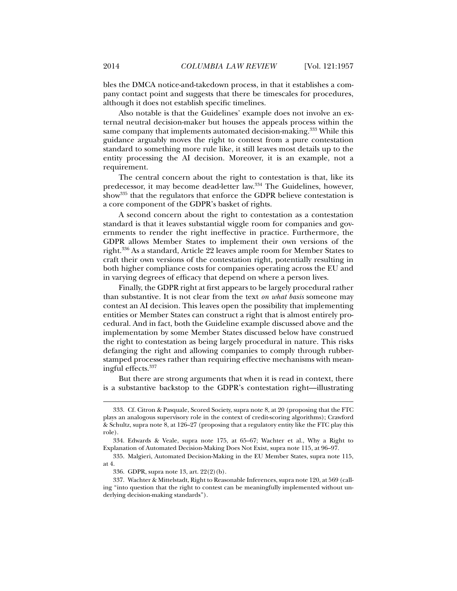bles the DMCA notice-and-takedown process, in that it establishes a company contact point and suggests that there be timescales for procedures, although it does not establish specific timelines.

Also notable is that the Guidelines' example does not involve an external neutral decision-maker but houses the appeals process within the same company that implements automated decision-making.<sup>333</sup> While this guidance arguably moves the right to contest from a pure contestation standard to something more rule like, it still leaves most details up to the entity processing the AI decision. Moreover, it is an example, not a requirement.

The central concern about the right to contestation is that, like its predecessor, it may become dead-letter law.334 The Guidelines, however, show335 that the regulators that enforce the GDPR believe contestation is a core component of the GDPR's basket of rights.

A second concern about the right to contestation as a contestation standard is that it leaves substantial wiggle room for companies and governments to render the right ineffective in practice. Furthermore, the GDPR allows Member States to implement their own versions of the right.336 As a standard, Article 22 leaves ample room for Member States to craft their own versions of the contestation right, potentially resulting in both higher compliance costs for companies operating across the EU and in varying degrees of efficacy that depend on where a person lives.

Finally, the GDPR right at first appears to be largely procedural rather than substantive. It is not clear from the text *on what basis* someone may contest an AI decision. This leaves open the possibility that implementing entities or Member States can construct a right that is almost entirely procedural. And in fact, both the Guideline example discussed above and the implementation by some Member States discussed below have construed the right to contestation as being largely procedural in nature. This risks defanging the right and allowing companies to comply through rubberstamped processes rather than requiring effective mechanisms with meaningful effects.337

But there are strong arguments that when it is read in context, there is a substantive backstop to the GDPR's contestation right—illustrating

 <sup>333.</sup> Cf. Citron & Pasquale, Scored Society, supra note 8, at 20 (proposing that the FTC plays an analogous supervisory role in the context of credit-scoring algorithms); Crawford & Schultz, supra note 8, at 126–27 (proposing that a regulatory entity like the FTC play this role).

 <sup>334.</sup> Edwards & Veale, supra note 175, at 65–67; Wachter et al., Why a Right to Explanation of Automated Decision-Making Does Not Exist, supra note 115, at 96–97.

 <sup>335.</sup> Malgieri, Automated Decision-Making in the EU Member States, supra note 115, at 4.

 <sup>336.</sup> GDPR, supra note 13, art. 22(2)(b).

 <sup>337.</sup> Wachter & Mittelstadt, Right to Reasonable Inferences, supra note 120, at 569 (calling "into question that the right to contest can be meaningfully implemented without underlying decision-making standards").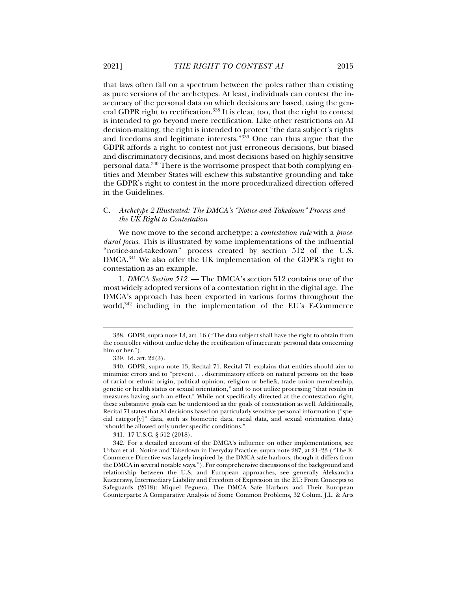that laws often fall on a spectrum between the poles rather than existing as pure versions of the archetypes. At least, individuals can contest the inaccuracy of the personal data on which decisions are based, using the general GDPR right to rectification.<sup>338</sup> It is clear, too, that the right to contest is intended to go beyond mere rectification. Like other restrictions on AI decision-making, the right is intended to protect "the data subject's rights and freedoms and legitimate interests."339 One can thus argue that the GDPR affords a right to contest not just erroneous decisions, but biased and discriminatory decisions, and most decisions based on highly sensitive personal data.340 There is the worrisome prospect that both complying entities and Member States will eschew this substantive grounding and take the GDPR's right to contest in the more proceduralized direction offered in the Guidelines.

## C. *Archetype 2 Illustrated: The DMCA's "Notice-and-Takedown" Process and the UK Right to Contestation*

We now move to the second archetype: a *contestation rule* with a *procedural focus*. This is illustrated by some implementations of the influential "notice-and-takedown" process created by section 512 of the U.S. DMCA.341 We also offer the UK implementation of the GDPR's right to contestation as an example.

1. *DMCA Section 512*. — The DMCA's section 512 contains one of the most widely adopted versions of a contestation right in the digital age. The DMCA's approach has been exported in various forms throughout the world,<sup>342</sup> including in the implementation of the EU's E-Commerce

 $\overline{a}$ 

341. 17 U.S.C. § 512 (2018).

 <sup>338.</sup> GDPR, supra note 13, art. 16 ("The data subject shall have the right to obtain from the controller without undue delay the rectification of inaccurate personal data concerning him or her.").

 <sup>339.</sup> Id. art. 22(3).

 <sup>340.</sup> GDPR, supra note 13, Recital 71. Recital 71 explains that entities should aim to minimize errors and to "prevent . . . discriminatory effects on natural persons on the basis of racial or ethnic origin, political opinion, religion or beliefs, trade union membership, genetic or health status or sexual orientation," and to not utilize processing "that results in measures having such an effect." While not specifically directed at the contestation right, these substantive goals can be understood as the goals of contestation as well. Additionally, Recital 71 states that AI decisions based on particularly sensitive personal information ("special categor[y]" data, such as biometric data, racial data, and sexual orientation data) "should be allowed only under specific conditions."

 <sup>342.</sup> For a detailed account of the DMCA's influence on other implementations, see Urban et al., Notice and Takedown in Everyday Practice, supra note 287, at 21–23 ("The E-Commerce Directive was largely inspired by the DMCA safe harbors, though it differs from the DMCA in several notable ways."). For comprehensive discussions of the background and relationship between the U.S. and European approaches, see generally Aleksandra Kuczerawy, Intermediary Liability and Freedom of Expression in the EU: From Concepts to Safeguards (2018); Miquel Peguera, The DMCA Safe Harbors and Their European Counterparts: A Comparative Analysis of Some Common Problems, 32 Colum. J.L. & Arts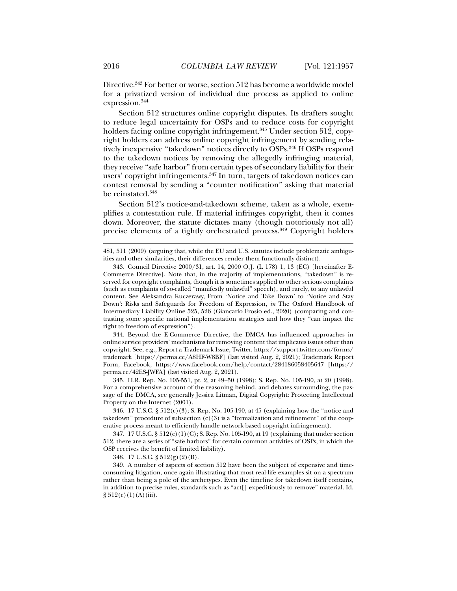Directive.343 For better or worse, section 512 has become a worldwide model for a privatized version of individual due process as applied to online expression.344

Section 512 structures online copyright disputes. Its drafters sought to reduce legal uncertainty for OSPs and to reduce costs for copyright holders facing online copyright infringement.<sup>345</sup> Under section 512, copyright holders can address online copyright infringement by sending relatively inexpensive "takedown" notices directly to OSPs.<sup>346</sup> If OSPs respond to the takedown notices by removing the allegedly infringing material, they receive "safe harbor" from certain types of secondary liability for their users' copyright infringements.<sup>347</sup> In turn, targets of takedown notices can contest removal by sending a "counter notification" asking that material be reinstated.<sup>348</sup>

Section 512's notice-and-takedown scheme, taken as a whole, exemplifies a contestation rule. If material infringes copyright, then it comes down. Moreover, the statute dictates many (though notoriously not all) precise elements of a tightly orchestrated process.<sup>349</sup> Copyright holders

 344. Beyond the E-Commerce Directive, the DMCA has influenced approaches in online service providers' mechanisms for removing content that implicates issues other than copyright. See, e.g., Report a Trademark Issue, Twitter, https://support.twitter.com/forms/ trademark [https://perma.cc/A8HF-W8BF] (last visited Aug. 2, 2021); Trademark Report Form, Facebook, https://www.facebook.com/help/contact/284186058405647 [https:// perma.cc/42ES-JWFA] (last visited Aug. 2, 2021).

 345. H.R. Rep. No. 105-551, pt. 2, at 49–50 (1998); S. Rep. No. 105-190, at 20 (1998). For a comprehensive account of the reasoning behind, and debates surrounding, the passage of the DMCA, see generally Jessica Litman, Digital Copyright: Protecting Intellectual Property on the Internet (2001).

 346. 17 U.S.C. § 512(c)(3); S. Rep. No. 105-190, at 45 (explaining how the "notice and takedown" procedure of subsection  $(c)(3)$  is a "formalization and refinement" of the cooperative process meant to efficiently handle network-based copyright infringement).

 347. 17 U.S.C. § 512(c)(1)(C); S. Rep. No. 105-190, at 19 (explaining that under section 512, there are a series of "safe harbors" for certain common activities of OSPs, in which the OSP receives the benefit of limited liability).

348. 17 U.S.C. § 512(g)(2)(B).

 349. A number of aspects of section 512 have been the subject of expensive and timeconsuming litigation, once again illustrating that most real-life examples sit on a spectrum rather than being a pole of the archetypes. Even the timeline for takedown itself contains, in addition to precise rules, standards such as "act[] expeditiously to remove" material. Id.  $§ 512(c)(1)(A)(iii).$ 

<sup>481, 511 (2009) (</sup>arguing that, while the EU and U.S. statutes include problematic ambiguities and other similarities, their differences render them functionally distinct).

 <sup>343.</sup> Council Directive 2000/31, art. 14, 2000 O.J. (L 178) 1, 13 (EC) [hereinafter E-Commerce Directive]. Note that, in the majority of implementations, "takedown" is reserved for copyright complaints, though it is sometimes applied to other serious complaints (such as complaints of so-called "manifestly unlawful" speech), and rarely, to any unlawful content. See Aleksandra Kuczerawy, From 'Notice and Take Down' to 'Notice and Stay Down': Risks and Safeguards for Freedom of Expression, *in* The Oxford Handbook of Intermediary Liability Online 525, 526 (Giancarlo Frosio ed., 2020) (comparing and contrasting some specific national implementation strategies and how they "can impact the right to freedom of expression").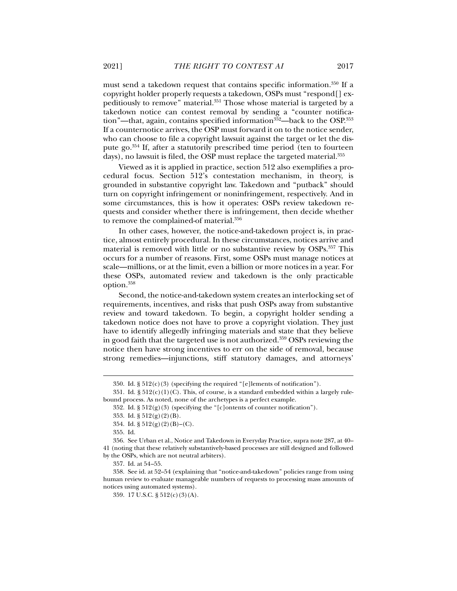must send a takedown request that contains specific information.350 If a copyright holder properly requests a takedown, OSPs must "respond[] expeditiously to remove" material.351 Those whose material is targeted by a takedown notice can contest removal by sending a "counter notification"—that, again, contains specified information $352$ —back to the OSP. $353$ If a counternotice arrives, the OSP must forward it on to the notice sender, who can choose to file a copyright lawsuit against the target or let the dispute go.354 If, after a statutorily prescribed time period (ten to fourteen days), no lawsuit is filed, the OSP must replace the targeted material.<sup>355</sup>

Viewed as it is applied in practice, section 512 also exemplifies a procedural focus. Section 512's contestation mechanism, in theory, is grounded in substantive copyright law. Takedown and "putback" should turn on copyright infringement or noninfringement, respectively. And in some circumstances, this is how it operates: OSPs review takedown requests and consider whether there is infringement, then decide whether to remove the complained-of material.<sup>356</sup>

In other cases, however, the notice-and-takedown project is, in practice, almost entirely procedural. In these circumstances, notices arrive and material is removed with little or no substantive review by OSPs.357 This occurs for a number of reasons. First, some OSPs must manage notices at scale—millions, or at the limit, even a billion or more notices in a year. For these OSPs, automated review and takedown is the only practicable option.358

Second, the notice-and-takedown system creates an interlocking set of requirements, incentives, and risks that push OSPs away from substantive review and toward takedown. To begin, a copyright holder sending a takedown notice does not have to prove a copyright violation. They just have to identify allegedly infringing materials and state that they believe in good faith that the targeted use is not authorized.359 OSPs reviewing the notice then have strong incentives to err on the side of removal, because strong remedies—injunctions, stiff statutory damages, and attorneys'

<sup>350.</sup> Id.  $\S 512(c)(3)$  (specifying the required "[e]lements of notification").

<sup>351.</sup> Id.  $\S 512(c)(1)(C)$ . This, of course, is a standard embedded within a largely rulebound process. As noted, none of the archetypes is a perfect example.

<sup>352.</sup> Id.  $\S 512(g)(3)$  (specifying the "[c]ontents of counter notification").

 <sup>353.</sup> Id. § 512(g)(2)(B).

<sup>354.</sup> Id.  $\S 512(g)(2)(B)$ –(C).

 <sup>355.</sup> Id.

 <sup>356.</sup> See Urban et al., Notice and Takedown in Everyday Practice, supra note 287, at 40– 41 (noting that these relatively substantively-based processes are still designed and followed by the OSPs, which are not neutral arbiters).

 <sup>357.</sup> Id. at 54 –55.

 <sup>358.</sup> See id. at 52–54 (explaining that "notice-and-takedown" policies range from using human review to evaluate manageable numbers of requests to processing mass amounts of notices using automated systems).

 <sup>359. 17</sup> U.S.C. § 512(c)(3)(A).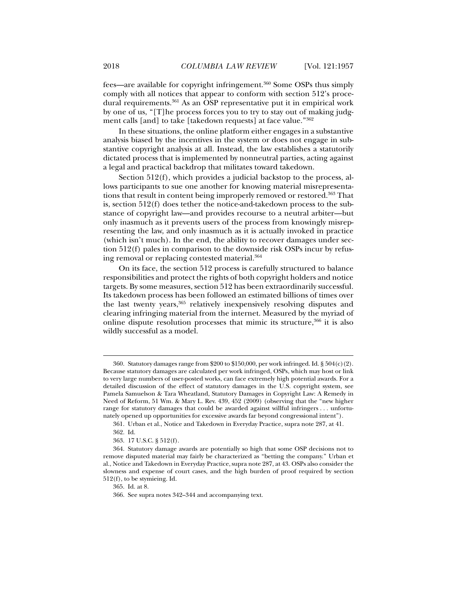fees—are available for copyright infringement.360 Some OSPs thus simply comply with all notices that appear to conform with section 512's procedural requirements.<sup>361</sup> As an OSP representative put it in empirical work by one of us, "[T]he process forces you to try to stay out of making judgment calls [and] to take [takedown requests] at face value."362

In these situations, the online platform either engages in a substantive analysis biased by the incentives in the system or does not engage in substantive copyright analysis at all. Instead, the law establishes a statutorily dictated process that is implemented by nonneutral parties, acting against a legal and practical backdrop that militates toward takedown.

Section 512(f), which provides a judicial backstop to the process, allows participants to sue one another for knowing material misrepresentations that result in content being improperly removed or restored.<sup>363</sup> That is, section 512(f) does tether the notice-and-takedown process to the substance of copyright law—and provides recourse to a neutral arbiter—but only inasmuch as it prevents users of the process from knowingly misrepresenting the law, and only inasmuch as it is actually invoked in practice (which isn't much). In the end, the ability to recover damages under section 512(f) pales in comparison to the downside risk OSPs incur by refusing removal or replacing contested material.364

On its face, the section 512 process is carefully structured to balance responsibilities and protect the rights of both copyright holders and notice targets. By some measures, section 512 has been extraordinarily successful. Its takedown process has been followed an estimated billions of times over the last twenty years,<sup>365</sup> relatively inexpensively resolving disputes and clearing infringing material from the internet. Measured by the myriad of online dispute resolution processes that mimic its structure,<sup>366</sup> it is also wildly successful as a model.

<sup>360.</sup> Statutory damages range from \$200 to \$150,000, per work infringed. Id.  $\S 504(c)(2)$ . Because statutory damages are calculated per work infringed, OSPs, which may host or link to very large numbers of user-posted works, can face extremely high potential awards. For a detailed discussion of the effect of statutory damages in the U.S. copyright system, see Pamela Samuelson & Tara Wheatland, Statutory Damages in Copyright Law: A Remedy in Need of Reform, 51 Wm. & Mary L. Rev. 439, 452 (2009) (observing that the "new higher range for statutory damages that could be awarded against willful infringers . . . unfortunately opened up opportunities for excessive awards far beyond congressional intent").

 <sup>361.</sup> Urban et al., Notice and Takedown in Everyday Practice, supra note 287, at 41.

 <sup>362.</sup> Id.

 <sup>363. 17</sup> U.S.C. § 512(f).

 <sup>364.</sup> Statutory damage awards are potentially so high that some OSP decisions not to remove disputed material may fairly be characterized as "betting the company." Urban et al., Notice and Takedown in Everyday Practice,supra note 287, at 43. OSPs also consider the slowness and expense of court cases, and the high burden of proof required by section 512(f), to be stymieing. Id.

 <sup>365.</sup> Id. at 8.

 <sup>366.</sup> See supra notes 342–344 and accompanying text.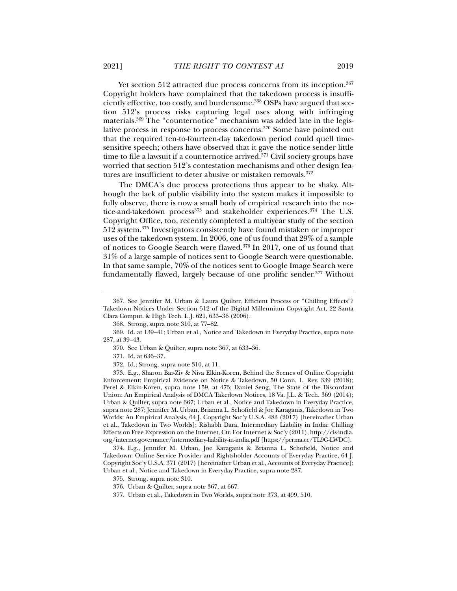Yet section 512 attracted due process concerns from its inception.<sup>367</sup> Copyright holders have complained that the takedown process is insufficiently effective, too costly, and burdensome.<sup>368</sup> OSPs have argued that section 512's process risks capturing legal uses along with infringing materials.369 The "counternotice" mechanism was added late in the legislative process in response to process concerns.370 Some have pointed out that the required ten-to-fourteen-day takedown period could quell timesensitive speech; others have observed that it gave the notice sender little time to file a lawsuit if a counternotice arrived.<sup>371</sup> Civil society groups have worried that section 512's contestation mechanisms and other design features are insufficient to deter abusive or mistaken removals.<sup>372</sup>

The DMCA's due process protections thus appear to be shaky. Although the lack of public visibility into the system makes it impossible to fully observe, there is now a small body of empirical research into the notice-and-takedown process<sup>373</sup> and stakeholder experiences.<sup>374</sup> The U.S. Copyright Office, too, recently completed a multiyear study of the section 512 system.375 Investigators consistently have found mistaken or improper uses of the takedown system. In 2006, one of us found that 29% of a sample of notices to Google Search were flawed.376 In 2017, one of us found that 31% of a large sample of notices sent to Google Search were questionable. In that same sample, 70% of the notices sent to Google Image Search were fundamentally flawed, largely because of one prolific sender.<sup>377</sup> Without

371. Id. at 636–37.

 $\overline{a}$ 

372. Id.; Strong, supra note 310, at 11.

 373. E.g., Sharon Bar-Ziv & Niva Elkin-Koren, Behind the Scenes of Online Copyright Enforcement: Empirical Evidence on Notice & Takedown, 50 Conn. L. Rev. 339 (2018); Perel & Elkin-Koren, supra note 159, at 473; Daniel Seng, The State of the Discordant Union: An Empirical Analysis of DMCA Takedown Notices, 18 Va. J.L. & Tech. 369 (2014); Urban & Quilter, supra note 367; Urban et al., Notice and Takedown in Everyday Practice, supra note 287; Jennifer M. Urban, Brianna L. Schofield & Joe Karaganis, Takedown in Two Worlds: An Empirical Analysis, 64 J. Copyright Soc'y U.S.A. 483 (2017) [hereinafter Urban et al., Takedown in Two Worlds]; Rishabh Dara, Intermediary Liability in India: Chilling Effects on Free Expression on the Internet, Ctr. For Internet & Soc'y (2011), http://cis-india. org/internet-governance/intermediary-liability-in-india.pdf [https://perma.cc/TL9G-LWDC].

 374. E.g., Jennifer M. Urban, Joe Karaganis & Brianna L. Schofield, Notice and Takedown: Online Service Provider and Rightsholder Accounts of Everyday Practice, 64 J. Copyright Soc'y U.S.A. 371 (2017) [hereinafter Urban et al., Accounts of Everyday Practice]; Urban et al., Notice and Takedown in Everyday Practice, supra note 287.

375. Strong, supra note 310.

376. Urban & Quilter, supra note 367, at 667.

377. Urban et al., Takedown in Two Worlds, supra note 373, at 499, 510.

 <sup>367.</sup> See Jennifer M. Urban & Laura Quilter, Efficient Process or "Chilling Effects"? Takedown Notices Under Section 512 of the Digital Millennium Copyright Act, 22 Santa Clara Comput. & High Tech. L.J. 621, 633–36 (2006).

 <sup>368.</sup> Strong, supra note 310, at 77–82.

 <sup>369.</sup> Id. at 139–41; Urban et al., Notice and Takedown in Everyday Practice, supra note 287, at 39–43.

 <sup>370.</sup> See Urban & Quilter, supra note 367, at 633–36.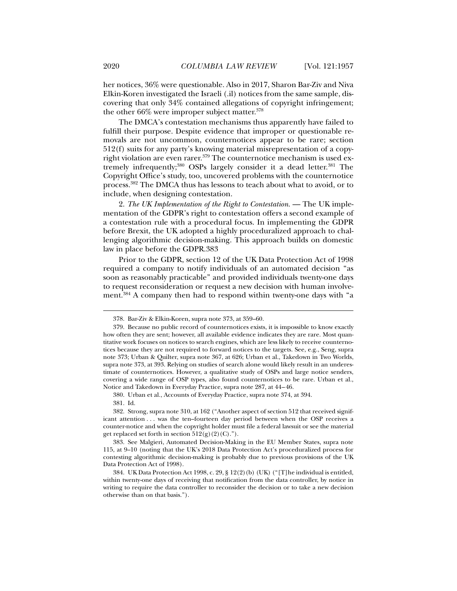her notices, 36% were questionable. Also in 2017, Sharon Bar-Ziv and Niva Elkin-Koren investigated the Israeli (.il) notices from the same sample, discovering that only 34% contained allegations of copyright infringement; the other  $66\%$  were improper subject matter.<sup>378</sup>

The DMCA's contestation mechanisms thus apparently have failed to fulfill their purpose. Despite evidence that improper or questionable removals are not uncommon, counternotices appear to be rare; section 512(f) suits for any party's knowing material misrepresentation of a copyright violation are even rarer.<sup>379</sup> The counternotice mechanism is used extremely infrequently;<sup>380</sup> OSPs largely consider it a dead letter.<sup>381</sup> The Copyright Office's study, too, uncovered problems with the counternotice process.382 The DMCA thus has lessons to teach about what to avoid, or to include, when designing contestation.

2. *The UK Implementation of the Right to Contestation*. — The UK implementation of the GDPR's right to contestation offers a second example of a contestation rule with a procedural focus. In implementing the GDPR before Brexit, the UK adopted a highly proceduralized approach to challenging algorithmic decision-making. This approach builds on domestic law in place before the GDPR.383

Prior to the GDPR, section 12 of the UK Data Protection Act of 1998 required a company to notify individuals of an automated decision "as soon as reasonably practicable" and provided individuals twenty-one days to request reconsideration or request a new decision with human involvement.384 A company then had to respond within twenty-one days with "a

 <sup>378.</sup> Bar-Ziv & Elkin-Koren, supra note 373, at 359–60.

 <sup>379.</sup> Because no public record of counternotices exists, it is impossible to know exactly how often they are sent; however, all available evidence indicates they are rare. Most quantitative work focuses on notices to search engines, which are less likely to receive counternotices because they are not required to forward notices to the targets. See, e.g., Seng, supra note 373; Urban & Quilter, supra note 367, at 626; Urban et al., Takedown in Two Worlds, supra note 373, at 393. Relying on studies of search alone would likely result in an underestimate of counternotices. However, a qualitative study of OSPs and large notice senders, covering a wide range of OSP types, also found counternotices to be rare. Urban et al., Notice and Takedown in Everyday Practice, supra note 287, at 44 – 46.

 <sup>380.</sup> Urban et al., Accounts of Everyday Practice, supra note 374, at 394.

 <sup>381.</sup> Id.

 <sup>382.</sup> Strong, supra note 310, at 162 ("Another aspect of section 512 that received significant attention . . . was the ten–fourteen day period between when the OSP receives a counter-notice and when the copyright holder must file a federal lawsuit or see the material get replaced set forth in section  $512(g)(2)(C)$ .").

 <sup>383.</sup> See Malgieri, Automated Decision-Making in the EU Member States, supra note 115, at 9–10 (noting that the UK's 2018 Data Protection Act's proceduralized process for contesting algorithmic decision-making is probably due to previous provisions of the UK Data Protection Act of 1998).

 <sup>384.</sup> UK Data Protection Act 1998, c. 29, § 12(2)(b) (UK) ("[T]he individual is entitled, within twenty-one days of receiving that notification from the data controller, by notice in writing to require the data controller to reconsider the decision or to take a new decision otherwise than on that basis.").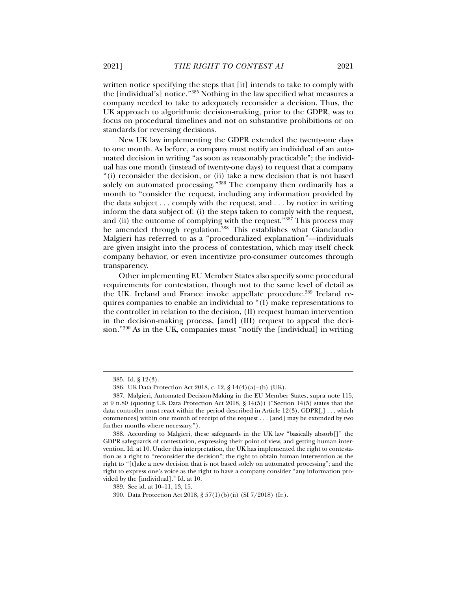written notice specifying the steps that [it] intends to take to comply with the [individual's] notice."385 Nothing in the law specified what measures a company needed to take to adequately reconsider a decision. Thus, the UK approach to algorithmic decision-making, prior to the GDPR, was to focus on procedural timelines and not on substantive prohibitions or on standards for reversing decisions.

New UK law implementing the GDPR extended the twenty-one days to one month. As before, a company must notify an individual of an automated decision in writing "as soon as reasonably practicable"; the individual has one month (instead of twenty-one days) to request that a company "(i) reconsider the decision, or (ii) take a new decision that is not based solely on automated processing."<sup>386</sup> The company then ordinarily has a month to "consider the request, including any information provided by the data subject . . . comply with the request, and . . . by notice in writing inform the data subject of: (i) the steps taken to comply with the request, and (ii) the outcome of complying with the request."<sup>387</sup> This process may be amended through regulation.<sup>388</sup> This establishes what Gianclaudio Malgieri has referred to as a "proceduralized explanation"—individuals are given insight into the process of contestation, which may itself check company behavior, or even incentivize pro-consumer outcomes through transparency.

Other implementing EU Member States also specify some procedural requirements for contestation, though not to the same level of detail as the UK. Ireland and France invoke appellate procedure.389 Ireland requires companies to enable an individual to "(I) make representations to the controller in relation to the decision, (II) request human intervention in the decision-making process, [and] (III) request to appeal the decision."390 As in the UK, companies must "notify the [individual] in writing

 <sup>385.</sup> Id. § 12(3).

 <sup>386.</sup> UK Data Protection Act 2018, c. 12, § 14(4)(a)–(b) (UK).

 <sup>387.</sup> Malgieri, Automated Decision-Making in the EU Member States, supra note 115, at 9 n.80 (quoting UK Data Protection Act 2018, § 14(5)) ("Section 14(5) states that the data controller must react within the period described in Article 12(3), GDPR[,] . . . which commences] within one month of receipt of the request . . . [and] may be extended by two further months where necessary.").

 <sup>388.</sup> According to Malgieri, these safeguards in the UK law "basically absorb[]" the GDPR safeguards of contestation, expressing their point of view, and getting human intervention. Id. at 10. Under this interpretation, the UK has implemented the right to contestation as a right to "reconsider the decision"; the right to obtain human intervention as the right to "[t]ake a new decision that is not based solely on automated processing"; and the right to express one's voice as the right to have a company consider "any information provided by the [individual]." Id. at 10.

 <sup>389.</sup> See id. at 10–11, 13, 15.

 <sup>390.</sup> Data Protection Act 2018, § 57(1)(b)(ii) (SI 7/2018) (Ir.).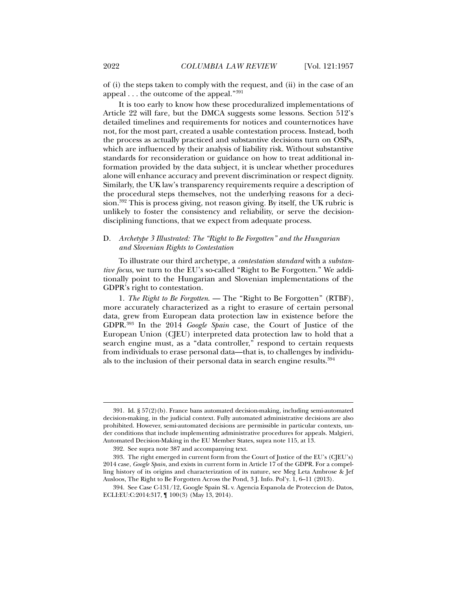of (i) the steps taken to comply with the request, and (ii) in the case of an appeal . . . the outcome of the appeal."391

It is too early to know how these proceduralized implementations of Article 22 will fare, but the DMCA suggests some lessons. Section 512's detailed timelines and requirements for notices and counternotices have not, for the most part, created a usable contestation process. Instead, both the process as actually practiced and substantive decisions turn on OSPs, which are influenced by their analysis of liability risk. Without substantive standards for reconsideration or guidance on how to treat additional information provided by the data subject, it is unclear whether procedures alone will enhance accuracy and prevent discrimination or respect dignity. Similarly, the UK law's transparency requirements require a description of the procedural steps themselves, not the underlying reasons for a decision.392 This is process giving, not reason giving. By itself, the UK rubric is unlikely to foster the consistency and reliability, or serve the decisiondisciplining functions, that we expect from adequate process.

# D. *Archetype 3 Illustrated: The "Right to Be Forgotten" and the Hungarian and Slovenian Rights to Contestation*

To illustrate our third archetype, a *contestation standard* with a *substantive focus*, we turn to the EU's so-called "Right to Be Forgotten." We additionally point to the Hungarian and Slovenian implementations of the GDPR's right to contestation.

1. *The Right to Be Forgotten*. — The "Right to Be Forgotten" (RTBF), more accurately characterized as a right to erasure of certain personal data, grew from European data protection law in existence before the GDPR.393 In the 2014 *Google Spain* case, the Court of Justice of the European Union (CJEU) interpreted data protection law to hold that a search engine must, as a "data controller," respond to certain requests from individuals to erase personal data—that is, to challenges by individuals to the inclusion of their personal data in search engine results.<sup>394</sup>

 <sup>391.</sup> Id. § 57(2)(b). France bans automated decision-making, including semi-automated decision-making, in the judicial context. Fully automated administrative decisions are also prohibited. However, semi-automated decisions are permissible in particular contexts, under conditions that include implementing administrative procedures for appeals. Malgieri, Automated Decision-Making in the EU Member States, supra note 115, at 13.

 <sup>392.</sup> See supra note 387 and accompanying text.

 <sup>393.</sup> The right emerged in current form from the Court of Justice of the EU's (CJEU's) 2014 case, *Google Spain*, and exists in current form in Article 17 of the GDPR. For a compelling history of its origins and characterization of its nature, see Meg Leta Ambrose & Jef Ausloos, The Right to Be Forgotten Across the Pond, 3 J. Info. Pol'y. 1, 6–11 (2013).

 <sup>394.</sup> See Case C-131/12, Google Spain SL v. Agencia Espanola de Proteccion de Datos, ECLI:EU:C:2014:317, ¶ 100(3) (May 13, 2014).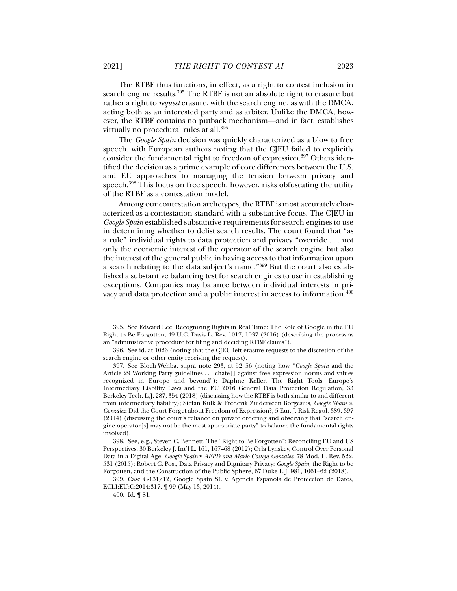The RTBF thus functions, in effect, as a right to contest inclusion in search engine results.<sup>395</sup> The RTBF is not an absolute right to erasure but rather a right to *request* erasure, with the search engine, as with the DMCA, acting both as an interested party and as arbiter. Unlike the DMCA, however, the RTBF contains no putback mechanism—and in fact, establishes virtually no procedural rules at all.396

The *Google Spain* decision was quickly characterized as a blow to free speech, with European authors noting that the CJEU failed to explicitly consider the fundamental right to freedom of expression.<sup>397</sup> Others identified the decision as a prime example of core differences between the U.S. and EU approaches to managing the tension between privacy and speech.<sup>398</sup> This focus on free speech, however, risks obfuscating the utility of the RTBF as a contestation model.

Among our contestation archetypes, the RTBF is most accurately characterized as a contestation standard with a substantive focus. The CJEU in *Google Spain* established substantive requirements for search engines to use in determining whether to delist search results. The court found that "as a rule" individual rights to data protection and privacy "override . . . not only the economic interest of the operator of the search engine but also the interest of the general public in having access to that information upon a search relating to the data subject's name."399 But the court also established a substantive balancing test for search engines to use in establishing exceptions. Companies may balance between individual interests in privacy and data protection and a public interest in access to information.400

 <sup>395.</sup> See Edward Lee, Recognizing Rights in Real Time: The Role of Google in the EU Right to Be Forgotten, 49 U.C. Davis L. Rev. 1017, 1037 (2016) (describing the process as an "administrative procedure for filing and deciding RTBF claims").

 <sup>396.</sup> See id. at 1023 (noting that the CJEU left erasure requests to the discretion of the search engine or other entity receiving the request).

 <sup>397.</sup> See Bloch-Wehba, supra note 293, at 52–56 (noting how "*Google Spain* and the Article 29 Working Party guidelines . . . chafe[] against free expression norms and values recognized in Europe and beyond"); Daphne Keller, The Right Tools: Europe's Intermediary Liability Laws and the EU 2016 General Data Protection Regulation, 33 Berkeley Tech. L.J. 287, 354 (2018) (discussing how the RTBF is both similar to and different from intermediary liability); Stefan Kulk & Frederik Zuiderveen Borgesius, *Google Spain v. González*: Did the Court Forget about Freedom of Expression?, 5 Eur. J. Risk Regul. 389, 397 (2014) (discussing the court's reliance on private ordering and observing that "search engine operator[s] may not be the most appropriate party" to balance the fundamental rights involved).

 <sup>398.</sup> See, e.g., Steven C. Bennett, The "Right to Be Forgotten": Reconciling EU and US Perspectives, 30 Berkeley J. Int'l L. 161, 167–68 (2012); Orla Lynskey, Control Over Personal Data in a Digital Age: *Google Spain* v *AEPD and Mario Costeja Gonzalez*, 78 Mod. L. Rev. 522, 531 (2015); Robert C. Post, Data Privacy and Dignitary Privacy: *Google Spain*, the Right to be Forgotten, and the Construction of the Public Sphere, 67 Duke L.J. 981, 1061–62 (2018).

 <sup>399.</sup> Case C-131/12, Google Spain SL v. Agencia Espanola de Proteccion de Datos, ECLI:EU:C:2014:317, ¶ 99 (May 13, 2014).

 <sup>400.</sup> Id. ¶ 81.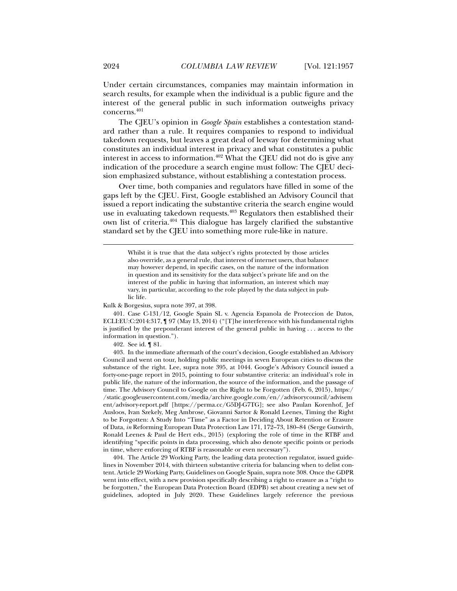Under certain circumstances, companies may maintain information in search results, for example when the individual is a public figure and the interest of the general public in such information outweighs privacy concerns.401

The CJEU's opinion in *Google Spain* establishes a contestation standard rather than a rule. It requires companies to respond to individual takedown requests, but leaves a great deal of leeway for determining what constitutes an individual interest in privacy and what constitutes a public interest in access to information.<sup>402</sup> What the CJEU did not do is give any indication of the procedure a search engine must follow: The CJEU decision emphasized substance, without establishing a contestation process.

Over time, both companies and regulators have filled in some of the gaps left by the CJEU. First, Google established an Advisory Council that issued a report indicating the substantive criteria the search engine would use in evaluating takedown requests.<sup>403</sup> Regulators then established their own list of criteria.404 This dialogue has largely clarified the substantive standard set by the CJEU into something more rule-like in nature.

Kulk & Borgesius, supra note 397, at 398.

 401. Case C-131/12, Google Spain SL v. Agencia Espanola de Proteccion de Datos, ECLI:EU:C:2014:317, ¶ 97 (May 13, 2014) ("[T]he interference with his fundamental rights is justified by the preponderant interest of the general public in having . . . access to the information in question.").

402. See id. ¶ 81.

 403. In the immediate aftermath of the court's decision, Google established an Advisory Council and went on tour, holding public meetings in seven European cities to discuss the substance of the right. Lee, supra note 395, at 1044. Google's Advisory Council issued a forty-one-page report in 2015, pointing to four substantive criteria: an individual's role in public life, the nature of the information, the source of the information, and the passage of time. The Advisory Council to Google on the Right to be Forgotten (Feb. 6, 2015), https:/ /static.googleusercontent.com/media/archive.google.com/en//advisorycouncil/advisem ent/advisory-report.pdf [https://perma.cc/G5DJ-G7TG]; see also Paulan Korenhof, Jef Ausloos, Ivan Szekely, Meg Ambrose, Giovanni Sartor & Ronald Leenes, Timing the Right to be Forgotten: A Study Into "Time" as a Factor in Deciding About Retention or Erasure of Data, *in* Reforming European Data Protection Law 171, 172–73, 180–84 (Serge Gutwirth, Ronald Leenes & Paul de Hert eds., 2015) (exploring the role of time in the RTBF and identifying "specific points in data processing, which also denote specific points or periods in time, where enforcing of RTBF is reasonable or even necessary").

 404. The Article 29 Working Party, the leading data protection regulator, issued guidelines in November 2014, with thirteen substantive criteria for balancing when to delist content. Article 29 Working Party, Guidelines on Google Spain, supra note 308. Once the GDPR went into effect, with a new provision specifically describing a right to erasure as a "right to be forgotten," the European Data Protection Board (EDPB) set about creating a new set of guidelines, adopted in July 2020. These Guidelines largely reference the previous

Whilst it is true that the data subject's rights protected by those articles also override, as a general rule, that interest of internet users, that balance may however depend, in specific cases, on the nature of the information in question and its sensitivity for the data subject's private life and on the interest of the public in having that information, an interest which may vary, in particular, according to the role played by the data subject in public life.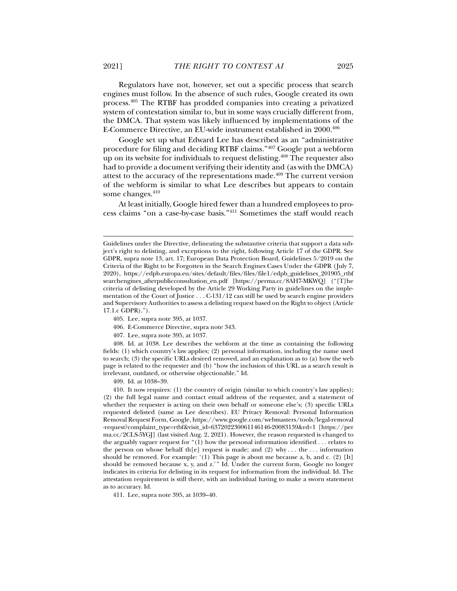Regulators have not, however, set out a specific process that search engines must follow. In the absence of such rules, Google created its own process.405 The RTBF has prodded companies into creating a privatized system of contestation similar to, but in some ways crucially different from, the DMCA. That system was likely influenced by implementations of the E-Commerce Directive, an EU-wide instrument established in 2000.406

Google set up what Edward Lee has described as an "administrative procedure for filing and deciding RTBF claims."407 Google put a webform up on its website for individuals to request delisting.<sup>408</sup> The requester also had to provide a document verifying their identity and (as with the DMCA) attest to the accuracy of the representations made.<sup>409</sup> The current version of the webform is similar to what Lee describes but appears to contain some changes. $410$ 

At least initially, Google hired fewer than a hundred employees to process claims "on a case-by-case basis."411 Sometimes the staff would reach

- 405. Lee, supra note 395, at 1037.
- 406. E-Commerce Directive, supra note 343.
- 407. Lee, supra note 395, at 1037.

 408. Id. at 1038. Lee describes the webform at the time as containing the following fields: (1) which country's law applies; (2) personal information, including the name used to search; (3) the specific URLs desired removed, and an explanation as to (a) how the web page is related to the requester and (b) "how the inclusion of this URL as a search result is irrelevant, outdated, or otherwise objectionable." Id.

409. Id. at 1038–39.

 410. It now requires: (1) the country of origin (similar to which country's law applies); (2) the full legal name and contact email address of the requester, and a statement of whether the requester is acting on their own behalf or someone else's; (3) specific URLs requested delisted (same as Lee describes). EU Privacy Removal: Personal Information Removal Request Form, Google, https://www.google.com/webmasters/tools/legal-removal -request?complaint\_type=rtbf&visit\_id=637202230061146146-20083139&rd=1 [https://per ma.cc/2CLS-5YGJ] (last visited Aug. 2, 2021). However, the reason requested is changed to the arguably vaguer request for "(1) how the personal information identified . . . relates to the person on whose behalf th[e] request is made; and (2) why ... the ... information should be removed. For example:  $(1)$  This page is about me because a, b, and c.  $(2)$  [It] should be removed because x, y, and z.'" Id. Under the current form, Google no longer indicates its criteria for delisting in its request for information from the individual. Id. The attestation requirement is still there, with an individual having to make a sworn statement as to accuracy. Id.

411. Lee, supra note 395, at 1039–40.

Guidelines under the Directive, delineating the substantive criteria that support a data subject's right to delisting, and exceptions to the right, following Article 17 of the GDPR. See GDPR, supra note 13, art. 17; European Data Protection Board, Guidelines 5/2019 on the Criteria of the Right to be Forgotten in the Search Engines Cases Under the GDPR (July 7, 2020), https://edpb.europa.eu/sites/default/files/files/file1/edpb\_guidelines\_201905\_rtbf searchengines\_afterpublicconsultation\_en.pdf [https://perma.cc/8AH7-MKWQ] ("[T]he criteria of delisting developed by the Article 29 Working Party in guidelines on the implementation of the Court of Justice . . . C-131/12 can still be used by search engine providers and Supervisory Authorities to assess a delisting request based on the Right to object (Article 17.1.c GDPR).").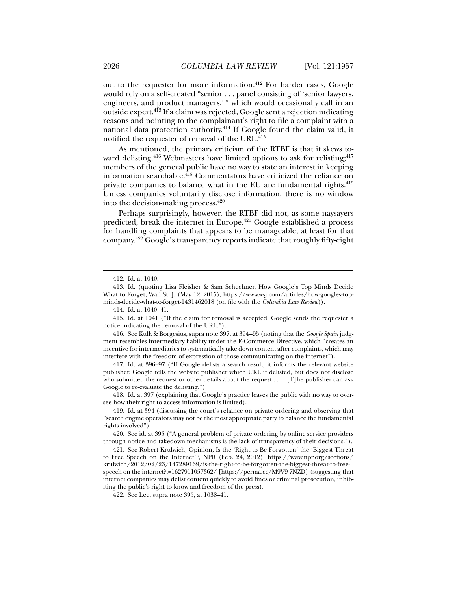out to the requester for more information.<sup>412</sup> For harder cases, Google would rely on a self-created "senior . . . panel consisting of 'senior lawyers, engineers, and product managers,'" which would occasionally call in an outside expert.413 If a claim was rejected, Google sent a rejection indicating reasons and pointing to the complainant's right to file a complaint with a national data protection authority.414 If Google found the claim valid, it notified the requester of removal of the URL.<sup>415</sup>

As mentioned, the primary criticism of the RTBF is that it skews toward delisting.<sup>416</sup> Webmasters have limited options to ask for relisting;<sup>417</sup> members of the general public have no way to state an interest in keeping information searchable.<sup>418</sup> Commentators have criticized the reliance on private companies to balance what in the EU are fundamental rights.<sup>419</sup> Unless companies voluntarily disclose information, there is no window into the decision-making process.420

Perhaps surprisingly, however, the RTBF did not, as some naysayers predicted, break the internet in Europe.421 Google established a process for handling complaints that appears to be manageable, at least for that company.422 Google's transparency reports indicate that roughly fifty-eight

 $\overline{a}$ 

 417. Id. at 396–97 ("If Google delists a search result, it informs the relevant website publisher. Google tells the website publisher which URL it delisted, but does not disclose who submitted the request or other details about the request . . . . [T]he publisher can ask Google to re-evaluate the delisting.").

 421. See Robert Krulwich, Opinion, Is the 'Right to Be Forgotten' the 'Biggest Threat to Free Speech on the Internet'?, NPR (Feb. 24, 2012), https://www.npr.org/sections/ krulwich/2012/02/23/147289169/is-the-right-to-be-forgotten-the-biggest-threat-to-freespeech-on-the-internet?t=1627911057362/ [https://perma.cc/M9V9-7NZD] (suggesting that internet companies may delist content quickly to avoid fines or criminal prosecution, inhibiting the public's right to know and freedom of the press).

422. See Lee, supra note 395, at 1038–41.

 <sup>412.</sup> Id. at 1040.

 <sup>413.</sup> Id. (quoting Lisa Fleisher & Sam Schechner, How Google's Top Minds Decide What to Forget, Wall St. J. (May 12, 2015), https://www.wsj.com/articles/how-googles-topminds-decide-what-to-forget-1431462018 (on file with the *Columbia Law Review*)).

 <sup>414.</sup> Id. at 1040–41.

 <sup>415.</sup> Id. at 1041 ("If the claim for removal is accepted, Google sends the requester a notice indicating the removal of the URL.").

 <sup>416.</sup> See Kulk & Borgesius, supra note 397, at 394 –95 (noting that the *Google Spain* judgment resembles intermediary liability under the E-Commerce Directive, which "creates an incentive for intermediaries to systematically take down content after complaints, which may interfere with the freedom of expression of those communicating on the internet").

 <sup>418.</sup> Id. at 397 (explaining that Google's practice leaves the public with no way to oversee how their right to access information is limited).

 <sup>419.</sup> Id. at 394 (discussing the court's reliance on private ordering and observing that "search engine operators may not be the most appropriate party to balance the fundamental rights involved").

 <sup>420.</sup> See id. at 395 ("A general problem of private ordering by online service providers through notice and takedown mechanisms is the lack of transparency of their decisions.").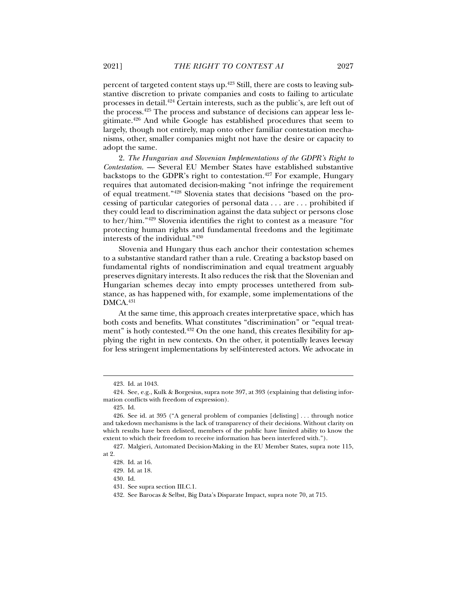percent of targeted content stays up.423 Still, there are costs to leaving substantive discretion to private companies and costs to failing to articulate processes in detail.424 Certain interests, such as the public's, are left out of the process.425 The process and substance of decisions can appear less legitimate.426 And while Google has established procedures that seem to largely, though not entirely, map onto other familiar contestation mechanisms, other, smaller companies might not have the desire or capacity to adopt the same.

2. *The Hungarian and Slovenian Implementations of the GDPR's Right to Contestation*. — Several EU Member States have established substantive backstops to the GDPR's right to contestation.<sup>427</sup> For example, Hungary requires that automated decision-making "not infringe the requirement of equal treatment."428 Slovenia states that decisions "based on the processing of particular categories of personal data . . . are . . . prohibited if they could lead to discrimination against the data subject or persons close to her/him."429 Slovenia identifies the right to contest as a measure "for protecting human rights and fundamental freedoms and the legitimate interests of the individual."430

Slovenia and Hungary thus each anchor their contestation schemes to a substantive standard rather than a rule. Creating a backstop based on fundamental rights of nondiscrimination and equal treatment arguably preserves dignitary interests. It also reduces the risk that the Slovenian and Hungarian schemes decay into empty processes untethered from substance, as has happened with, for example, some implementations of the DMCA.431

At the same time, this approach creates interpretative space, which has both costs and benefits. What constitutes "discrimination" or "equal treatment" is hotly contested.<sup>432</sup> On the one hand, this creates flexibility for applying the right in new contexts. On the other, it potentially leaves leeway for less stringent implementations by self-interested actors. We advocate in

 $\overline{a}$ 

430. Id.

 <sup>423.</sup> Id. at 1043.

 <sup>424.</sup> See, e.g., Kulk & Borgesius, supra note 397, at 393 (explaining that delisting information conflicts with freedom of expression).

 <sup>425.</sup> Id.

 <sup>426.</sup> See id. at 395 ("A general problem of companies [delisting] . . . through notice and takedown mechanisms is the lack of transparency of their decisions. Without clarity on which results have been delisted, members of the public have limited ability to know the extent to which their freedom to receive information has been interfered with.").

 <sup>427.</sup> Malgieri, Automated Decision-Making in the EU Member States, supra note 115, at 2.

 <sup>428.</sup> Id. at 16.

 <sup>429.</sup> Id. at 18.

 <sup>431.</sup> See supra section III.C.1.

 <sup>432.</sup> See Barocas & Selbst, Big Data's Disparate Impact, supra note 70, at 715.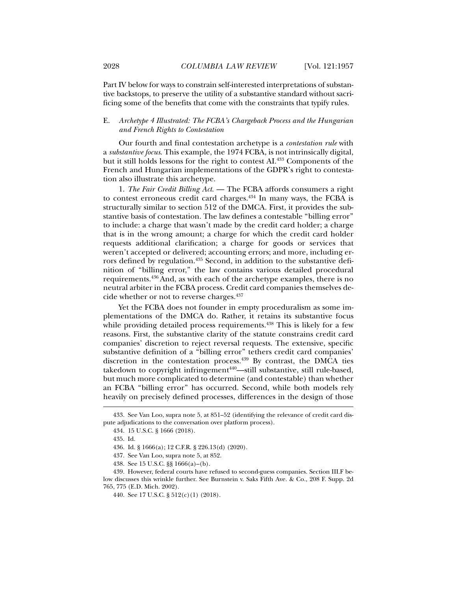Part IV below for ways to constrain self-interested interpretations of substantive backstops, to preserve the utility of a substantive standard without sacrificing some of the benefits that come with the constraints that typify rules.

# E. *Archetype 4 Illustrated: The FCBA's Chargeback Process and the Hungarian and French Rights to Contestation*

Our fourth and final contestation archetype is a *contestation rule* with a *substantive focus*. This example, the 1974 FCBA, is not intrinsically digital, but it still holds lessons for the right to contest AI.433 Components of the French and Hungarian implementations of the GDPR's right to contestation also illustrate this archetype.

1. *The Fair Credit Billing Act*. — The FCBA affords consumers a right to contest erroneous credit card charges. $434$  In many ways, the FCBA is structurally similar to section 512 of the DMCA. First, it provides the substantive basis of contestation. The law defines a contestable "billing error" to include: a charge that wasn't made by the credit card holder; a charge that is in the wrong amount; a charge for which the credit card holder requests additional clarification; a charge for goods or services that weren't accepted or delivered; accounting errors; and more, including errors defined by regulation.<sup>435</sup> Second, in addition to the substantive definition of "billing error," the law contains various detailed procedural requirements.436 And, as with each of the archetype examples, there is no neutral arbiter in the FCBA process. Credit card companies themselves decide whether or not to reverse charges.437

Yet the FCBA does not founder in empty proceduralism as some implementations of the DMCA do. Rather, it retains its substantive focus while providing detailed process requirements.<sup>438</sup> This is likely for a few reasons. First, the substantive clarity of the statute constrains credit card companies' discretion to reject reversal requests. The extensive, specific substantive definition of a "billing error" tethers credit card companies' discretion in the contestation process.<sup>439</sup> By contrast, the DMCA ties takedown to copyright infringement<sup>440</sup>—still substantive, still rule-based, but much more complicated to determine (and contestable) than whether an FCBA "billing error" has occurred. Second, while both models rely heavily on precisely defined processes, differences in the design of those

 <sup>433.</sup> See Van Loo, supra note 5, at 851–52 (identifying the relevance of credit card dispute adjudications to the conversation over platform process).

 <sup>434. 15</sup> U.S.C. § 1666 (2018).

 <sup>435.</sup> Id.

 <sup>436.</sup> Id. § 1666(a); 12 C.F.R. § 226.13(d) (2020).

 <sup>437.</sup> See Van Loo, supra note 5, at 852.

 <sup>438.</sup> See 15 U.S.C. §§ 1666(a)–(b).

 <sup>439.</sup> However, federal courts have refused to second-guess companies. Section III.F below discusses this wrinkle further. See Burnstein v. Saks Fifth Ave. & Co., 208 F. Supp. 2d 765, 775 (E.D. Mich. 2002).

 <sup>440.</sup> See 17 U.S.C. § 512(c)(1) (2018).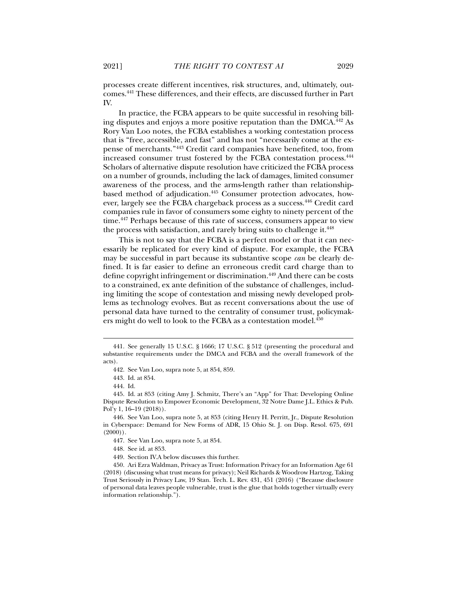processes create different incentives, risk structures, and, ultimately, outcomes.441 These differences, and their effects, are discussed further in Part IV.

In practice, the FCBA appears to be quite successful in resolving billing disputes and enjoys a more positive reputation than the DMCA.442 As Rory Van Loo notes, the FCBA establishes a working contestation process that is "free, accessible, and fast" and has not "necessarily come at the expense of merchants."443 Credit card companies have benefited, too, from increased consumer trust fostered by the FCBA contestation process.444 Scholars of alternative dispute resolution have criticized the FCBA process on a number of grounds, including the lack of damages, limited consumer awareness of the process, and the arms-length rather than relationshipbased method of adjudication.<sup>445</sup> Consumer protection advocates, however, largely see the FCBA chargeback process as a success.446 Credit card companies rule in favor of consumers some eighty to ninety percent of the time.<sup>447</sup> Perhaps because of this rate of success, consumers appear to view the process with satisfaction, and rarely bring suits to challenge it.<sup>448</sup>

This is not to say that the FCBA is a perfect model or that it can necessarily be replicated for every kind of dispute. For example, the FCBA may be successful in part because its substantive scope *can* be clearly defined. It is far easier to define an erroneous credit card charge than to define copyright infringement or discrimination.<sup>449</sup> And there can be costs to a constrained, ex ante definition of the substance of challenges, including limiting the scope of contestation and missing newly developed problems as technology evolves. But as recent conversations about the use of personal data have turned to the centrality of consumer trust, policymakers might do well to look to the FCBA as a contestation model.<sup>450</sup>

 <sup>441.</sup> See generally 15 U.S.C. § 1666; 17 U.S.C. § 512 (presenting the procedural and substantive requirements under the DMCA and FCBA and the overall framework of the acts).

 <sup>442.</sup> See Van Loo, supra note 5, at 854, 859.

 <sup>443.</sup> Id. at 854.

 <sup>444.</sup> Id.

 <sup>445.</sup> Id. at 853 (citing Amy J. Schmitz, There's an "App" for That: Developing Online Dispute Resolution to Empower Economic Development, 32 Notre Dame J.L. Ethics & Pub. Pol'y 1, 16–19 (2018)).

 <sup>446.</sup> See Van Loo, supra note 5, at 853 (citing Henry H. Perritt, Jr., Dispute Resolution in Cyberspace: Demand for New Forms of ADR, 15 Ohio St. J. on Disp. Resol. 675, 691  $(2000)$ ).

 <sup>447.</sup> See Van Loo, supra note 5, at 854.

 <sup>448.</sup> See id. at 853.

 <sup>449.</sup> Section IV.A below discusses this further.

 <sup>450.</sup> Ari Ezra Waldman, Privacy as Trust: Information Privacy for an Information Age 61 (2018) (discussing what trust means for privacy); Neil Richards & Woodrow Hartzog, Taking Trust Seriously in Privacy Law, 19 Stan. Tech. L. Rev. 431, 451 (2016) ("Because disclosure of personal data leaves people vulnerable, trust is the glue that holds together virtually every information relationship.").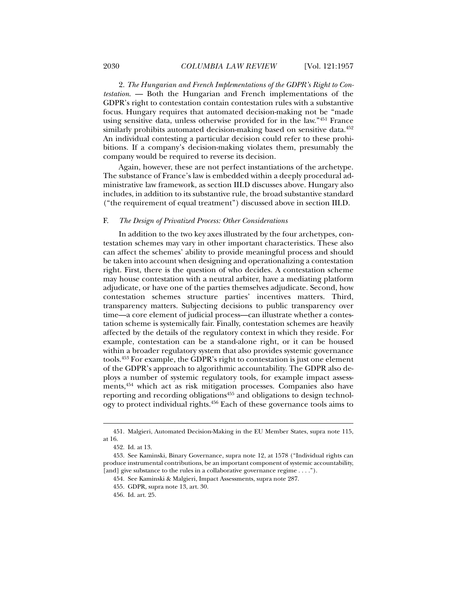2. *The Hungarian and French Implementations of the GDPR's Right to Contestation*. — Both the Hungarian and French implementations of the GDPR's right to contestation contain contestation rules with a substantive focus. Hungary requires that automated decision-making not be "made using sensitive data, unless otherwise provided for in the law."451 France similarly prohibits automated decision-making based on sensitive data.<sup>452</sup> An individual contesting a particular decision could refer to these prohibitions. If a company's decision-making violates them, presumably the company would be required to reverse its decision.

Again, however, these are not perfect instantiations of the archetype. The substance of France's law is embedded within a deeply procedural administrative law framework, as section III.D discusses above. Hungary also includes, in addition to its substantive rule, the broad substantive standard ("the requirement of equal treatment") discussed above in section III.D.

## F. *The Design of Privatized Process: Other Considerations*

In addition to the two key axes illustrated by the four archetypes, contestation schemes may vary in other important characteristics. These also can affect the schemes' ability to provide meaningful process and should be taken into account when designing and operationalizing a contestation right. First, there is the question of who decides. A contestation scheme may house contestation with a neutral arbiter, have a mediating platform adjudicate, or have one of the parties themselves adjudicate. Second, how contestation schemes structure parties' incentives matters. Third, transparency matters. Subjecting decisions to public transparency over time—a core element of judicial process—can illustrate whether a contestation scheme is systemically fair. Finally, contestation schemes are heavily affected by the details of the regulatory context in which they reside. For example, contestation can be a stand-alone right, or it can be housed within a broader regulatory system that also provides systemic governance tools.453 For example, the GDPR's right to contestation is just one element of the GDPR's approach to algorithmic accountability. The GDPR also deploys a number of systemic regulatory tools, for example impact assessments,454 which act as risk mitigation processes. Companies also have reporting and recording obligations<sup>455</sup> and obligations to design technology to protect individual rights.456 Each of these governance tools aims to

 <sup>451.</sup> Malgieri, Automated Decision-Making in the EU Member States, supra note 115, at 16.

 <sup>452.</sup> Id. at 13.

 <sup>453.</sup> See Kaminski, Binary Governance, supra note 12, at 1578 ("Individual rights can produce instrumental contributions, be an important component of systemic accountability, [and] give substance to the rules in a collaborative governance regime . . . .").

 <sup>454.</sup> See Kaminski & Malgieri, Impact Assessments, supra note 287.

 <sup>455.</sup> GDPR, supra note 13, art. 30.

 <sup>456.</sup> Id. art. 25.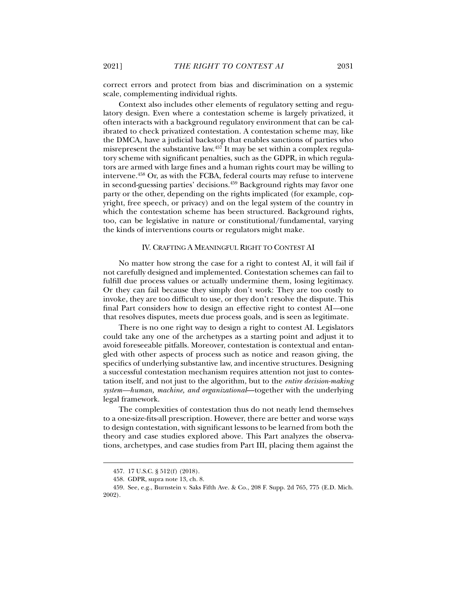correct errors and protect from bias and discrimination on a systemic scale, complementing individual rights.

Context also includes other elements of regulatory setting and regulatory design. Even where a contestation scheme is largely privatized, it often interacts with a background regulatory environment that can be calibrated to check privatized contestation. A contestation scheme may, like the DMCA, have a judicial backstop that enables sanctions of parties who misrepresent the substantive law.<sup>457</sup> It may be set within a complex regulatory scheme with significant penalties, such as the GDPR, in which regulators are armed with large fines and a human rights court may be willing to intervene.<sup>458</sup> Or, as with the FCBA, federal courts may refuse to intervene in second-guessing parties' decisions.<sup>459</sup> Background rights may favor one party or the other, depending on the rights implicated (for example, copyright, free speech, or privacy) and on the legal system of the country in which the contestation scheme has been structured. Background rights, too, can be legislative in nature or constitutional/fundamental, varying the kinds of interventions courts or regulators might make.

# IV. CRAFTING A MEANINGFUL RIGHT TO CONTEST AI

No matter how strong the case for a right to contest AI, it will fail if not carefully designed and implemented. Contestation schemes can fail to fulfill due process values or actually undermine them, losing legitimacy. Or they can fail because they simply don't work: They are too costly to invoke, they are too difficult to use, or they don't resolve the dispute. This final Part considers how to design an effective right to contest AI*—*one that resolves disputes, meets due process goals, and is seen as legitimate.

There is no one right way to design a right to contest AI. Legislators could take any one of the archetypes as a starting point and adjust it to avoid foreseeable pitfalls. Moreover, contestation is contextual and entangled with other aspects of process such as notice and reason giving, the specifics of underlying substantive law, and incentive structures. Designing a successful contestation mechanism requires attention not just to contestation itself, and not just to the algorithm, but to the *entire decision-making system—human, machine, and organizational*—together with the underlying legal framework.

The complexities of contestation thus do not neatly lend themselves to a one-size-fits-all prescription. However, there are better and worse ways to design contestation, with significant lessons to be learned from both the theory and case studies explored above. This Part analyzes the observations, archetypes, and case studies from Part III, placing them against the

 <sup>457. 17</sup> U.S.C. § 512(f) (2018).

 <sup>458.</sup> GDPR, supra note 13, ch. 8.

 <sup>459.</sup> See, e.g., Burnstein v. Saks Fifth Ave. & Co., 208 F. Supp. 2d 765, 775 (E.D. Mich. 2002).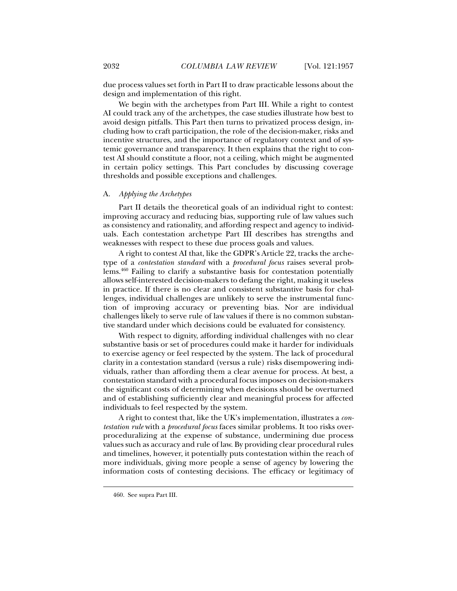due process values set forth in Part II to draw practicable lessons about the design and implementation of this right.

We begin with the archetypes from Part III. While a right to contest AI could track any of the archetypes, the case studies illustrate how best to avoid design pitfalls. This Part then turns to privatized process design, including how to craft participation, the role of the decision-maker, risks and incentive structures, and the importance of regulatory context and of systemic governance and transparency. It then explains that the right to contest AI should constitute a floor, not a ceiling, which might be augmented in certain policy settings. This Part concludes by discussing coverage thresholds and possible exceptions and challenges.

# A. *Applying the Archetypes*

Part II details the theoretical goals of an individual right to contest: improving accuracy and reducing bias, supporting rule of law values such as consistency and rationality, and affording respect and agency to individuals. Each contestation archetype Part III describes has strengths and weaknesses with respect to these due process goals and values.

A right to contest AI that, like the GDPR's Article 22, tracks the archetype of a *contestation standard* with a *procedural focus* raises several problems.460 Failing to clarify a substantive basis for contestation potentially allows self-interested decision-makers to defang the right, making it useless in practice. If there is no clear and consistent substantive basis for challenges, individual challenges are unlikely to serve the instrumental function of improving accuracy or preventing bias. Nor are individual challenges likely to serve rule of law values if there is no common substantive standard under which decisions could be evaluated for consistency.

With respect to dignity, affording individual challenges with no clear substantive basis or set of procedures could make it harder for individuals to exercise agency or feel respected by the system. The lack of procedural clarity in a contestation standard (versus a rule) risks disempowering individuals, rather than affording them a clear avenue for process. At best, a contestation standard with a procedural focus imposes on decision-makers the significant costs of determining when decisions should be overturned and of establishing sufficiently clear and meaningful process for affected individuals to feel respected by the system.

A right to contest that, like the UK's implementation, illustrates a *contestation rule* with a *procedural focus* faces similar problems. It too risks overproceduralizing at the expense of substance, undermining due process values such as accuracy and rule of law. By providing clear procedural rules and timelines, however, it potentially puts contestation within the reach of more individuals, giving more people a sense of agency by lowering the information costs of contesting decisions. The efficacy or legitimacy of

 <sup>460.</sup> See supra Part III.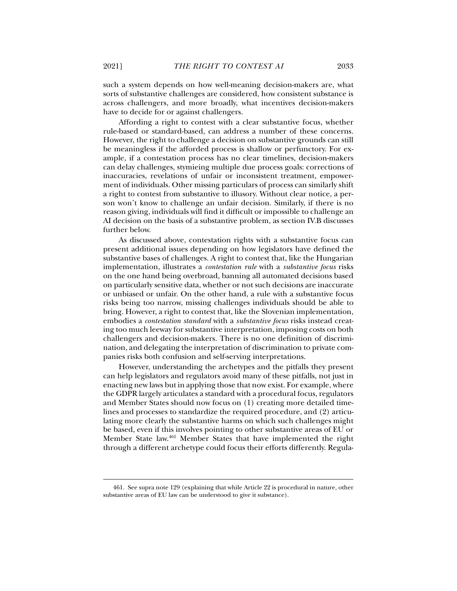across challengers, and more broadly, what incentives decision-makers

such a system depends on how well-meaning decision-makers are, what sorts of substantive challenges are considered, how consistent substance is

have to decide for or against challengers. Affording a right to contest with a clear substantive focus, whether rule-based or standard-based, can address a number of these concerns. However, the right to challenge a decision on substantive grounds can still be meaningless if the afforded process is shallow or perfunctory. For example, if a contestation process has no clear timelines, decision-makers can delay challenges, stymieing multiple due process goals: corrections of inaccuracies, revelations of unfair or inconsistent treatment, empowerment of individuals. Other missing particulars of process can similarly shift a right to contest from substantive to illusory. Without clear notice, a person won't know to challenge an unfair decision. Similarly, if there is no reason giving, individuals will find it difficult or impossible to challenge an AI decision on the basis of a substantive problem, as section IV.B discusses further below.

As discussed above, contestation rights with a substantive focus can present additional issues depending on how legislators have defined the substantive bases of challenges. A right to contest that, like the Hungarian implementation, illustrates a *contestation rule* with a *substantive focus* risks on the one hand being overbroad, banning all automated decisions based on particularly sensitive data, whether or not such decisions are inaccurate or unbiased or unfair. On the other hand, a rule with a substantive focus risks being too narrow, missing challenges individuals should be able to bring. However, a right to contest that, like the Slovenian implementation, embodies a *contestation standard* with a *substantive focus* risks instead creating too much leeway for substantive interpretation, imposing costs on both challengers and decision-makers. There is no one definition of discrimination, and delegating the interpretation of discrimination to private companies risks both confusion and self-serving interpretations.

However, understanding the archetypes and the pitfalls they present can help legislators and regulators avoid many of these pitfalls, not just in enacting new laws but in applying those that now exist. For example, where the GDPR largely articulates a standard with a procedural focus, regulators and Member States should now focus on (1) creating more detailed timelines and processes to standardize the required procedure, and (2) articulating more clearly the substantive harms on which such challenges might be based, even if this involves pointing to other substantive areas of EU or Member State law.461 Member States that have implemented the right through a different archetype could focus their efforts differently. Regula-

 <sup>461.</sup> See supra note 129 (explaining that while Article 22 is procedural in nature, other substantive areas of EU law can be understood to give it substance).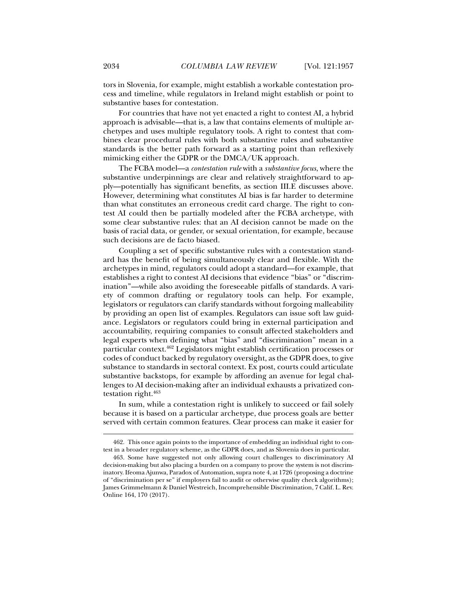tors in Slovenia, for example, might establish a workable contestation process and timeline, while regulators in Ireland might establish or point to substantive bases for contestation.

For countries that have not yet enacted a right to contest AI, a hybrid approach is advisable—that is, a law that contains elements of multiple archetypes and uses multiple regulatory tools. A right to contest that combines clear procedural rules with both substantive rules and substantive standards is the better path forward as a starting point than reflexively mimicking either the GDPR or the DMCA/UK approach.

The FCBA model—a *contestation rule* with a *substantive focus*, where the substantive underpinnings are clear and relatively straightforward to apply—potentially has significant benefits, as section III.E discusses above. However, determining what constitutes AI bias is far harder to determine than what constitutes an erroneous credit card charge. The right to contest AI could then be partially modeled after the FCBA archetype, with some clear substantive rules: that an AI decision cannot be made on the basis of racial data, or gender, or sexual orientation, for example, because such decisions are de facto biased.

Coupling a set of specific substantive rules with a contestation standard has the benefit of being simultaneously clear and flexible. With the archetypes in mind, regulators could adopt a standard—for example, that establishes a right to contest AI decisions that evidence "bias" or "discrimination"—while also avoiding the foreseeable pitfalls of standards. A variety of common drafting or regulatory tools can help. For example, legislators or regulators can clarify standards without forgoing malleability by providing an open list of examples. Regulators can issue soft law guidance. Legislators or regulators could bring in external participation and accountability, requiring companies to consult affected stakeholders and legal experts when defining what "bias" and "discrimination" mean in a particular context.462 Legislators might establish certification processes or codes of conduct backed by regulatory oversight, as the GDPR does, to give substance to standards in sectoral context. Ex post, courts could articulate substantive backstops, for example by affording an avenue for legal challenges to AI decision-making after an individual exhausts a privatized contestation right.463

In sum, while a contestation right is unlikely to succeed or fail solely because it is based on a particular archetype, due process goals are better served with certain common features. Clear process can make it easier for

 <sup>462.</sup> This once again points to the importance of embedding an individual right to contest in a broader regulatory scheme, as the GDPR does, and as Slovenia does in particular.

 <sup>463.</sup> Some have suggested not only allowing court challenges to discriminatory AI decision-making but also placing a burden on a company to prove the system is not discriminatory. Ifeoma Ajunwa, Paradox of Automation, supra note 4, at 1726 (proposing a doctrine of "discrimination per se" if employers fail to audit or otherwise quality check algorithms); James Grimmelmann & Daniel Westreich, Incomprehensible Discrimination, 7 Calif. L. Rev. Online 164, 170 (2017).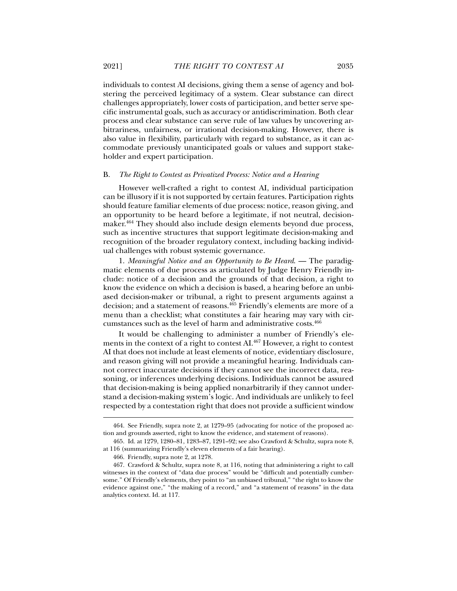individuals to contest AI decisions, giving them a sense of agency and bolstering the perceived legitimacy of a system. Clear substance can direct challenges appropriately, lower costs of participation, and better serve specific instrumental goals, such as accuracy or antidiscrimination. Both clear process and clear substance can serve rule of law values by uncovering arbitrariness, unfairness, or irrational decision-making. However, there is also value in flexibility, particularly with regard to substance, as it can accommodate previously unanticipated goals or values and support stakeholder and expert participation.

#### B. *The Right to Contest as Privatized Process: Notice and a Hearing*

However well-crafted a right to contest AI, individual participation can be illusory if it is not supported by certain features. Participation rights should feature familiar elements of due process: notice, reason giving, and an opportunity to be heard before a legitimate, if not neutral, decisionmaker.<sup>464</sup> They should also include design elements beyond due process, such as incentive structures that support legitimate decision-making and recognition of the broader regulatory context, including backing individual challenges with robust systemic governance.

1. *Meaningful Notice and an Opportunity to Be Heard*. — The paradigmatic elements of due process as articulated by Judge Henry Friendly include: notice of a decision and the grounds of that decision, a right to know the evidence on which a decision is based, a hearing before an unbiased decision-maker or tribunal, a right to present arguments against a decision; and a statement of reasons.465 Friendly's elements are more of a menu than a checklist; what constitutes a fair hearing may vary with circumstances such as the level of harm and administrative costs.466

It would be challenging to administer a number of Friendly's elements in the context of a right to contest AI.467 However, a right to contest AI that does not include at least elements of notice, evidentiary disclosure, and reason giving will not provide a meaningful hearing. Individuals cannot correct inaccurate decisions if they cannot see the incorrect data, reasoning, or inferences underlying decisions. Individuals cannot be assured that decision-making is being applied nonarbitrarily if they cannot understand a decision-making system's logic. And individuals are unlikely to feel respected by a contestation right that does not provide a sufficient window

 <sup>464.</sup> See Friendly, supra note 2, at 1279–95 (advocating for notice of the proposed action and grounds asserted, right to know the evidence, and statement of reasons).

 <sup>465.</sup> Id. at 1279, 1280–81, 1283–87, 1291–92; see also Crawford & Schultz, supra note 8, at 116 (summarizing Friendly's eleven elements of a fair hearing).

 <sup>466.</sup> Friendly, supra note 2, at 1278.

 <sup>467.</sup> Crawford & Schultz, supra note 8, at 116, noting that administering a right to call witnesses in the context of "data due process" would be "difficult and potentially cumbersome." Of Friendly's elements, they point to "an unbiased tribunal," "the right to know the evidence against one," "the making of a record," and "a statement of reasons" in the data analytics context. Id. at 117.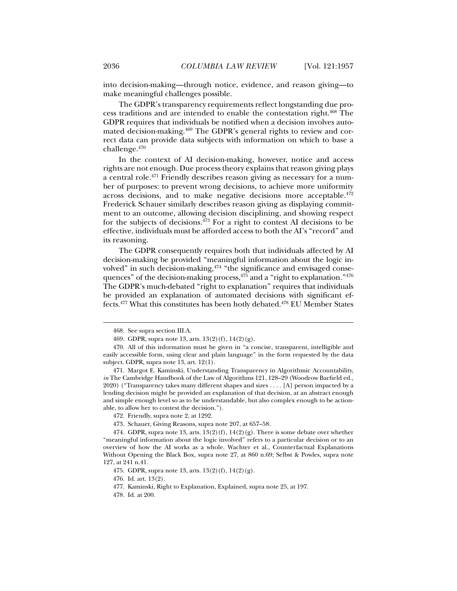into decision-making—through notice, evidence, and reason giving—to make meaningful challenges possible.

The GDPR's transparency requirements reflect longstanding due process traditions and are intended to enable the contestation right.468 The GDPR requires that individuals be notified when a decision involves automated decision-making.<sup>469</sup> The GDPR's general rights to review and correct data can provide data subjects with information on which to base a challenge.470

In the context of AI decision-making, however, notice and access rights are not enough. Due process theory explains that reason giving plays a central role.471 Friendly describes reason giving as necessary for a number of purposes: to prevent wrong decisions, to achieve more uniformity across decisions, and to make negative decisions more acceptable.<sup>472</sup> Frederick Schauer similarly describes reason giving as displaying commitment to an outcome, allowing decision disciplining, and showing respect for the subjects of decisions. $473$  For a right to contest AI decisions to be effective, individuals must be afforded access to both the AI's "record" and its reasoning.

The GDPR consequently requires both that individuals affected by AI decision-making be provided "meaningful information about the logic involved" in such decision-making,<sup>474</sup> "the significance and envisaged consequences" of the decision-making process,  $475$  and a "right to explanation."  $476$ The GDPR's much-debated "right to explanation" requires that individuals be provided an explanation of automated decisions with significant effects.477 What this constitutes has been hotly debated.478 EU Member States

 <sup>468.</sup> See supra section III.A.

 <sup>469.</sup> GDPR, supra note 13, arts. 13(2)(f), 14(2)(g).

 <sup>470.</sup> All of this information must be given in "a concise, transparent, intelligible and easily accessible form, using clear and plain language" in the form requested by the data subject. GDPR, supra note 13, art. 12(1).

 <sup>471.</sup> Margot E. Kaminski, Understanding Transparency in Algorithmic Accountability, *in* The Cambridge Handbook of the Law of Algorithms 121, 128–29 (Woodrow Barfield ed., 2020) ("Transparency takes many different shapes and sizes . . . . [A] person impacted by a lending decision might be provided an explanation of that decision, at an abstract enough and simple enough level so as to be understandable, but also complex enough to be actionable, to allow her to contest the decision.").

 <sup>472.</sup> Friendly, supra note 2, at 1292.

 <sup>473.</sup> Schauer, Giving Reasons, supra note 207, at 657–58.

<sup>474.</sup> GDPR, supra note 13, arts.  $13(2)(f)$ ,  $14(2)(g)$ . There is some debate over whether "meaningful information about the logic involved" refers to a particular decision or to an overview of how the AI works as a whole. Wachter et al., Counterfactual Explanations Without Opening the Black Box, supra note 27, at 860 n.69; Selbst & Powles, supra note 127, at 241 n.41.

 <sup>475.</sup> GDPR, supra note 13, arts. 13(2)(f), 14(2)(g).

 <sup>476.</sup> Id. art. 13(2).

 <sup>477.</sup> Kaminski, Right to Explanation, Explained, supra note 25, at 197.

 <sup>478.</sup> Id. at 200.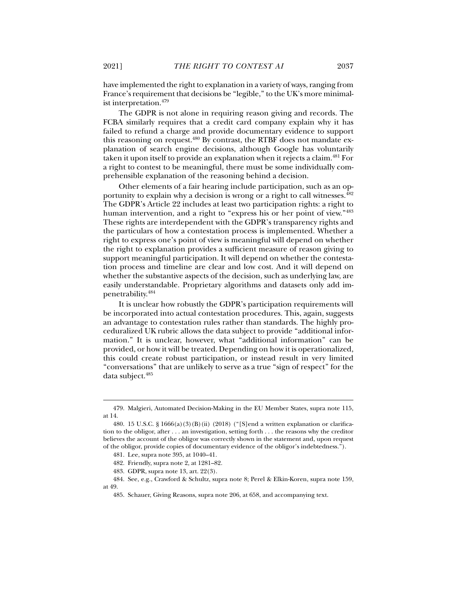have implemented the right to explanation in a variety of ways, ranging from France's requirement that decisions be "legible," to the UK's more minimalist interpretation.479

The GDPR is not alone in requiring reason giving and records. The FCBA similarly requires that a credit card company explain why it has failed to refund a charge and provide documentary evidence to support this reasoning on request.480 By contrast, the RTBF does not mandate explanation of search engine decisions, although Google has voluntarily taken it upon itself to provide an explanation when it rejects a claim.<sup>481</sup> For a right to contest to be meaningful, there must be some individually comprehensible explanation of the reasoning behind a decision.

Other elements of a fair hearing include participation, such as an opportunity to explain why a decision is wrong or a right to call witnesses.482 The GDPR's Article 22 includes at least two participation rights: a right to human intervention, and a right to "express his or her point of view."<sup>483</sup> These rights are interdependent with the GDPR's transparency rights and the particulars of how a contestation process is implemented. Whether a right to express one's point of view is meaningful will depend on whether the right to explanation provides a sufficient measure of reason giving to support meaningful participation. It will depend on whether the contestation process and timeline are clear and low cost. And it will depend on whether the substantive aspects of the decision, such as underlying law, are easily understandable. Proprietary algorithms and datasets only add impenetrability.484

It is unclear how robustly the GDPR's participation requirements will be incorporated into actual contestation procedures. This, again, suggests an advantage to contestation rules rather than standards. The highly proceduralized UK rubric allows the data subject to provide "additional information." It is unclear, however, what "additional information" can be provided, or how it will be treated. Depending on how it is operationalized, this could create robust participation, or instead result in very limited "conversations" that are unlikely to serve as a true "sign of respect" for the data subject.485

 <sup>479.</sup> Malgieri, Automated Decision-Making in the EU Member States, supra note 115, at 14.

<sup>480. 15</sup> U.S.C. § 1666(a)(3)(B)(ii) (2018) ("[S]end a written explanation or clarification to the obligor, after . . . an investigation, setting forth . . . the reasons why the creditor believes the account of the obligor was correctly shown in the statement and, upon request of the obligor, provide copies of documentary evidence of the obligor's indebtedness.").

 <sup>481.</sup> Lee, supra note 395, at 1040–41.

 <sup>482.</sup> Friendly, supra note 2, at 1281–82.

 <sup>483.</sup> GDPR, supra note 13, art. 22(3).

 <sup>484.</sup> See, e.g., Crawford & Schultz, supra note 8; Perel & Elkin-Koren, supra note 159, at 49.

 <sup>485.</sup> Schauer, Giving Reasons, supra note 206, at 658, and accompanying text.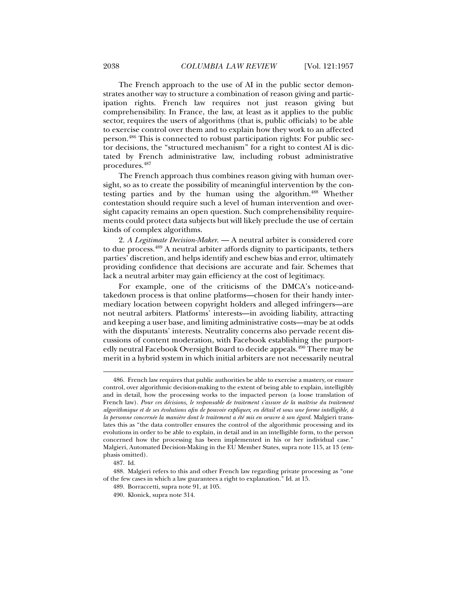The French approach to the use of AI in the public sector demonstrates another way to structure a combination of reason giving and participation rights. French law requires not just reason giving but comprehensibility. In France, the law, at least as it applies to the public sector, requires the users of algorithms (that is, public officials) to be able to exercise control over them and to explain how they work to an affected person.486 This is connected to robust participation rights: For public sector decisions, the "structured mechanism" for a right to contest AI is dictated by French administrative law, including robust administrative procedures.487

The French approach thus combines reason giving with human oversight, so as to create the possibility of meaningful intervention by the contesting parties and by the human using the algorithm.488 Whether contestation should require such a level of human intervention and oversight capacity remains an open question. Such comprehensibility requirements could protect data subjects but will likely preclude the use of certain kinds of complex algorithms.

2. *A Legitimate Decision-Maker*. — A neutral arbiter is considered core to due process.489 A neutral arbiter affords dignity to participants, tethers parties' discretion, and helps identify and eschew bias and error, ultimately providing confidence that decisions are accurate and fair. Schemes that lack a neutral arbiter may gain efficiency at the cost of legitimacy.

For example, one of the criticisms of the DMCA's notice-andtakedown process is that online platforms—chosen for their handy intermediary location between copyright holders and alleged infringers—are not neutral arbiters. Platforms' interests—in avoiding liability, attracting and keeping a user base, and limiting administrative costs—may be at odds with the disputants' interests. Neutrality concerns also pervade recent discussions of content moderation, with Facebook establishing the purportedly neutral Facebook Oversight Board to decide appeals.490 There may be merit in a hybrid system in which initial arbiters are not necessarily neutral

 <sup>486.</sup> French law requires that public authorities be able to exercise a mastery, or ensure control, over algorithmic decision-making to the extent of being able to explain, intelligibly and in detail, how the processing works to the impacted person (a loose translation of French law). *Pour ces décisions, le responsable de traitement s'assure de la maîtrise du traitement algorithmique et de ses évolutions afin de pouvoir expliquer, en détail et sous une forme intelligible, à*  la personne concernée la manière dont le traitement a été mis en oeuvre à son égard. Malgieri translates this as "the data controller ensures the control of the algorithmic processing and its evolutions in order to be able to explain, in detail and in an intelligible form, to the person concerned how the processing has been implemented in his or her individual case." Malgieri, Automated Decision-Making in the EU Member States, supra note 115, at 13 (emphasis omitted).

 <sup>487.</sup> Id.

 <sup>488.</sup> Malgieri refers to this and other French law regarding private processing as "one of the few cases in which a law guarantees a right to explanation." Id. at 15.

 <sup>489.</sup> Borraccetti, supra note 91, at 105.

 <sup>490.</sup> Klonick, supra note 314.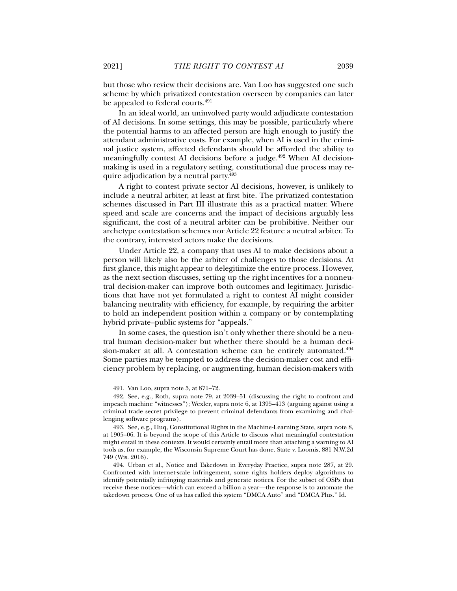but those who review their decisions are. Van Loo has suggested one such scheme by which privatized contestation overseen by companies can later be appealed to federal courts.<sup>491</sup>

In an ideal world, an uninvolved party would adjudicate contestation of AI decisions. In some settings, this may be possible, particularly where the potential harms to an affected person are high enough to justify the attendant administrative costs. For example, when AI is used in the criminal justice system, affected defendants should be afforded the ability to meaningfully contest AI decisions before a judge.<sup>492</sup> When AI decisionmaking is used in a regulatory setting, constitutional due process may require adjudication by a neutral party.<sup>493</sup>

A right to contest private sector AI decisions, however, is unlikely to include a neutral arbiter, at least at first bite. The privatized contestation schemes discussed in Part III illustrate this as a practical matter. Where speed and scale are concerns and the impact of decisions arguably less significant, the cost of a neutral arbiter can be prohibitive. Neither our archetype contestation schemes nor Article 22 feature a neutral arbiter. To the contrary, interested actors make the decisions.

Under Article 22, a company that uses AI to make decisions about a person will likely also be the arbiter of challenges to those decisions. At first glance, this might appear to delegitimize the entire process. However, as the next section discusses, setting up the right incentives for a nonneutral decision-maker can improve both outcomes and legitimacy. Jurisdictions that have not yet formulated a right to contest AI might consider balancing neutrality with efficiency, for example, by requiring the arbiter to hold an independent position within a company or by contemplating hybrid private–public systems for "appeals."

In some cases, the question isn't only whether there should be a neutral human decision-maker but whether there should be a human decision-maker at all. A contestation scheme can be entirely automated.<sup>494</sup> Some parties may be tempted to address the decision-maker cost and efficiency problem by replacing, or augmenting, human decision-makers with

 <sup>491.</sup> Van Loo, supra note 5, at 871–72.

 <sup>492.</sup> See, e.g., Roth, supra note 79, at 2039–51 (discussing the right to confront and impeach machine "witnesses"); Wexler, supra note 6, at 1395–413 (arguing against using a criminal trade secret privilege to prevent criminal defendants from examining and challenging software programs).

 <sup>493.</sup> See, e.g., Huq, Constitutional Rights in the Machine-Learning State, supra note 8, at 1905–06. It is beyond the scope of this Article to discuss what meaningful contestation might entail in these contexts. It would certainly entail more than attaching a warning to AI tools as, for example, the Wisconsin Supreme Court has done. State v. Loomis, 881 N.W.2d 749 (Wis. 2016).

 <sup>494.</sup> Urban et al., Notice and Takedown in Everyday Practice, supra note 287, at 29. Confronted with internet-scale infringement, some rights holders deploy algorithms to identify potentially infringing materials and generate notices. For the subset of OSPs that receive these notices—which can exceed a billion a year—the response is to automate the takedown process. One of us has called this system "DMCA Auto" and "DMCA Plus." Id.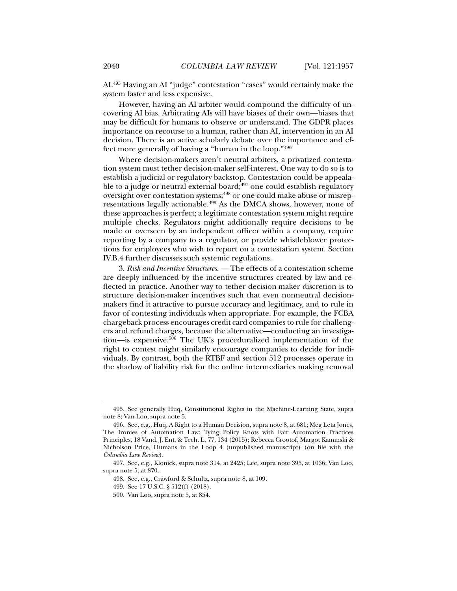AI.495 Having an AI "judge" contestation "cases" would certainly make the system faster and less expensive.

However, having an AI arbiter would compound the difficulty of uncovering AI bias. Arbitrating AIs will have biases of their own—biases that may be difficult for humans to observe or understand. The GDPR places importance on recourse to a human, rather than AI, intervention in an AI decision. There is an active scholarly debate over the importance and effect more generally of having a "human in the loop."496

Where decision-makers aren't neutral arbiters, a privatized contestation system must tether decision-maker self-interest. One way to do so is to establish a judicial or regulatory backstop. Contestation could be appealable to a judge or neutral external board; $497$  one could establish regulatory oversight over contestation systems;498 or one could make abuse or misrepresentations legally actionable.499 As the DMCA shows, however, none of these approaches is perfect; a legitimate contestation system might require multiple checks. Regulators might additionally require decisions to be made or overseen by an independent officer within a company, require reporting by a company to a regulator, or provide whistleblower protections for employees who wish to report on a contestation system. Section IV.B.4 further discusses such systemic regulations.

3. *Risk and Incentive Structures*. — The effects of a contestation scheme are deeply influenced by the incentive structures created by law and reflected in practice. Another way to tether decision-maker discretion is to structure decision-maker incentives such that even nonneutral decisionmakers find it attractive to pursue accuracy and legitimacy, and to rule in favor of contesting individuals when appropriate. For example, the FCBA chargeback process encourages credit card companies to rule for challengers and refund charges, because the alternative—conducting an investigation—is expensive.500 The UK's proceduralized implementation of the right to contest might similarly encourage companies to decide for individuals. By contrast, both the RTBF and section 512 processes operate in the shadow of liability risk for the online intermediaries making removal

 <sup>495.</sup> See generally Huq, Constitutional Rights in the Machine-Learning State, supra note 8; Van Loo, supra note 5.

 <sup>496.</sup> See, e.g., Huq, A Right to a Human Decision, supra note 8, at 681; Meg Leta Jones, The Ironies of Automation Law: Tying Policy Knots with Fair Automation Practices Principles, 18 Vand. J. Ent. & Tech. L. 77, 134 (2015); Rebecca Crootof, Margot Kaminski & Nicholson Price, Humans in the Loop 4 (unpublished manuscript) (on file with the *Columbia Law Review*).

 <sup>497.</sup> See, e.g., Klonick, supra note 314, at 2425; Lee, supra note 395, at 1036; Van Loo, supra note 5, at 870.

 <sup>498.</sup> See, e.g., Crawford & Schultz, supra note 8, at 109.

 <sup>499.</sup> See 17 U.S.C. § 512(f) (2018).

 <sup>500.</sup> Van Loo, supra note 5, at 854.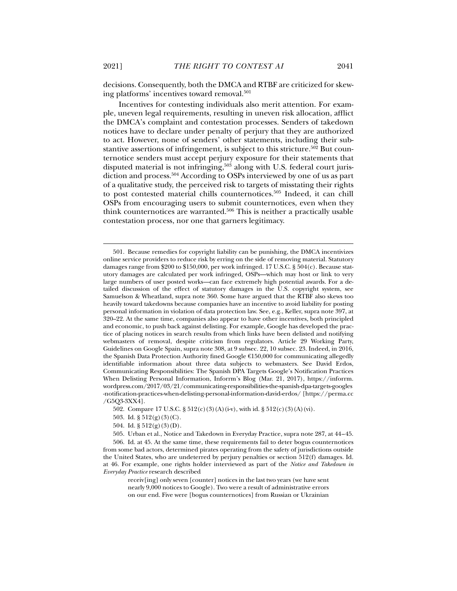decisions. Consequently, both the DMCA and RTBF are criticized for skewing platforms' incentives toward removal.<sup>501</sup>

Incentives for contesting individuals also merit attention. For example, uneven legal requirements, resulting in uneven risk allocation, afflict the DMCA's complaint and contestation processes. Senders of takedown notices have to declare under penalty of perjury that they are authorized to act. However, none of senders' other statements, including their substantive assertions of infringement, is subject to this stricture.<sup>502</sup> But counternotice senders must accept perjury exposure for their statements that disputed material is not infringing,<sup>503</sup> along with U.S. federal court jurisdiction and process.<sup>504</sup> According to OSPs interviewed by one of us as part of a qualitative study, the perceived risk to targets of misstating their rights to post contested material chills counternotices.505 Indeed, it can chill OSPs from encouraging users to submit counternotices, even when they think counternotices are warranted.<sup>506</sup> This is neither a practically usable contestation process, nor one that garners legitimacy.

*Everyday Practice* research described

receiv[ing] only seven [counter] notices in the last two years (we have sent nearly 9,000 notices to Google). Two were a result of administrative errors on our end. Five were [bogus counternotices] from Russian or Ukrainian

 <sup>501.</sup> Because remedies for copyright liability can be punishing, the DMCA incentivizes online service providers to reduce risk by erring on the side of removing material. Statutory damages range from \$200 to \$150,000, per work infringed. 17 U.S.C. § 504(c). Because statutory damages are calculated per work infringed, OSPs—which may host or link to very large numbers of user posted works—can face extremely high potential awards. For a detailed discussion of the effect of statutory damages in the U.S. copyright system, see Samuelson & Wheatland, supra note 360. Some have argued that the RTBF also skews too heavily toward takedowns because companies have an incentive to avoid liability for posting personal information in violation of data protection law. See, e.g., Keller, supra note 397, at 320–22. At the same time, companies also appear to have other incentives, both principled and economic, to push back against delisting. For example, Google has developed the practice of placing notices in search results from which links have been delisted and notifying webmasters of removal, despite criticism from regulators. Article 29 Working Party, Guidelines on Google Spain, supra note 308, at 9 subsec. 22, 10 subsec. 23. Indeed, in 2016, the Spanish Data Protection Authority fined Google €150,000 for communicating allegedly identifiable information about three data subjects to webmasters. See David Erdos, Communicating Responsibilities: The Spanish DPA Targets Google's Notification Practices When Delisting Personal Information, Inforrm's Blog (Mar. 21, 2017), https://inforrm. wordpress.com/2017/03/21/communicating-responsibilities-the-spanish-dpa-targets-googles -notification-practices-when-delisting-personal-information-david-erdos/ [https://perma.cc /G5Q3-3XX4].

 <sup>502.</sup> Compare 17 U.S.C. § 512(c)(3)(A)(i-v), with id. § 512(c)(3)(A)(vi).

<sup>503.</sup> Id.  $\S 512(g)(3)(C)$ .

<sup>504.</sup> Id.  $\S 512(g)(3)(D)$ .

 <sup>505.</sup> Urban et al., Notice and Takedown in Everyday Practice, supra note 287, at 44 – 45. 506. Id. at 45. At the same time, these requirements fail to deter bogus counternotices from some bad actors, determined pirates operating from the safety of jurisdictions outside the United States, who are undeterred by perjury penalties or section 512(f) damages. Id. at 46. For example, one rights holder interviewed as part of the *Notice and Takedown in*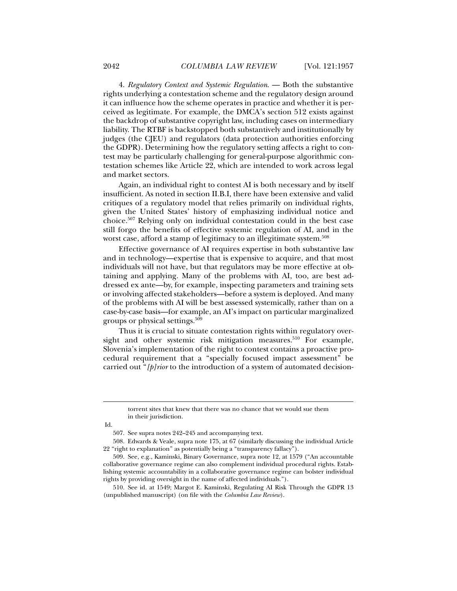4. *Regulatory Context and Systemic Regulation*. — Both the substantive rights underlying a contestation scheme and the regulatory design around it can influence how the scheme operates in practice and whether it is perceived as legitimate. For example, the DMCA's section 512 exists against the backdrop of substantive copyright law, including cases on intermediary liability. The RTBF is backstopped both substantively and institutionally by judges (the CJEU) and regulators (data protection authorities enforcing the GDPR). Determining how the regulatory setting affects a right to contest may be particularly challenging for general-purpose algorithmic contestation schemes like Article 22, which are intended to work across legal and market sectors.

Again, an individual right to contest AI is both necessary and by itself insufficient. As noted in section II.B.I, there have been extensive and valid critiques of a regulatory model that relies primarily on individual rights, given the United States' history of emphasizing individual notice and choice.507 Relying only on individual contestation could in the best case still forgo the benefits of effective systemic regulation of AI, and in the worst case, afford a stamp of legitimacy to an illegitimate system.<sup>508</sup>

Effective governance of AI requires expertise in both substantive law and in technology—expertise that is expensive to acquire, and that most individuals will not have, but that regulators may be more effective at obtaining and applying. Many of the problems with AI, too, are best addressed ex ante—by, for example, inspecting parameters and training sets or involving affected stakeholders—before a system is deployed. And many of the problems with AI will be best assessed systemically, rather than on a case-by-case basis—for example, an AI's impact on particular marginalized groups or physical settings.509

Thus it is crucial to situate contestation rights within regulatory oversight and other systemic risk mitigation measures.<sup>510</sup> For example, Slovenia's implementation of the right to contest contains a proactive procedural requirement that a "specially focused impact assessment" be carried out "*[p]rior* to the introduction of a system of automated decision-

Id.

torrent sites that knew that there was no chance that we would sue them in their jurisdiction.

 <sup>507.</sup> See supra notes 242–245 and accompanying text.

 <sup>508.</sup> Edwards & Veale, supra note 175, at 67 (similarly discussing the individual Article 22 "right to explanation" as potentially being a "transparency fallacy").

 <sup>509.</sup> See, e.g., Kaminski, Binary Governance, supra note 12, at 1579 ("An accountable collaborative governance regime can also complement individual procedural rights. Establishing systemic accountability in a collaborative governance regime can bolster individual rights by providing oversight in the name of affected individuals.").

 <sup>510.</sup> See id. at 1549; Margot E. Kaminski, Regulating AI Risk Through the GDPR 13 (unpublished manuscript) (on file with the *Columbia Law Review*).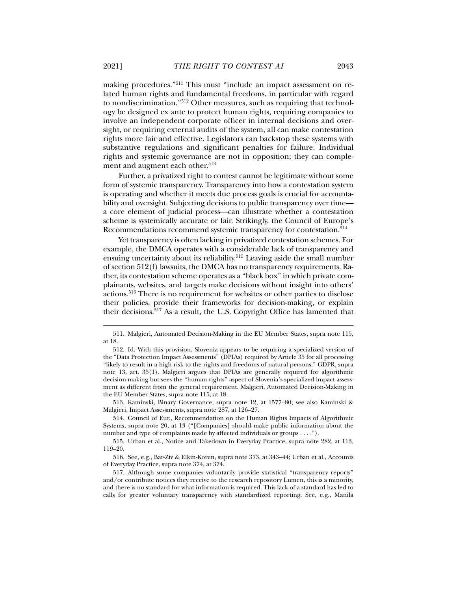making procedures."511 This must "include an impact assessment on related human rights and fundamental freedoms, in particular with regard to nondiscrimination."512 Other measures, such as requiring that technology be designed ex ante to protect human rights, requiring companies to involve an independent corporate officer in internal decisions and oversight, or requiring external audits of the system, all can make contestation rights more fair and effective. Legislators can backstop these systems with substantive regulations and significant penalties for failure. Individual rights and systemic governance are not in opposition; they can complement and augment each other.<sup>513</sup>

Further, a privatized right to contest cannot be legitimate without some form of systemic transparency. Transparency into how a contestation system is operating and whether it meets due process goals is crucial for accountability and oversight. Subjecting decisions to public transparency over time a core element of judicial process—can illustrate whether a contestation scheme is systemically accurate or fair. Strikingly, the Council of Europe's Recommendations recommend systemic transparency for contestation.<sup>514</sup>

Yet transparency is often lacking in privatized contestation schemes. For example, the DMCA operates with a considerable lack of transparency and ensuing uncertainty about its reliability.<sup>515</sup> Leaving aside the small number of section 512(f) lawsuits, the DMCA has no transparency requirements. Rather, its contestation scheme operates as a "black box" in which private complainants, websites, and targets make decisions without insight into others' actions.516 There is no requirement for websites or other parties to disclose their policies, provide their frameworks for decision-making, or explain their decisions.517 As a result, the U.S. Copyright Office has lamented that

 513. Kaminski, Binary Governance, supra note 12, at 1577–80; see also Kaminski & Malgieri, Impact Assessments, supra note 287, at 126–27.

 <sup>511.</sup> Malgieri, Automated Decision-Making in the EU Member States, supra note 115, at 18.

 <sup>512.</sup> Id. With this provision, Slovenia appears to be requiring a specialized version of the "Data Protection Impact Assessments" (DPIAs) required by Article 35 for all processing "likely to result in a high risk to the rights and freedoms of natural persons." GDPR, supra note 13, art. 35(1). Malgieri argues that DPIAs are generally required for algorithmic decision-making but sees the "human rights" aspect of Slovenia's specialized impact assessment as different from the general requirement. Malgieri, Automated Decision-Making in the EU Member States, supra note 115, at 18.

 <sup>514.</sup> Council of Eur., Recommendation on the Human Rights Impacts of Algorithmic Systems, supra note 20, at 13 ("[Companies] should make public information about the number and type of complaints made by affected individuals or groups . . . .").

 <sup>515.</sup> Urban et al., Notice and Takedown in Everyday Practice, supra note 282, at 113, 119–20.

 <sup>516.</sup> See, e.g., Bar-Ziv & Elkin-Koren, supra note 373, at 343–44; Urban et al., Accounts of Everyday Practice, supra note 374, at 374.

 <sup>517.</sup> Although some companies voluntarily provide statistical "transparency reports" and/or contribute notices they receive to the research repository Lumen, this is a minority, and there is no standard for what information is required. This lack of a standard has led to calls for greater voluntary transparency with standardized reporting. See, e.g., Manila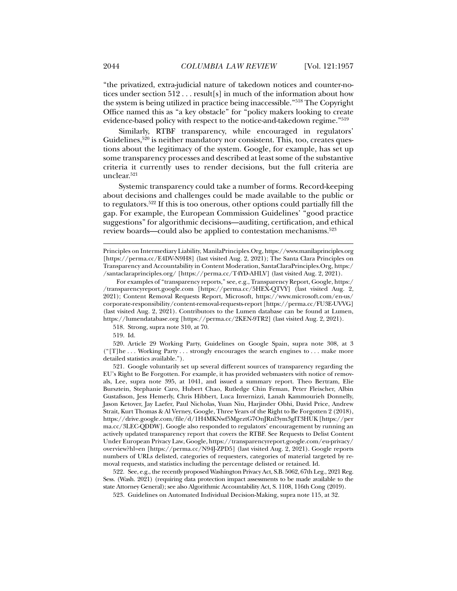"the privatized, extra-judicial nature of takedown notices and counter-notices under section 512 . . . result[s] in much of the information about how the system is being utilized in practice being inaccessible."518 The Copyright Office named this as "a key obstacle" for "policy makers looking to create evidence-based policy with respect to the notice-and-takedown regime."519

Similarly, RTBF transparency, while encouraged in regulators' Guidelines,<sup>520</sup> is neither mandatory nor consistent. This, too, creates questions about the legitimacy of the system. Google, for example, has set up some transparency processes and described at least some of the substantive criteria it currently uses to render decisions, but the full criteria are unclear.<sup>521</sup>

Systemic transparency could take a number of forms. Record-keeping about decisions and challenges could be made available to the public or to regulators.522 If this is too onerous, other options could partially fill the gap. For example, the European Commission Guidelines' "good practice suggestions" for algorithmic decisions—auditing, certification, and ethical review boards—could also be applied to contestation mechanisms.523

518. Strong, supra note 310, at 70.

519. Id.

 $\overline{a}$ 

 520. Article 29 Working Party, Guidelines on Google Spain, supra note 308, at 3 ("[T]he . . . Working Party . . . strongly encourages the search engines to . . . make more detailed statistics available.").

 521. Google voluntarily set up several different sources of transparency regarding the EU's Right to Be Forgotten. For example, it has provided webmasters with notice of removals, Lee, supra note 395, at 1041, and issued a summary report. Theo Bertram, Elie Bursztein, Stephanie Caro, Hubert Chao, Rutledge Chin Feman, Peter Fleischer, Albin Gustafsson, Jess Hemerly, Chris Hibbert, Luca Invernizzi, Lanah Kammourieh Donnelly, Jason Ketover, Jay Laefer, Paul Nicholas, Yuan Niu, Harjinder Obhi, David Price, Andrew Strait, Kurt Thomas & Al Verney, Google, Three Years of the Right to Be Forgotten 2 (2018), https://drive.google.com/file/d/1H4MKNwf5MgeztG7OnJRnl3ym3gIT3HUK [https://per ma.cc/3LEC-QDDW]. Google also responded to regulators' encouragement by running an actively updated transparency report that covers the RTBF. See Requests to Delist Content Under European Privacy Law, Google, https://transparencyreport.google.com/eu-privacy/ overview?hl=en [https://perma.cc/N94J-ZPD5] (last visited Aug. 2, 2021). Google reports numbers of URLs delisted, categories of requesters, categories of material targeted by removal requests, and statistics including the percentage delisted or retained. Id.

 522. See, e.g., the recently proposed Washington Privacy Act, S.B. 5062, 67th Leg., 2021 Reg. Sess. (Wash. 2021) (requiring data protection impact assessments to be made available to the state Attorney General); see also Algorithmic Accountability Act, S. 1108, 116th Cong (2019).

523. Guidelines on Automated Individual Decision-Making, supra note 115, at 32.

Principles on Intermediary Liability, ManilaPrinciples.Org, https://www.manilaprinciples.org [https://perma.cc/E4DV-N9H8] (last visited Aug. 2, 2021); The Santa Clara Principles on Transparency and Accountability in Content Moderation, SantaClaraPrinciples.Org, https:/ /santaclaraprinciples.org/ [https://perma.cc/T4YD-AHLV] (last visited Aug. 2, 2021).

For examples of "transparency reports," see, e.g., Transparency Report, Google, https:/ /transparencyreport.google.com [https://perma.cc/5HEX-QTVY] (last visited Aug. 2, 2021); Content Removal Requests Report, Microsoft, https://www.microsoft.com/en-us/ corporate-responsibility/content-removal-requests-report [https://perma.cc/FU3E-UVVG] (last visited Aug. 2, 2021). Contributors to the Lumen database can be found at Lumen, https://lumendatabase.org [https://perma.cc/2KEN-9TR2] (last visited Aug. 2, 2021).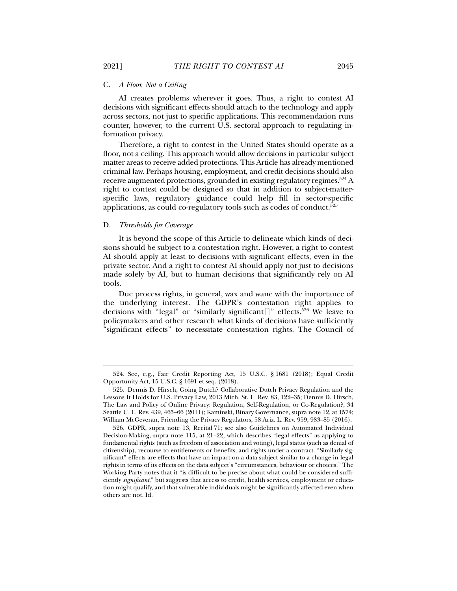### C. *A Floor, Not a Ceiling*

AI creates problems wherever it goes. Thus, a right to contest AI decisions with significant effects should attach to the technology and apply across sectors, not just to specific applications. This recommendation runs counter, however, to the current U.S. sectoral approach to regulating information privacy.

Therefore, a right to contest in the United States should operate as a floor, not a ceiling. This approach would allow decisions in particular subject matter areas to receive added protections. This Article has already mentioned criminal law. Perhaps housing, employment, and credit decisions should also receive augmented protections, grounded in existing regulatory regimes.<sup>524</sup> A right to contest could be designed so that in addition to subject-matterspecific laws, regulatory guidance could help fill in sector-specific applications, as could co-regulatory tools such as codes of conduct.<sup>525</sup>

# D. *Thresholds for Coverage*

It is beyond the scope of this Article to delineate which kinds of decisions should be subject to a contestation right. However, a right to contest AI should apply at least to decisions with significant effects, even in the private sector. And a right to contest AI should apply not just to decisions made solely by AI, but to human decisions that significantly rely on AI tools.

Due process rights, in general, wax and wane with the importance of the underlying interest. The GDPR's contestation right applies to decisions with "legal" or "similarly significant[]" effects.<sup>526</sup> We leave to policymakers and other research what kinds of decisions have sufficiently "significant effects" to necessitate contestation rights. The Council of

 <sup>524.</sup> See, e.g., Fair Credit Reporting Act, 15 U.S.C. § 1681 (2018); Equal Credit Opportunity Act, 15 U.S.C. § 1691 et seq. (2018).

 <sup>525.</sup> Dennis D. Hirsch, Going Dutch? Collaborative Dutch Privacy Regulation and the Lessons It Holds for U.S. Privacy Law, 2013 Mich. St. L. Rev. 83, 122–35; Dennis D. Hirsch, The Law and Policy of Online Privacy: Regulation, Self-Regulation, or Co-Regulation?, 34 Seattle U. L. Rev. 439, 465–66 (2011); Kaminski, Binary Governance, supra note 12, at 1574; William McGeveran, Friending the Privacy Regulators, 58 Ariz. L. Rev. 959, 983–85 (2016).

 <sup>526.</sup> GDPR, supra note 13, Recital 71; see also Guidelines on Automated Individual Decision-Making, supra note 115, at 21–22, which describes "legal effects" as applying to fundamental rights (such as freedom of association and voting), legal status (such as denial of citizenship), recourse to entitlements or benefits, and rights under a contract. "Similarly significant" effects are effects that have an impact on a data subject similar to a change in legal rights in terms of its effects on the data subject's "circumstances, behaviour or choices." The Working Party notes that it "is difficult to be precise about what could be considered sufficiently *significant*," but suggests that access to credit, health services, employment or education might qualify, and that vulnerable individuals might be significantly affected even when others are not. Id.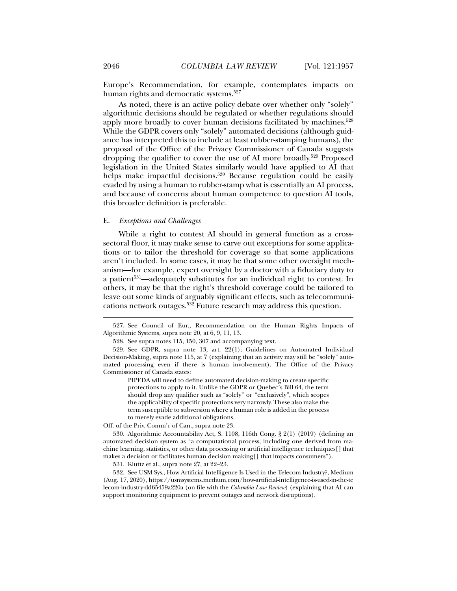Europe's Recommendation, for example, contemplates impacts on human rights and democratic systems.<sup>527</sup>

As noted, there is an active policy debate over whether only "solely" algorithmic decisions should be regulated or whether regulations should apply more broadly to cover human decisions facilitated by machines.<sup>528</sup> While the GDPR covers only "solely" automated decisions (although guidance has interpreted this to include at least rubber-stamping humans), the proposal of the Office of the Privacy Commissioner of Canada suggests dropping the qualifier to cover the use of AI more broadly.<sup>529</sup> Proposed legislation in the United States similarly would have applied to AI that helps make impactful decisions.<sup>530</sup> Because regulation could be easily evaded by using a human to rubber-stamp what is essentially an AI process, and because of concerns about human competence to question AI tools, this broader definition is preferable.

## E. *Exceptions and Challenges*

While a right to contest AI should in general function as a crosssectoral floor, it may make sense to carve out exceptions for some applications or to tailor the threshold for coverage so that some applications aren't included. In some cases, it may be that some other oversight mechanism—for example, expert oversight by a doctor with a fiduciary duty to a patient<sup>531</sup>—adequately substitutes for an individual right to contest. In others, it may be that the right's threshold coverage could be tailored to leave out some kinds of arguably significant effects, such as telecommunications network outages.532 Future research may address this question.

PIPEDA will need to define automated decision-making to create specific protections to apply to it. Unlike the GDPR or Quebec's Bill 64, the term should drop any qualifier such as "solely" or "exclusively", which scopes the applicability of specific protections very narrowly. These also make the term susceptible to subversion where a human role is added in the process to merely evade additional obligations.

Off. of the Priv. Comm'r of Can., supra note 23.

 530. Algorithmic Accountability Act, S. 1108, 116th Cong. § 2(1) (2019) (defining an automated decision system as "a computational process, including one derived from machine learning, statistics, or other data processing or artificial intelligence techniques[] that makes a decision or facilitates human decision making[] that impacts consumers").

531. Kluttz et al., supra note 27, at 22–23.

 532. See USM Sys., How Artificial Intelligence Is Used in the Telecom Industry?, Medium (Aug. 17, 2020), https://usmsystems.medium.com/how-artificial-intelligence-is-used-in-the-te lecom-industry-dd65459a220a (on file with the *Columbia Law Review*) (explaining that AI can support monitoring equipment to prevent outages and network disruptions).

 <sup>527.</sup> See Council of Eur., Recommendation on the Human Rights Impacts of Algorithmic Systems, supra note 20, at 6, 9, 11, 13.

 <sup>528.</sup> See supra notes 115, 150, 307 and accompanying text.

 <sup>529.</sup> See GDPR, supra note 13, art. 22(1); Guidelines on Automated Individual Decision-Making, supra note 115, at 7 (explaining that an activity may still be "solely" automated processing even if there is human involvement). The Office of the Privacy Commissioner of Canada states: